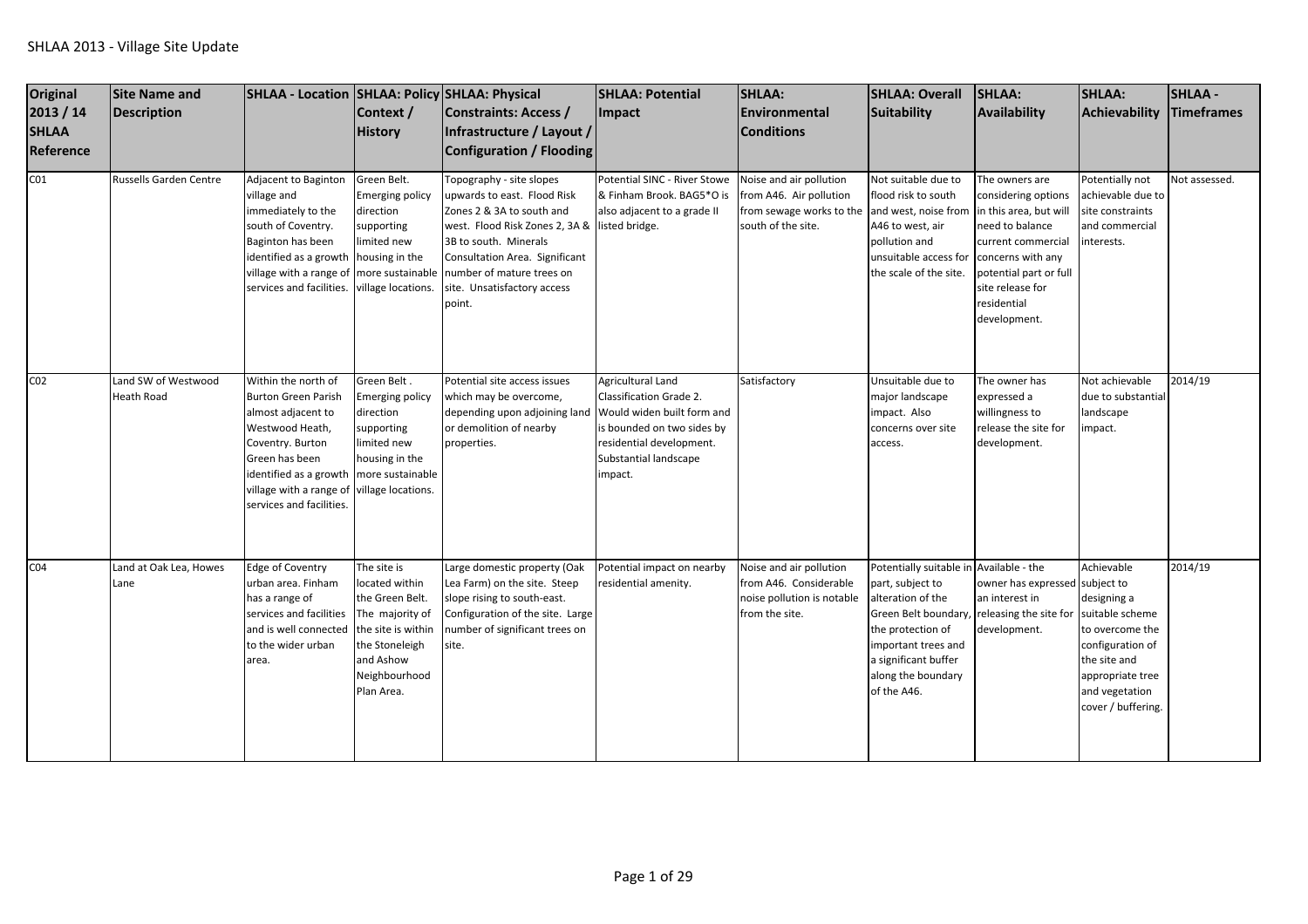| <b>Original</b><br>2013 / 14<br><b>SHLAA</b><br>Reference | Site Name and<br>Description             | SHLAA - Location SHLAA: Policy SHLAA: Physical                                                                                                                                                                    | Context /<br><b>History</b>                                                                                                                             | Constraints: Access /<br>Infrastructure / Layout /<br>Configuration / Flooding                                                                                                                                                                          | <b>SHLAA: Potential</b><br><b>Impact</b>                                                                                                                                               | <b>SHLAA:</b><br><b>Environmental</b><br><b>Conditions</b>                                                                | <b>SHLAA: Overall</b><br>Suitability                                                                                                                                                                              | SHLAA:<br>Availability                                                                                                                                                                                     | <b>SHLAA:</b><br><b>Achievability</b>                                                                                                                           | <b>SHLAA-</b><br><b>Timeframes</b> |
|-----------------------------------------------------------|------------------------------------------|-------------------------------------------------------------------------------------------------------------------------------------------------------------------------------------------------------------------|---------------------------------------------------------------------------------------------------------------------------------------------------------|---------------------------------------------------------------------------------------------------------------------------------------------------------------------------------------------------------------------------------------------------------|----------------------------------------------------------------------------------------------------------------------------------------------------------------------------------------|---------------------------------------------------------------------------------------------------------------------------|-------------------------------------------------------------------------------------------------------------------------------------------------------------------------------------------------------------------|------------------------------------------------------------------------------------------------------------------------------------------------------------------------------------------------------------|-----------------------------------------------------------------------------------------------------------------------------------------------------------------|------------------------------------|
| CO <sub>1</sub>                                           | Russells Garden Centre                   | Adjacent to Baginton<br>village and<br>immediately to the<br>south of Coventry.<br>Baginton has been<br>identified as a growth<br>village with a range o<br>services and facilities.                              | Green Belt.<br>Emerging policy<br>direction<br>supporting<br>imited new<br>housing in the<br>more sustainable<br>village locations.                     | Topography - site slopes<br>upwards to east. Flood Risk<br>Zones 2 & 3A to south and<br>west. Flood Risk Zones 2, 3A &<br>3B to south. Minerals<br>Consultation Area. Significant<br>number of mature trees on<br>site. Unsatisfactory access<br>point. | Potential SINC - River Stowe<br>& Finham Brook. BAG5*O is<br>also adjacent to a grade II<br>listed bridge.                                                                             | Noise and air pollution<br>from A46. Air pollution<br>from sewage works to the and west, noise from<br>south of the site. | Not suitable due to<br>flood risk to south<br>A46 to west, air<br>pollution and<br>unsuitable access for<br>the scale of the site.                                                                                | The owners are<br>considering options<br>in this area, but will<br>need to balance<br>current commercial<br>concerns with any<br>potential part or full<br>site release for<br>residential<br>development. | Potentially not<br>achievable due to<br>site constraints<br>and commercial<br>interests.                                                                        | Not assessed.                      |
| CO <sub>2</sub>                                           | Land SW of Westwood<br><b>Heath Road</b> | Within the north of<br><b>Burton Green Parish</b><br>almost adjacent to<br>Westwood Heath,<br>Coventry. Burton<br>Green has been<br>identified as a growth<br>village with a range of<br>services and facilities. | Green Belt.<br><b>Emerging policy</b><br>direction<br>supporting<br>imited new<br>housing in the<br>more sustainable<br>village locations.              | Potential site access issues<br>which may be overcome,<br>depending upon adjoining land<br>or demolition of nearby<br>properties.                                                                                                                       | <b>Agricultural Land</b><br><b>Classification Grade 2.</b><br>Would widen built form and<br>is bounded on two sides by<br>residential development.<br>Substantial landscape<br>impact. | Satisfactory                                                                                                              | Unsuitable due to<br>major landscape<br>impact. Also<br>concerns over site<br>access.                                                                                                                             | The owner has<br>expressed a<br>willingness to<br>release the site for<br>development.                                                                                                                     | Not achievable<br>due to substantial<br>andscape<br>mpact.                                                                                                      | 2014/19                            |
| CO <sub>4</sub>                                           | Land at Oak Lea, Howes<br>Lane           | <b>Edge of Coventry</b><br>urban area. Finham<br>has a range of<br>services and facilities<br>and is well connected<br>to the wider urban<br>area.                                                                | The site is<br>located within<br>the Green Belt.<br>The majority of<br>the site is within<br>the Stoneleigh<br>and Ashow<br>Neighbourhood<br>Plan Area. | Large domestic property (Oak<br>Lea Farm) on the site. Steep<br>slope rising to south-east.<br>Configuration of the site. Large<br>number of significant trees on<br>site.                                                                              | Potential impact on nearby<br>residential amenity.                                                                                                                                     | Noise and air pollution<br>from A46. Considerable<br>noise pollution is notable<br>from the site.                         | Potentially suitable in Available - the<br>part, subject to<br>alteration of the<br>Green Belt boundary,<br>the protection of<br>important trees and<br>a significant buffer<br>along the boundary<br>of the A46. | owner has expressed subject to<br>an interest in<br>releasing the site for<br>development.                                                                                                                 | Achievable<br>designing a<br>suitable scheme<br>to overcome the<br>configuration of<br>the site and<br>appropriate tree<br>and vegetation<br>cover / buffering. | 2014/19                            |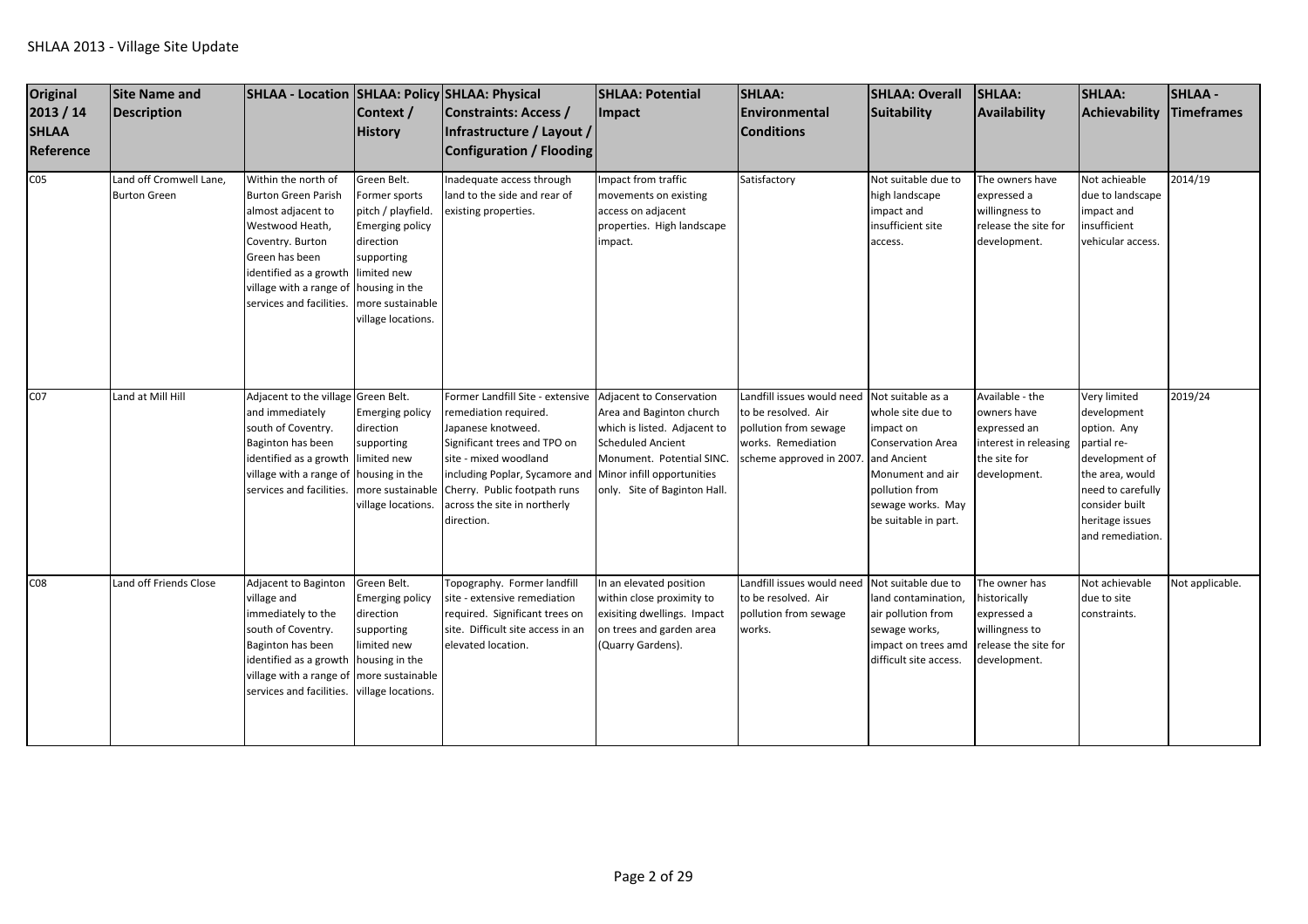| Original<br>2013 / 14<br><b>SHLAA</b><br>Reference | Site Name and<br>Description                   | SHLAA - Location SHLAA: Policy SHLAA: Physical                                                                                                                                                                    | Context /<br><b>History</b>                                                                                                                                                        | <b>Constraints: Access /</b><br>Infrastructure / Layout /<br><b>Configuration / Flooding</b>                                                                                                                                                             | <b>SHLAA: Potential</b><br><b>Impact</b>                                                                                                                                                                    | SHLAA:<br><b>Environmental</b><br><b>Conditions</b>                                                                                                        | <b>SHLAA: Overall</b><br>Suitability                                                                                                          | SHLAA:<br>Availability                                                                                  | <b>SHLAA:</b><br>Achievability                                                                                                                                               | <b>SHLAA-</b><br><b>Timeframes</b> |
|----------------------------------------------------|------------------------------------------------|-------------------------------------------------------------------------------------------------------------------------------------------------------------------------------------------------------------------|------------------------------------------------------------------------------------------------------------------------------------------------------------------------------------|----------------------------------------------------------------------------------------------------------------------------------------------------------------------------------------------------------------------------------------------------------|-------------------------------------------------------------------------------------------------------------------------------------------------------------------------------------------------------------|------------------------------------------------------------------------------------------------------------------------------------------------------------|-----------------------------------------------------------------------------------------------------------------------------------------------|---------------------------------------------------------------------------------------------------------|------------------------------------------------------------------------------------------------------------------------------------------------------------------------------|------------------------------------|
| CO <sub>5</sub>                                    | Land off Cromwell Lane,<br><b>Burton Green</b> | Within the north of<br><b>Burton Green Parish</b><br>almost adjacent to<br>Westwood Heath,<br>Coventry. Burton<br>Green has been<br>identified as a growth<br>village with a range of<br>services and facilities. | Green Belt.<br>Former sports<br>pitch / playfield.<br><b>Emerging policy</b><br>direction<br>supporting<br>limited new<br>housing in the<br>more sustainable<br>village locations. | Inadequate access through<br>land to the side and rear of<br>existing properties.                                                                                                                                                                        | Impact from traffic<br>movements on existing<br>access on adjacent<br>properties. High landscape<br>impact.                                                                                                 | Satisfactory                                                                                                                                               | Not suitable due to<br>high landscape<br>impact and<br>insufficient site<br>access.                                                           | The owners have<br>expressed a<br>willingness to<br>release the site for<br>development.                | Not achieable<br>due to landscape<br>mpact and<br>insufficient<br>vehicular access.                                                                                          | 2014/19                            |
| C07                                                | Land at Mill Hill                              | Adjacent to the village Green Belt.<br>and immediately<br>south of Coventry.<br>Baginton has been<br>identified as a growth<br>village with a range of housing in the<br>services and facilities.                 | Emerging policy<br>direction<br>supporting<br>limited new<br>more sustainable<br>village locations.                                                                                | Former Landfill Site - extensive<br>remediation required.<br>Japanese knotweed.<br>Significant trees and TPO on<br>site - mixed woodland<br>including Poplar, Sycamore and<br>Cherry. Public footpath runs<br>across the site in northerly<br>direction. | Adjacent to Conservation<br>Area and Baginton church<br>which is listed. Adjacent to<br><b>Scheduled Ancient</b><br>Monument. Potential SINC.<br>Minor infill opportunities<br>only. Site of Baginton Hall. | Landfill issues would need Not suitable as a<br>to be resolved. Air<br>pollution from sewage<br>works. Remediation<br>scheme approved in 2007. and Ancient | whole site due to<br>impact on<br><b>Conservation Area</b><br>Monument and air<br>pollution from<br>sewage works. May<br>be suitable in part. | Available - the<br>owners have<br>expressed an<br>interest in releasing<br>the site for<br>development. | Very limited<br>development<br>option. Any<br>partial re-<br>development of<br>the area, would<br>need to carefully<br>consider built<br>heritage issues<br>and remediation. | 2019/24                            |
| CO8                                                | Land off Friends Close                         | Adjacent to Baginton<br>village and<br>immediately to the<br>south of Coventry.<br>Baginton has been<br>identified as a growth<br>village with a range of<br>services and facilities.                             | Green Belt.<br><b>Emerging policy</b><br>direction<br>supporting<br>limited new<br>housing in the<br>more sustainable<br>village locations.                                        | Topography. Former landfill<br>site - extensive remediation<br>required. Significant trees on<br>site. Difficult site access in an<br>elevated location.                                                                                                 | In an elevated position<br>within close proximity to<br>exisiting dwellings. Impact<br>on trees and garden area<br>(Quarry Gardens).                                                                        | Landfill issues would need Not suitable due to<br>to be resolved. Air<br>pollution from sewage<br>works.                                                   | land contamination,<br>air pollution from<br>sewage works,<br>impact on trees amd<br>difficult site access.                                   | The owner has<br>historically<br>expressed a<br>willingness to<br>release the site for<br>development.  | Not achievable<br>due to site<br>constraints.                                                                                                                                | Not applicable.                    |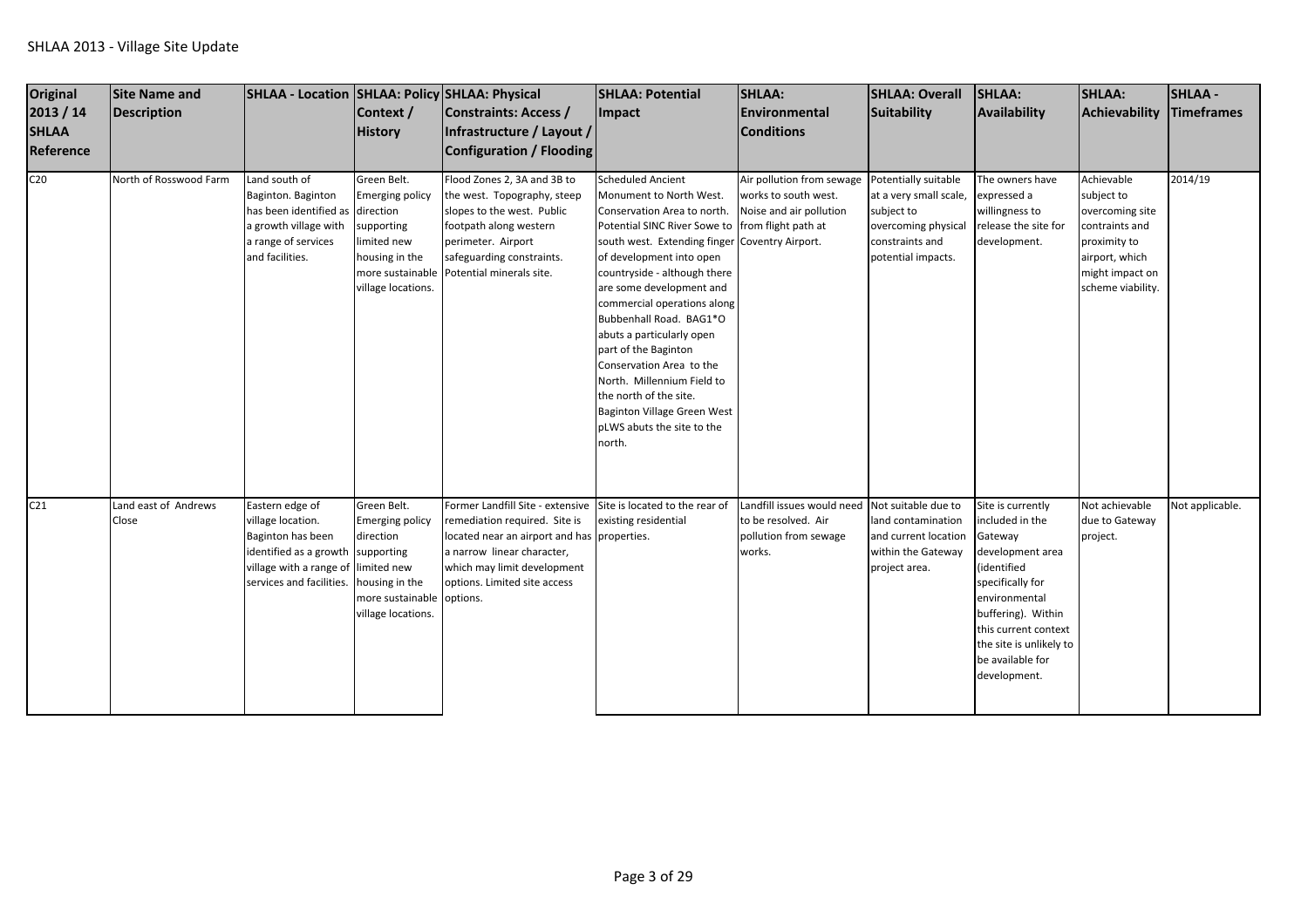| Original<br>2013 / 14<br><b>SHLAA</b><br>Reference | <b>Site Name and</b><br><b>Description</b> | SHLAA - Location   SHLAA: Policy   SHLAA: Physical                                                                                                                | Context /<br><b>History</b>                                                                                                                 | Constraints: Access /<br>Infrastructure / Layout /<br>Configuration / Flooding                                                                                                                                                               | <b>SHLAA: Potential</b><br>Impact                                                                                                                                                                                                                                                                                                                                                                                                                                                                                                      | <b>SHLAA:</b><br>Environmental<br><b>Conditions</b>                                                                      | <b>SHLAA: Overall</b><br>Suitability                                                                 | SHLAA:<br>Availability                                                                                                                                                                                                               | <b>SHLAA:</b><br>Achievability                                                                                                          | <b>SHLAA-</b><br>Timeframes |
|----------------------------------------------------|--------------------------------------------|-------------------------------------------------------------------------------------------------------------------------------------------------------------------|---------------------------------------------------------------------------------------------------------------------------------------------|----------------------------------------------------------------------------------------------------------------------------------------------------------------------------------------------------------------------------------------------|----------------------------------------------------------------------------------------------------------------------------------------------------------------------------------------------------------------------------------------------------------------------------------------------------------------------------------------------------------------------------------------------------------------------------------------------------------------------------------------------------------------------------------------|--------------------------------------------------------------------------------------------------------------------------|------------------------------------------------------------------------------------------------------|--------------------------------------------------------------------------------------------------------------------------------------------------------------------------------------------------------------------------------------|-----------------------------------------------------------------------------------------------------------------------------------------|-----------------------------|
| C <sub>20</sub>                                    | North of Rosswood Farm                     | Land south of<br>Baginton. Baginton<br>has been identified as<br>a growth village with<br>a range of services<br>and facilities.                                  | Green Belt.<br><b>Emerging policy</b><br>direction<br>supporting<br>limited new<br>housing in the<br>more sustainable<br>village locations. | Flood Zones 2, 3A and 3B to<br>the west. Topography, steep<br>slopes to the west. Public<br>footpath along western<br>perimeter. Airport<br>safeguarding constraints.<br>Potential minerals site.                                            | <b>Scheduled Ancient</b><br>Monument to North West.<br>Conservation Area to north.<br>Potential SINC River Sowe to<br>south west. Extending finger Coventry Airport.<br>of development into open<br>countryside - although there<br>are some development and<br>commercial operations along<br>Bubbenhall Road. BAG1*O<br>abuts a particularly open<br>part of the Baginton<br>Conservation Area to the<br>North. Millennium Field to<br>the north of the site.<br>Baginton Village Green West<br>pLWS abuts the site to the<br>north. | Air pollution from sewage Potentially suitable<br>works to south west.<br>Noise and air pollution<br>from flight path at | at a very small scale,<br>subject to<br>overcoming physical<br>constraints and<br>potential impacts. | The owners have<br>expressed a<br>willingness to<br>release the site for<br>development.                                                                                                                                             | Achievable<br>subject to<br>overcoming site<br>contraints and<br>proximity to<br>airport, which<br>might impact on<br>scheme viability. | 2014/19                     |
| C <sub>21</sub>                                    | Land east of Andrews<br>Close              | Eastern edge of<br>village location.<br>Baginton has been<br>identified as a growth supporting<br>village with a range of limited new<br>services and facilities. | Green Belt.<br><b>Emerging policy</b><br>direction<br>housing in the<br>more sustainable options.<br>village locations.                     | Former Landfill Site - extensive Site is located to the rear of<br>remediation required. Site is<br>located near an airport and has properties.<br>a narrow linear character,<br>which may limit development<br>options. Limited site access | existing residential                                                                                                                                                                                                                                                                                                                                                                                                                                                                                                                   | Landfill issues would need Not suitable due to<br>to be resolved. Air<br>pollution from sewage<br>works.                 | land contamination<br>and current location<br>within the Gateway<br>project area.                    | Site is currently<br>included in the<br>Gateway<br>development area<br>(identified<br>specifically for<br>environmental<br>buffering). Within<br>this current context<br>the site is unlikely to<br>be available for<br>development. | Not achievable<br>due to Gateway<br>project.                                                                                            | Not applicable.             |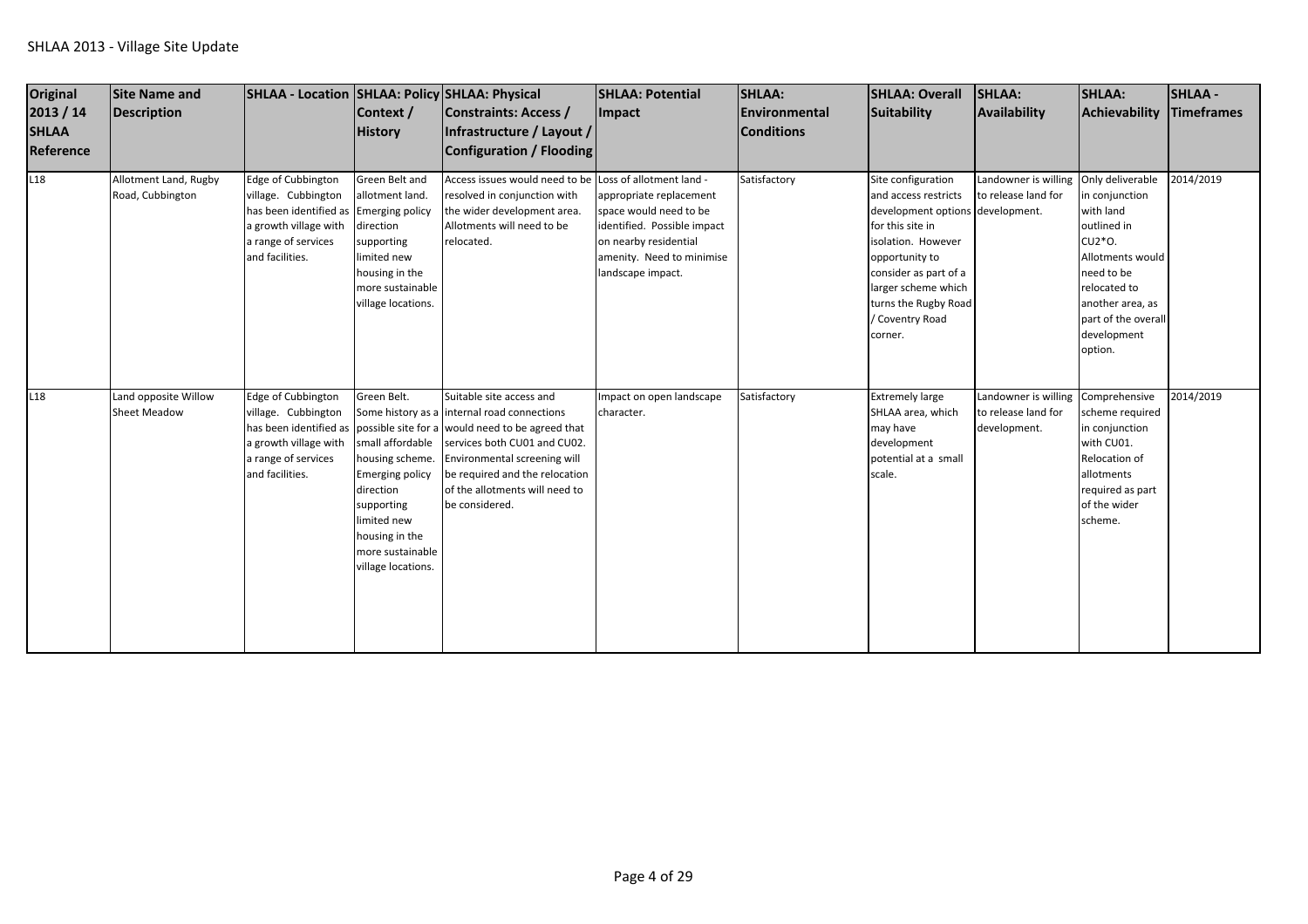| <b>Original</b><br>2013 / 14<br><b>SHLAA</b><br>Reference | <b>Site Name and</b><br>Description         | SHLAA - Location SHLAA: Policy SHLAA: Physical                                                                                                         | Context /<br><b>History</b>                                                                                                                                                        | <b>Constraints: Access /</b><br>Infrastructure / Layout /<br><b>Configuration / Flooding</b>                                                                                                                                                                                                             | <b>SHLAA: Potential</b><br><b>Impact</b>                                                                                                                    | <b>SHLAA:</b><br><b>IEnvironmental</b><br><b>Conditions</b> | <b>SHLAA: Overall</b><br><b>Suitability</b>                                                                                                                                                                                                      | <b>SHLAA:</b><br>Availability                                             | <b>SHLAA:</b><br>Achievability                                                                                                                                              | <b>SHLAA-</b><br><b>Timeframes</b> |
|-----------------------------------------------------------|---------------------------------------------|--------------------------------------------------------------------------------------------------------------------------------------------------------|------------------------------------------------------------------------------------------------------------------------------------------------------------------------------------|----------------------------------------------------------------------------------------------------------------------------------------------------------------------------------------------------------------------------------------------------------------------------------------------------------|-------------------------------------------------------------------------------------------------------------------------------------------------------------|-------------------------------------------------------------|--------------------------------------------------------------------------------------------------------------------------------------------------------------------------------------------------------------------------------------------------|---------------------------------------------------------------------------|-----------------------------------------------------------------------------------------------------------------------------------------------------------------------------|------------------------------------|
| L18                                                       | Allotment Land, Rugby<br>Road, Cubbington   | Edge of Cubbington<br>village. Cubbington<br>has been identified as Emerging policy<br>a growth village with<br>a range of services<br>and facilities. | Green Belt and<br>allotment land.<br>direction<br>supporting<br>limited new<br>housing in the<br>more sustainable<br>village locations.                                            | Access issues would need to be Loss of allotment land -<br>resolved in conjunction with<br>the wider development area.<br>Allotments will need to be<br>relocated.                                                                                                                                       | appropriate replacement<br>space would need to be<br>identified. Possible impact<br>on nearby residential<br>amenity. Need to minimise<br>landscape impact. | Satisfactory                                                | Site configuration<br>and access restricts<br>development options development.<br>for this site in<br>isolation. However<br>opportunity to<br>consider as part of a<br>larger scheme which<br>turns the Rugby Road<br>/ Coventry Road<br>corner. | Landowner is willing Only deliverable<br>to release land for              | in conjunction<br>with land<br>outlined in<br>CU2*O.<br>Allotments would<br>need to be<br>relocated to<br>another area, as<br>part of the overall<br>development<br>option. | 2014/2019                          |
| L <sub>18</sub>                                           | Land opposite Willow<br><b>Sheet Meadow</b> | Edge of Cubbington<br>village. Cubbington<br>a growth village with<br>a range of services<br>and facilities.                                           | Green Belt.<br>small affordable<br>housing scheme.<br><b>Emerging policy</b><br>direction<br>supporting<br>limited new<br>housing in the<br>more sustainable<br>village locations. | Suitable site access and<br>Some history as a internal road connections<br>has been identified as possible site for a would need to be agreed that<br>services both CU01 and CU02.<br>Environmental screening will<br>be required and the relocation<br>of the allotments will need to<br>be considered. | Impact on open landscape<br>character.                                                                                                                      | Satisfactory                                                | <b>Extremely large</b><br>SHLAA area, which<br>may have<br>development<br>potential at a small<br>scale.                                                                                                                                         | Landowner is willing Comprehensive<br>to release land for<br>development. | scheme required<br>in conjunction<br>with CU01.<br>Relocation of<br>allotments<br>required as part<br>of the wider<br>scheme.                                               | 2014/2019                          |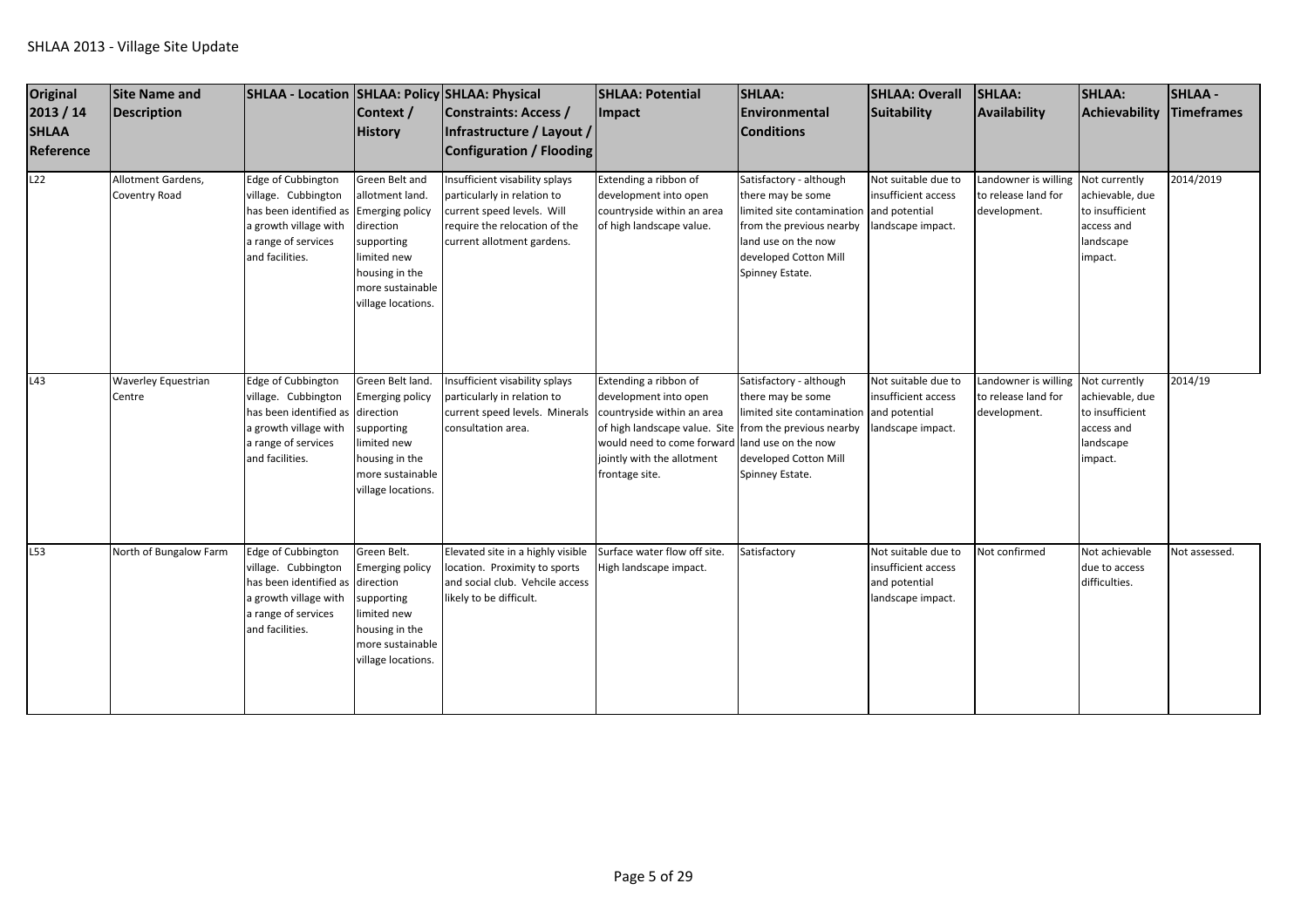| <b>Original</b><br>2013 / 14<br><b>SHLAA</b><br>Reference | <b>Site Name and</b><br><b>Description</b> | SHLAA - Location SHLAA: Policy SHLAA: Physical                                                                                                         | Context /<br><b>History</b>                                                                                                                      | Constraints: Access /<br>Infrastructure / Layout /<br>Configuration / Flooding                                                                             | <b>SHLAA: Potential</b><br>Impact                                                                                                                                                                                                        | SHLAA:<br>Environmental<br><b>Conditions</b>                                                                                                                                            | <b>SHLAA: Overall</b><br>Suitability                                             | SHLAA:<br>Availability                                      | SHLAA:<br>Achievability                                                                   | <b>SHLAA-</b><br><b>Timeframes</b> |
|-----------------------------------------------------------|--------------------------------------------|--------------------------------------------------------------------------------------------------------------------------------------------------------|--------------------------------------------------------------------------------------------------------------------------------------------------|------------------------------------------------------------------------------------------------------------------------------------------------------------|------------------------------------------------------------------------------------------------------------------------------------------------------------------------------------------------------------------------------------------|-----------------------------------------------------------------------------------------------------------------------------------------------------------------------------------------|----------------------------------------------------------------------------------|-------------------------------------------------------------|-------------------------------------------------------------------------------------------|------------------------------------|
| L22                                                       | Allotment Gardens,<br>Coventry Road        | Edge of Cubbington<br>village. Cubbington<br>has been identified as Emerging policy<br>a growth village with<br>a range of services<br>and facilities. | Green Belt and<br>allotment land.<br>direction<br>supporting<br>limited new<br>housing in the<br>more sustainable<br>village locations.          | Insufficient visability splays<br>particularly in relation to<br>current speed levels. Will<br>require the relocation of the<br>current allotment gardens. | Extending a ribbon of<br>development into open<br>countryside within an area<br>of high landscape value.                                                                                                                                 | Satisfactory - although<br>there may be some<br>limited site contamination and potential<br>from the previous nearby<br>land use on the now<br>developed Cotton Mill<br>Spinney Estate. | Not suitable due to<br>insufficient access<br>landscape impact.                  | Landowner is willing<br>to release land for<br>development. | Not currently<br>achievable, due<br>to insufficient<br>access and<br>landscape<br>impact. | 2014/2019                          |
| L43                                                       | Waverley Equestrian<br>Centre              | Edge of Cubbington<br>village. Cubbington<br>has been identified as<br>a growth village with<br>a range of services<br>and facilities.                 | Green Belt land.<br><b>Emerging policy</b><br>direction<br>supporting<br>limited new<br>housing in the<br>more sustainable<br>village locations. | Insufficient visability splays<br>particularly in relation to<br>current speed levels. Minerals<br>consultation area.                                      | Extending a ribbon of<br>development into open<br>countryside within an area<br>of high landscape value. Site from the previous nearby<br>would need to come forward land use on the now<br>jointly with the allotment<br>frontage site. | Satisfactory - although<br>there may be some<br>limited site contamination and potential<br>developed Cotton Mill<br>Spinney Estate.                                                    | Not suitable due to<br>insufficient access<br>andscape impact.                   | Landowner is willing<br>to release land for<br>development. | Not currently<br>achievable, due<br>to insufficient<br>access and<br>landscape<br>impact. | 2014/19                            |
| L53                                                       | North of Bungalow Farm                     | Edge of Cubbington<br>village. Cubbington<br>has been identified as direction<br>a growth village with<br>a range of services<br>and facilities.       | Green Belt.<br><b>Emerging policy</b><br>supporting<br>limited new<br>housing in the<br>more sustainable<br>village locations.                   | Elevated site in a highly visible<br>location. Proximity to sports<br>and social club. Vehcile access<br>likely to be difficult.                           | Surface water flow off site.<br>High landscape impact.                                                                                                                                                                                   | Satisfactory                                                                                                                                                                            | Not suitable due to<br>insufficient access<br>and potential<br>landscape impact. | Not confirmed                                               | Not achievable<br>due to access<br>difficulties.                                          | Not assessed.                      |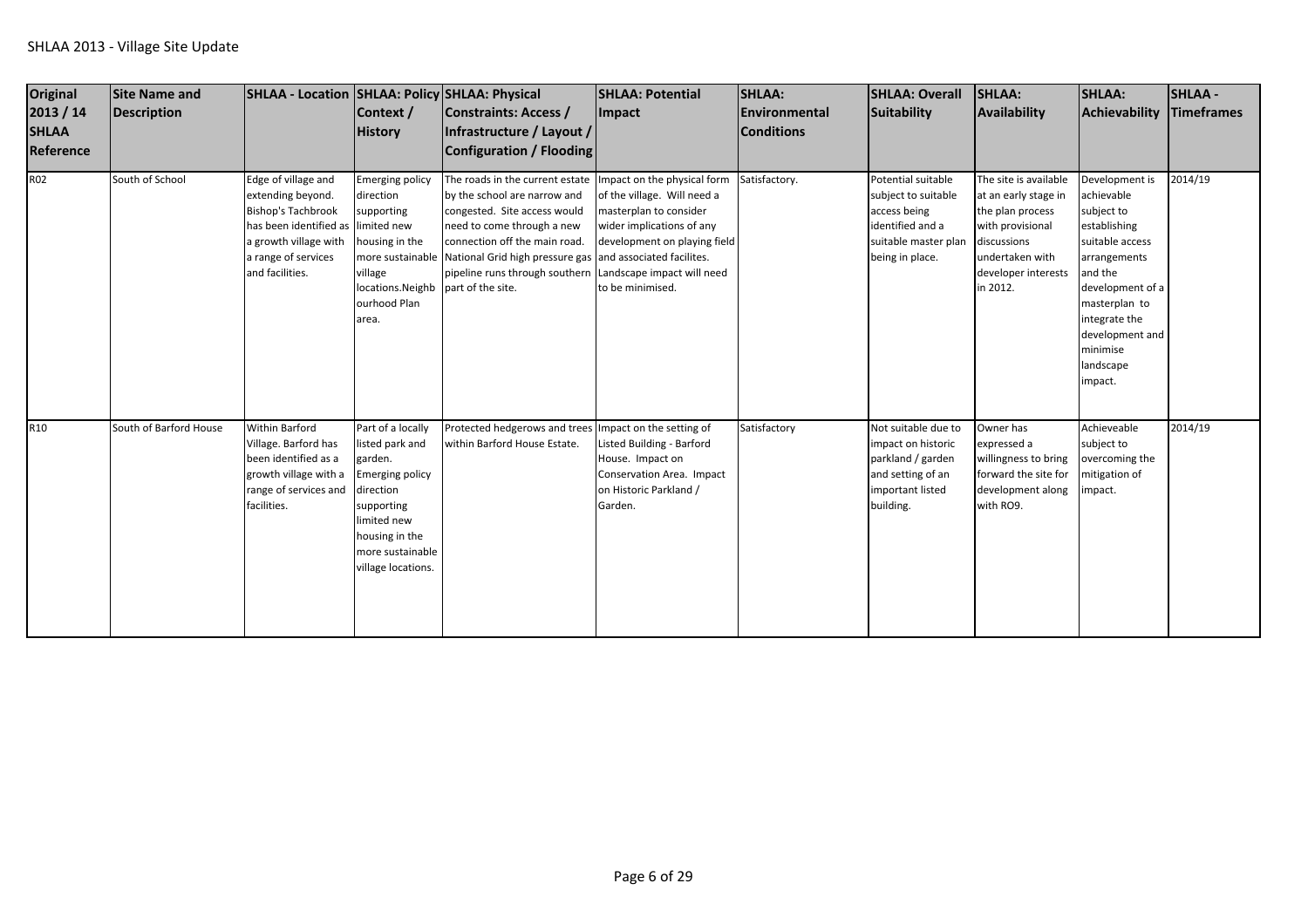| <b>Original</b><br>2013 / 14<br><b>SHLAA</b><br>Reference | Site Name and<br>Description | SHLAA - Location SHLAA: Policy SHLAA: Physical                                                                                                                                 | Context /<br><b>History</b>                                                                                                                                                     | Constraints: Access /<br>Infrastructure / Layout /<br>Configuration / Flooding                                                                                                                                                                                                 | <b>SHLAA: Potential</b><br>Impact                                                                                                                                                                   | <b>SHLAA:</b><br><b>Environmental</b><br><b>Conditions</b> | <b>SHLAA: Overall</b><br>Suitability                                                                                     | <b>SHLAA:</b><br>Availability                                                                                                                              | <b>SHLAA:</b><br>Achievability                                                                                                                                                                                        | <b>SHLAA-</b><br><b>Timeframes</b> |
|-----------------------------------------------------------|------------------------------|--------------------------------------------------------------------------------------------------------------------------------------------------------------------------------|---------------------------------------------------------------------------------------------------------------------------------------------------------------------------------|--------------------------------------------------------------------------------------------------------------------------------------------------------------------------------------------------------------------------------------------------------------------------------|-----------------------------------------------------------------------------------------------------------------------------------------------------------------------------------------------------|------------------------------------------------------------|--------------------------------------------------------------------------------------------------------------------------|------------------------------------------------------------------------------------------------------------------------------------------------------------|-----------------------------------------------------------------------------------------------------------------------------------------------------------------------------------------------------------------------|------------------------------------|
| <b>R02</b>                                                | South of School              | Edge of village and<br>extending beyond.<br><b>Bishop's Tachbrook</b><br>has been identified as limited new<br>a growth village with<br>a range of services<br>and facilities. | <b>Emerging policy</b><br>direction<br>supporting<br>housing in the<br>village<br>locations. Neighb part of the site.<br>ourhood Plan<br>area.                                  | The roads in the current estate<br>by the school are narrow and<br>congested. Site access would<br>need to come through a new<br>connection off the main road.<br>more sustainable National Grid high pressure gas and associated facilites.<br>pipeline runs through southern | Impact on the physical form<br>of the village. Will need a<br>masterplan to consider<br>wider implications of any<br>development on playing field<br>Landscape impact will need<br>to be minimised. | Satisfactory.                                              | Potential suitable<br>subject to suitable<br>access being<br>identified and a<br>suitable master plan<br>being in place. | The site is available<br>at an early stage in<br>the plan process<br>with provisional<br>discussions<br>undertaken with<br>developer interests<br>in 2012. | Development is<br>achievable<br>subject to<br>establishing<br>suitable access<br>arrangements<br>and the<br>development of a<br>masterplan to<br>integrate the<br>development and<br>minimise<br>landscape<br>impact. | 2014/19                            |
| R <sub>10</sub>                                           | South of Barford House       | <b>Within Barford</b><br>Village. Barford has<br>been identified as a<br>growth village with a<br>range of services and<br>facilities.                                         | Part of a locally<br>listed park and<br>garden.<br><b>Emerging policy</b><br>direction<br>supporting<br>limited new<br>housing in the<br>more sustainable<br>village locations. | Protected hedgerows and trees Impact on the setting of<br>within Barford House Estate.                                                                                                                                                                                         | Listed Building - Barford<br>House. Impact on<br>Conservation Area. Impact<br>on Historic Parkland /<br>Garden.                                                                                     | Satisfactory                                               | Not suitable due to<br>impact on historic<br>parkland / garden<br>and setting of an<br>important listed<br>building.     | Owner has<br>expressed a<br>willingness to bring<br>forward the site for<br>development along<br>with RO9.                                                 | Achieveable<br>subject to<br>overcoming the<br>mitigation of<br>mpact.                                                                                                                                                | 2014/19                            |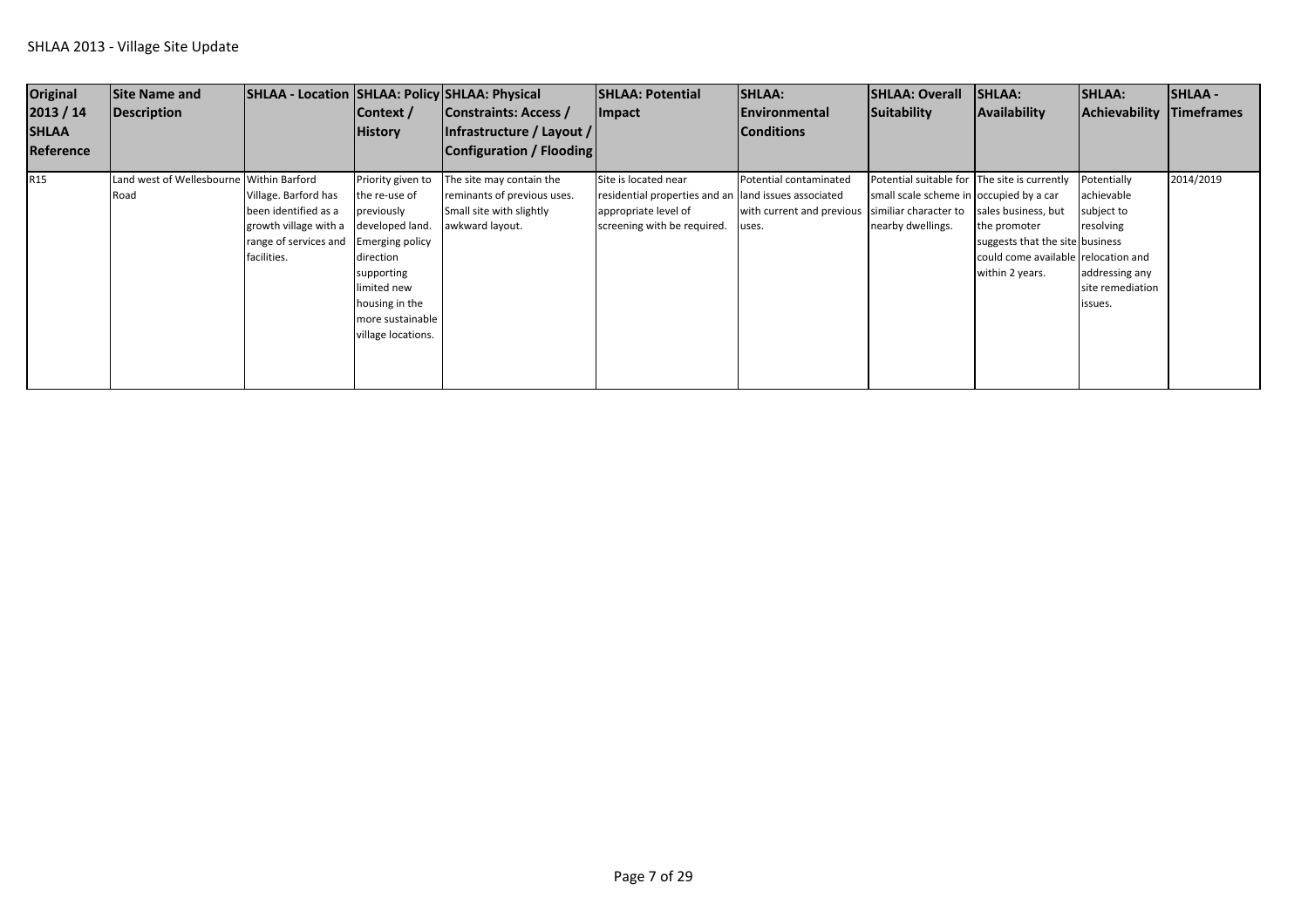| <b>Original</b><br>2013 / 14<br><b>SHLAA</b><br>Reference | Site Name and<br>Description                     | SHLAA - Location SHLAA: Policy SHLAA: Physical                                                                | Context /<br><b>History</b>                                                                                                                                                                       | Constraints: Access /<br> Infrastructure / Layout /<br>Configuration / Flooding                        | <b>SHLAA: Potential</b><br><b>Impact</b>                                                                                            | <b>SHLAA:</b><br><b>IEnvironmental</b><br><b>Conditions</b>                        | <b>SHLAA: Overall</b><br>Suitability                                                                         | SHLAA:<br>Availability                                                                                                           | <b>SHLAA:</b><br>Achievability Timeframes                                                             | <b>SHLAA -</b> |
|-----------------------------------------------------------|--------------------------------------------------|---------------------------------------------------------------------------------------------------------------|---------------------------------------------------------------------------------------------------------------------------------------------------------------------------------------------------|--------------------------------------------------------------------------------------------------------|-------------------------------------------------------------------------------------------------------------------------------------|------------------------------------------------------------------------------------|--------------------------------------------------------------------------------------------------------------|----------------------------------------------------------------------------------------------------------------------------------|-------------------------------------------------------------------------------------------------------|----------------|
| R <sub>15</sub>                                           | Land west of Wellesbourne Within Barford<br>Road | Village. Barford has<br>been identified as a<br>growth village with a<br>range of services and<br>facilities. | Priority given to<br>the re-use of<br>oreviously<br>developed land.<br><b>Emerging policy</b><br>direction<br>supporting<br>imited new<br>ousing in the<br>more sustainable<br>village locations. | The site may contain the<br>reminants of previous uses.<br>Small site with slightly<br>awkward layout. | Site is located near<br>residential properties and an land issues associated<br>appropriate level of<br>screening with be required. | Potential contaminated<br>with current and previous similiar character to<br>uses. | Potential suitable for The site is currently<br>small scale scheme in occupied by a car<br>nearby dwellings. | sales business, but<br>the promoter<br>suggests that the site business<br>could come available relocation and<br>within 2 years. | Potentially<br>achievable<br>subject to<br>resolving<br>addressing any<br>site remediation<br>issues. | 2014/2019      |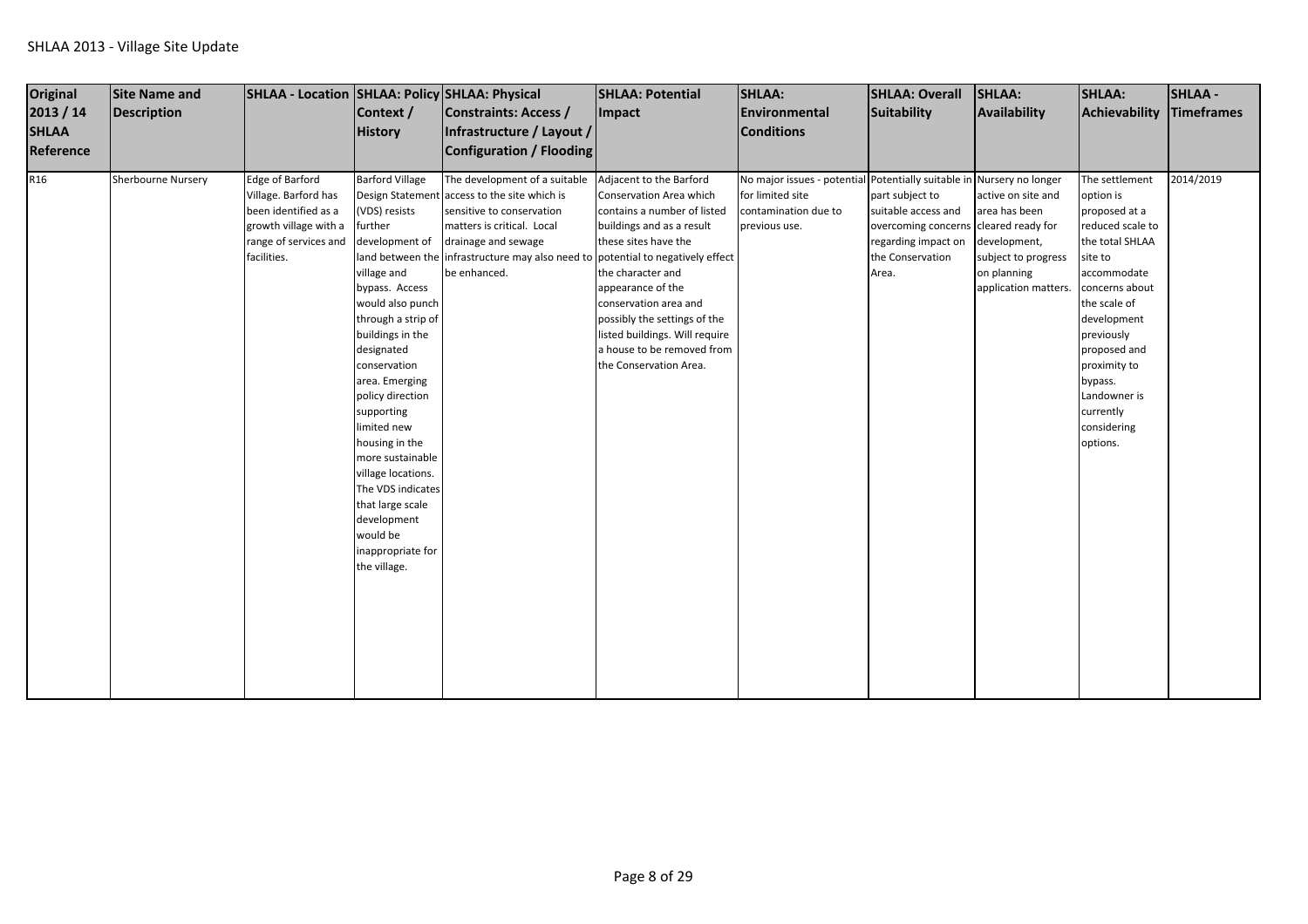| Original        | <b>Site Name and</b> | SHLAA - Location SHLAA: Policy SHLAA: Physical |                        |                                                                | <b>SHLAA: Potential</b>        | <b>SHLAA:</b>                                                         | <b>SHLAA: Overall</b>                 | SHLAA:               | <b>SHLAA:</b>    | <b>SHLAA-</b> |
|-----------------|----------------------|------------------------------------------------|------------------------|----------------------------------------------------------------|--------------------------------|-----------------------------------------------------------------------|---------------------------------------|----------------------|------------------|---------------|
| 2013 / 14       | <b>Description</b>   |                                                | Context /              | Constraints: Access /                                          | Impact                         | Environmental                                                         | Suitability                           | Availability         | Achievability    | Timeframes    |
| <b>SHLAA</b>    |                      |                                                | <b>History</b>         | Infrastructure / Layout /                                      |                                | <b>Conditions</b>                                                     |                                       |                      |                  |               |
| Reference       |                      |                                                |                        | Configuration / Flooding                                       |                                |                                                                       |                                       |                      |                  |               |
|                 |                      |                                                |                        |                                                                |                                |                                                                       |                                       |                      |                  |               |
| R <sub>16</sub> | Sherbourne Nursery   | Edge of Barford                                | <b>Barford Village</b> | The development of a suitable                                  | Adjacent to the Barford        | No major issues - potential Potentially suitable in Nursery no longer |                                       |                      | The settlement   | 2014/2019     |
|                 |                      | Village. Barford has                           |                        | Design Statement access to the site which is                   | Conservation Area which        | for limited site                                                      | part subject to                       | active on site and   | option is        |               |
|                 |                      | been identified as a                           | (VDS) resists          | sensitive to conservation                                      | contains a number of listed    | contamination due to                                                  | suitable access and                   | area has been        | proposed at a    |               |
|                 |                      | growth village with a                          | further                | matters is critical. Local                                     | buildings and as a result      | previous use.                                                         | overcoming concerns cleared ready for |                      | reduced scale to |               |
|                 |                      | range of services and                          | development of         | drainage and sewage                                            | these sites have the           |                                                                       | regarding impact on                   | development,         | the total SHLAA  |               |
|                 |                      | facilities.                                    | land between the       | infrastructure may also need to potential to negatively effect |                                |                                                                       | the Conservation                      | subject to progress  | site to          |               |
|                 |                      |                                                | village and            | be enhanced.                                                   | the character and              |                                                                       | Area.                                 | on planning          | accommodate      |               |
|                 |                      |                                                | bypass. Access         |                                                                | appearance of the              |                                                                       |                                       | application matters. | concerns about   |               |
|                 |                      |                                                | would also punch       |                                                                | conservation area and          |                                                                       |                                       |                      | the scale of     |               |
|                 |                      |                                                | through a strip of     |                                                                | possibly the settings of the   |                                                                       |                                       |                      | development      |               |
|                 |                      |                                                | buildings in the       |                                                                | listed buildings. Will require |                                                                       |                                       |                      | previously       |               |
|                 |                      |                                                | designated             |                                                                | a house to be removed from     |                                                                       |                                       |                      | proposed and     |               |
|                 |                      |                                                | conservation           |                                                                | the Conservation Area.         |                                                                       |                                       |                      | proximity to     |               |
|                 |                      |                                                | area. Emerging         |                                                                |                                |                                                                       |                                       |                      | bypass.          |               |
|                 |                      |                                                | policy direction       |                                                                |                                |                                                                       |                                       |                      | Landowner is     |               |
|                 |                      |                                                | supporting             |                                                                |                                |                                                                       |                                       |                      | currently        |               |
|                 |                      |                                                | limited new            |                                                                |                                |                                                                       |                                       |                      | considering      |               |
|                 |                      |                                                | housing in the         |                                                                |                                |                                                                       |                                       |                      | options.         |               |
|                 |                      |                                                | more sustainable       |                                                                |                                |                                                                       |                                       |                      |                  |               |
|                 |                      |                                                | village locations.     |                                                                |                                |                                                                       |                                       |                      |                  |               |
|                 |                      |                                                | The VDS indicates      |                                                                |                                |                                                                       |                                       |                      |                  |               |
|                 |                      |                                                | that large scale       |                                                                |                                |                                                                       |                                       |                      |                  |               |
|                 |                      |                                                | development            |                                                                |                                |                                                                       |                                       |                      |                  |               |
|                 |                      |                                                | would be               |                                                                |                                |                                                                       |                                       |                      |                  |               |
|                 |                      |                                                | inappropriate for      |                                                                |                                |                                                                       |                                       |                      |                  |               |
|                 |                      |                                                | the village.           |                                                                |                                |                                                                       |                                       |                      |                  |               |
|                 |                      |                                                |                        |                                                                |                                |                                                                       |                                       |                      |                  |               |
|                 |                      |                                                |                        |                                                                |                                |                                                                       |                                       |                      |                  |               |
|                 |                      |                                                |                        |                                                                |                                |                                                                       |                                       |                      |                  |               |
|                 |                      |                                                |                        |                                                                |                                |                                                                       |                                       |                      |                  |               |
|                 |                      |                                                |                        |                                                                |                                |                                                                       |                                       |                      |                  |               |
|                 |                      |                                                |                        |                                                                |                                |                                                                       |                                       |                      |                  |               |
|                 |                      |                                                |                        |                                                                |                                |                                                                       |                                       |                      |                  |               |
|                 |                      |                                                |                        |                                                                |                                |                                                                       |                                       |                      |                  |               |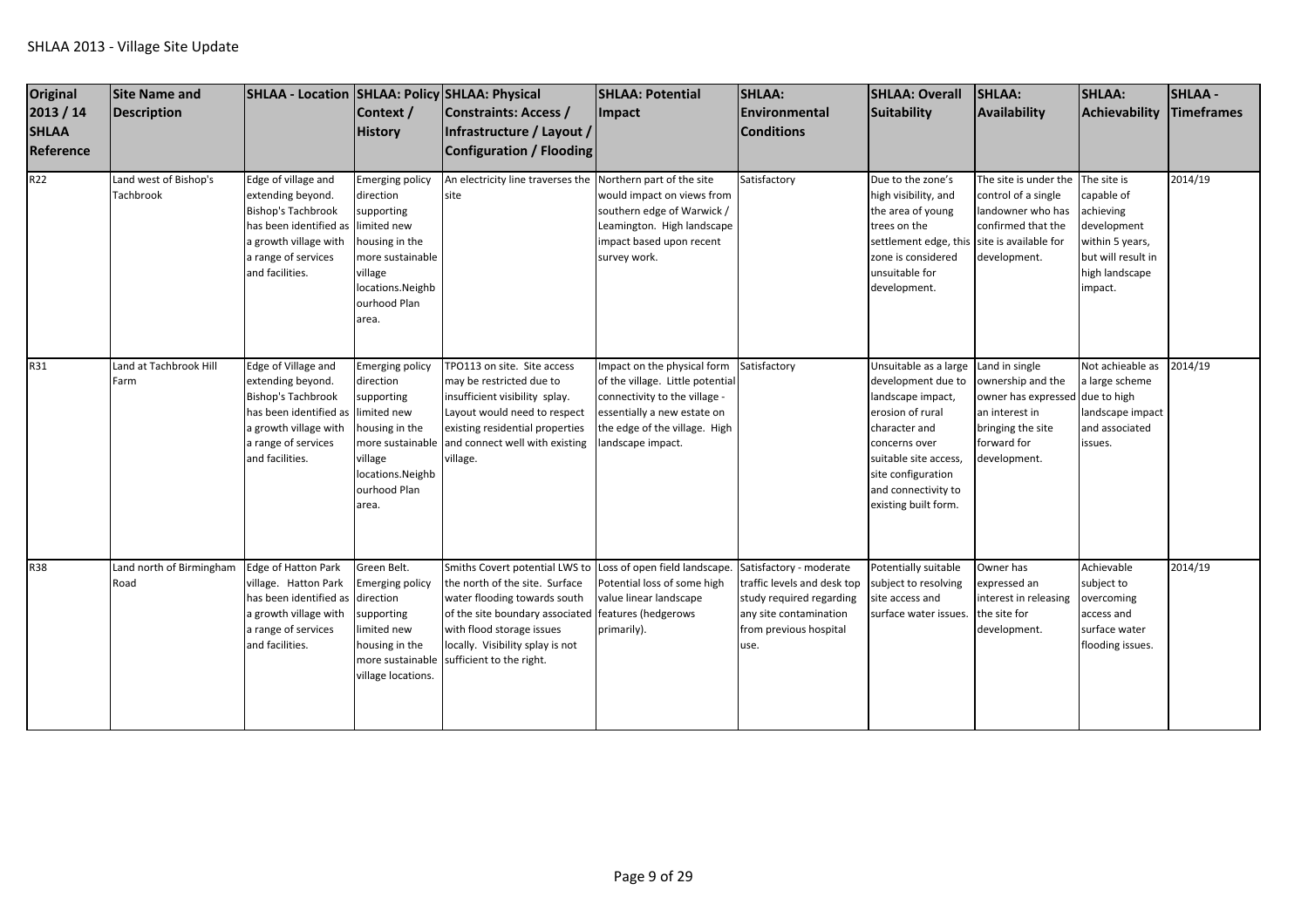| <b>Original</b><br>2013 / 14<br><b>SHLAA</b><br><b>Reference</b> | <b>Site Name and</b><br>Description       | SHLAA - Location SHLAA: Policy SHLAA: Physical                                                                                                                                 | Context /<br><b>History</b>                                                                                                                                    | <b>Constraints: Access /</b><br>Infrastructure / Layout /<br><b>Configuration / Flooding</b>                                                                                                                                     | <b>SHLAA: Potential</b><br><b>Impact</b>                                                                                                                                            | <b>SHLAA:</b><br><b>Environmental</b><br><b>Conditions</b>                                                                                                          | <b>SHLAA: Overall</b><br>Suitability                                                                                                                                                                                 | <b>SHLAA:</b><br><b>Availability</b>                                                                                                         | <b>SHLAA:</b><br>Achievability                                                                                              | <b>SHLAA-</b><br><b>Timeframes</b> |
|------------------------------------------------------------------|-------------------------------------------|--------------------------------------------------------------------------------------------------------------------------------------------------------------------------------|----------------------------------------------------------------------------------------------------------------------------------------------------------------|----------------------------------------------------------------------------------------------------------------------------------------------------------------------------------------------------------------------------------|-------------------------------------------------------------------------------------------------------------------------------------------------------------------------------------|---------------------------------------------------------------------------------------------------------------------------------------------------------------------|----------------------------------------------------------------------------------------------------------------------------------------------------------------------------------------------------------------------|----------------------------------------------------------------------------------------------------------------------------------------------|-----------------------------------------------------------------------------------------------------------------------------|------------------------------------|
| R <sub>22</sub>                                                  | Land west of Bishop's<br><b>Tachbrook</b> | Edge of village and<br>extending beyond.<br><b>Bishop's Tachbrook</b><br>has been identified as limited new<br>a growth village with<br>a range of services<br>and facilities. | <b>Emerging policy</b><br>direction<br>supporting<br>housing in the<br>more sustainable<br>village<br>locations.Neighb<br>ourhood Plan<br>area.                | An electricity line traverses the<br>site                                                                                                                                                                                        | Northern part of the site<br>would impact on views from<br>southern edge of Warwick /<br>Leamington. High landscape<br>impact based upon recent<br>survey work.                     | Satisfactory                                                                                                                                                        | Due to the zone's<br>high visibility, and<br>the area of young<br>trees on the<br>settlement edge, this site is available for<br>zone is considered<br>unsuitable for<br>development.                                | The site is under the<br>control of a single<br>landowner who has<br>confirmed that the<br>development.                                      | The site is<br>capable of<br>achieving<br>development<br>within 5 years,<br>but will result in<br>high landscape<br>impact. | 2014/19                            |
| R31                                                              | Land at Tachbrook Hill<br>Farm            | Edge of Village and<br>extending beyond.<br><b>Bishop's Tachbrook</b><br>has been identified as<br>a growth village with<br>a range of services<br>and facilities.             | <b>Emerging policy</b><br>direction<br>supporting<br>limited new<br>housing in the<br>more sustainable<br>village<br>locations.Neighb<br>ourhood Plan<br>area. | TPO113 on site. Site access<br>may be restricted due to<br>insufficient visibility splay.<br>Layout would need to respect<br>existing residential properties<br>and connect well with existing<br>village.                       | mpact on the physical form<br>of the village. Little potential<br>connectivity to the village -<br>essentially a new estate on<br>the edge of the village. High<br>andscape impact. | Satisfactory                                                                                                                                                        | Unsuitable as a large<br>development due to<br>landscape impact,<br>erosion of rural<br>character and<br>concerns over<br>suitable site access,<br>site configuration<br>and connectivity to<br>existing built form. | Land in single<br>ownership and the<br>owner has expressed due to high<br>an interest in<br>bringing the site<br>forward for<br>development. | Not achieable as<br>a large scheme<br>landscape impact<br>and associated<br>issues.                                         | 2014/19                            |
| <b>R38</b>                                                       | Land north of Birmingham<br>Road          | <b>Edge of Hatton Park</b><br>village. Hatton Park<br>has been identified as direction<br>a growth village with<br>a range of services<br>and facilities.                      | Green Belt.<br>Emerging policy<br>supporting<br>limited new<br>housing in the<br>more sustainable<br>village locations.                                        | Smiths Covert potential LWS to<br>the north of the site. Surface<br>water flooding towards south<br>of the site boundary associated<br>with flood storage issues<br>locally. Visibility splay is not<br>sufficient to the right. | Loss of open field landscape.<br>Potential loss of some high<br>value linear landscape<br>features (hedgerows<br>primarily).                                                        | Satisfactory - moderate<br>traffic levels and desk top subject to resolving<br>study required regarding<br>any site contamination<br>from previous hospital<br>use. | Potentially suitable<br>site access and<br>surface water issues.                                                                                                                                                     | Owner has<br>expressed an<br>interest in releasing<br>the site for<br>development.                                                           | Achievable<br>subject to<br>overcoming<br>access and<br>surface water<br>flooding issues.                                   | 2014/19                            |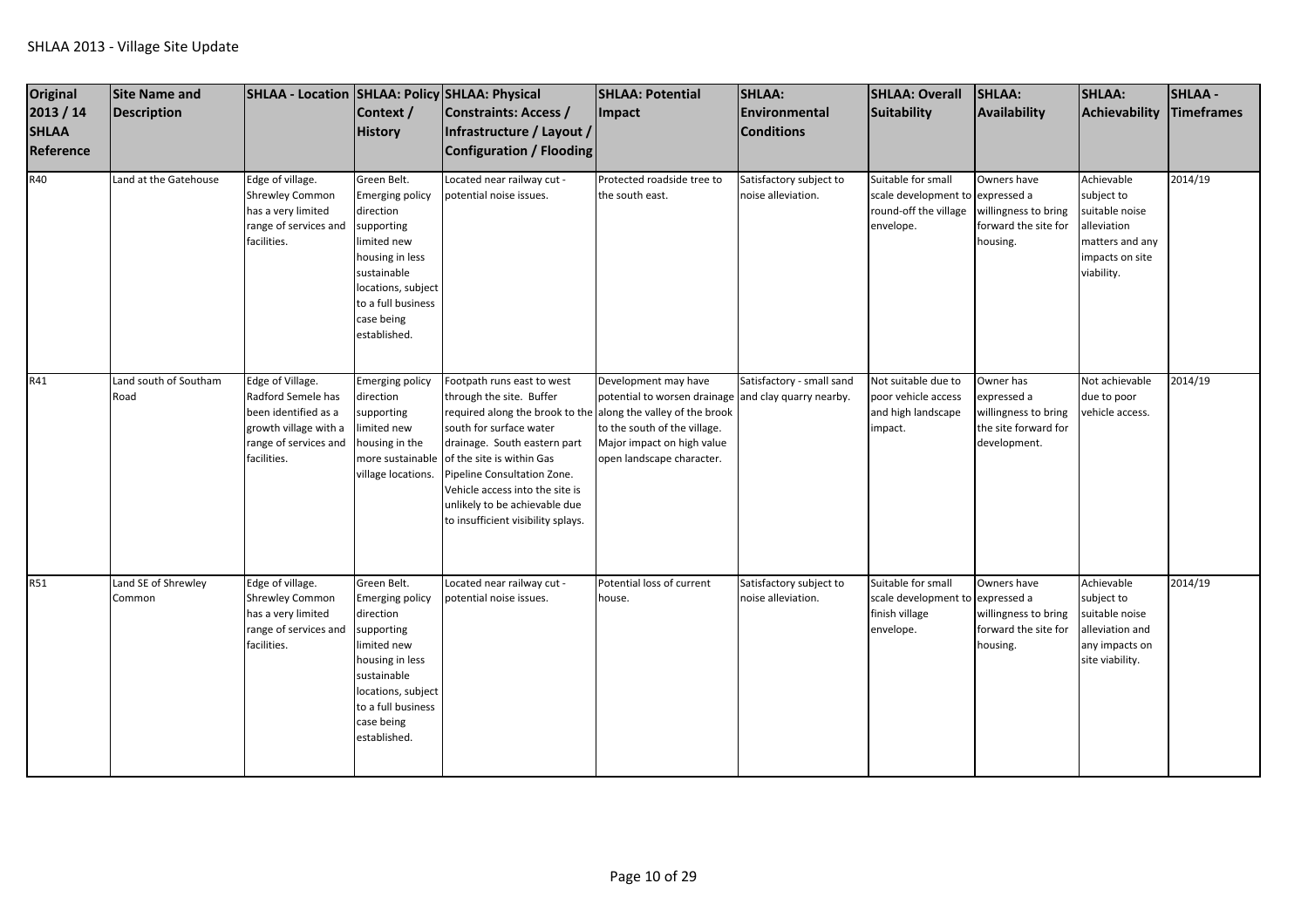| Original<br>2013 / 14<br><b>SHLAA</b><br>Reference<br>R40 | <b>Site Name and</b><br><b>Description</b><br>Land at the Gatehouse | SHLAA - Location SHLAA: Policy SHLAA: Physical<br>Edge of village.                                                              | Context /<br><b>History</b><br>Green Belt.                                                                                                                                                  | Constraints: Access /<br>Infrastructure / Layout /<br>Configuration / Flooding<br>Located near railway cut -                                                                                                                                                                                                                                             | <b>SHLAA: Potential</b><br>Impact<br>Protected roadside tree to                                                                                                         | SHLAA:<br><b>Environmental</b><br><b>Conditions</b><br>Satisfactory subject to | <b>SHLAA: Overall</b><br>Suitability<br>Suitable for small                  | SHLAA:<br>Availability<br>Owners have                                                    | <b>SHLAA:</b><br>Achievability<br>Achievable                                                       | <b>SHLAA -</b><br><b>Timeframes</b><br>2014/19 |
|-----------------------------------------------------------|---------------------------------------------------------------------|---------------------------------------------------------------------------------------------------------------------------------|---------------------------------------------------------------------------------------------------------------------------------------------------------------------------------------------|----------------------------------------------------------------------------------------------------------------------------------------------------------------------------------------------------------------------------------------------------------------------------------------------------------------------------------------------------------|-------------------------------------------------------------------------------------------------------------------------------------------------------------------------|--------------------------------------------------------------------------------|-----------------------------------------------------------------------------|------------------------------------------------------------------------------------------|----------------------------------------------------------------------------------------------------|------------------------------------------------|
|                                                           |                                                                     | <b>Shrewley Common</b><br>has a very limited<br>range of services and<br>facilities.                                            | <b>Emerging policy</b><br>direction<br>supporting<br>limited new<br>housing in less<br>sustainable<br>locations, subject<br>to a full business<br>case being<br>established.                | ootential noise issues.                                                                                                                                                                                                                                                                                                                                  | the south east.                                                                                                                                                         | noise alleviation.                                                             | scale development to<br>round-off the village<br>envelope.                  | expressed a<br>willingness to bring<br>forward the site for<br>housing.                  | subject to<br>suitable noise<br>alleviation<br>matters and any<br>impacts on site<br>viability.    |                                                |
| R41                                                       | Land south of Southam<br>Road                                       | Edge of Village.<br>Radford Semele has<br>been identified as a<br>growth village with a<br>range of services and<br>facilities. | <b>Emerging policy</b><br>direction<br>supporting<br>limited new<br>housing in the<br>more sustainable<br>village locations.                                                                | Footpath runs east to west<br>through the site. Buffer<br>required along the brook to the along the valley of the brook<br>south for surface water<br>drainage. South eastern part<br>of the site is within Gas<br>Pipeline Consultation Zone.<br>Vehicle access into the site is<br>unlikely to be achievable due<br>to insufficient visibility splays. | Development may have<br>potential to worsen drainage and clay quarry nearby.<br>to the south of the village.<br>Major impact on high value<br>open landscape character. | Satisfactory - small sand                                                      | Not suitable due to<br>poor vehicle access<br>and high landscape<br>impact. | Owner has<br>expressed a<br>willingness to bring<br>the site forward for<br>development. | Not achievable<br>due to poor<br>vehicle access.                                                   | 2014/19                                        |
| <b>R51</b>                                                | Land SE of Shrewley<br>Common                                       | Edge of village.<br><b>Shrewley Common</b><br>has a very limited<br>range of services and<br>facilities.                        | Green Belt.<br><b>Emerging policy</b><br>direction<br>supporting<br>limited new<br>housing in less<br>sustainable<br>locations, subject<br>to a full business<br>case being<br>established. | - Located near railway cut<br>ootential noise issues.                                                                                                                                                                                                                                                                                                    | Potential loss of current<br>house.                                                                                                                                     | Satisfactory subject to<br>noise alleviation.                                  | Suitable for small<br>scale development to<br>finish village<br>envelope.   | Owners have<br>expressed a<br>willingness to bring<br>forward the site for<br>housing.   | Achievable<br>subject to<br>suitable noise<br>alleviation and<br>any impacts on<br>site viability. | 2014/19                                        |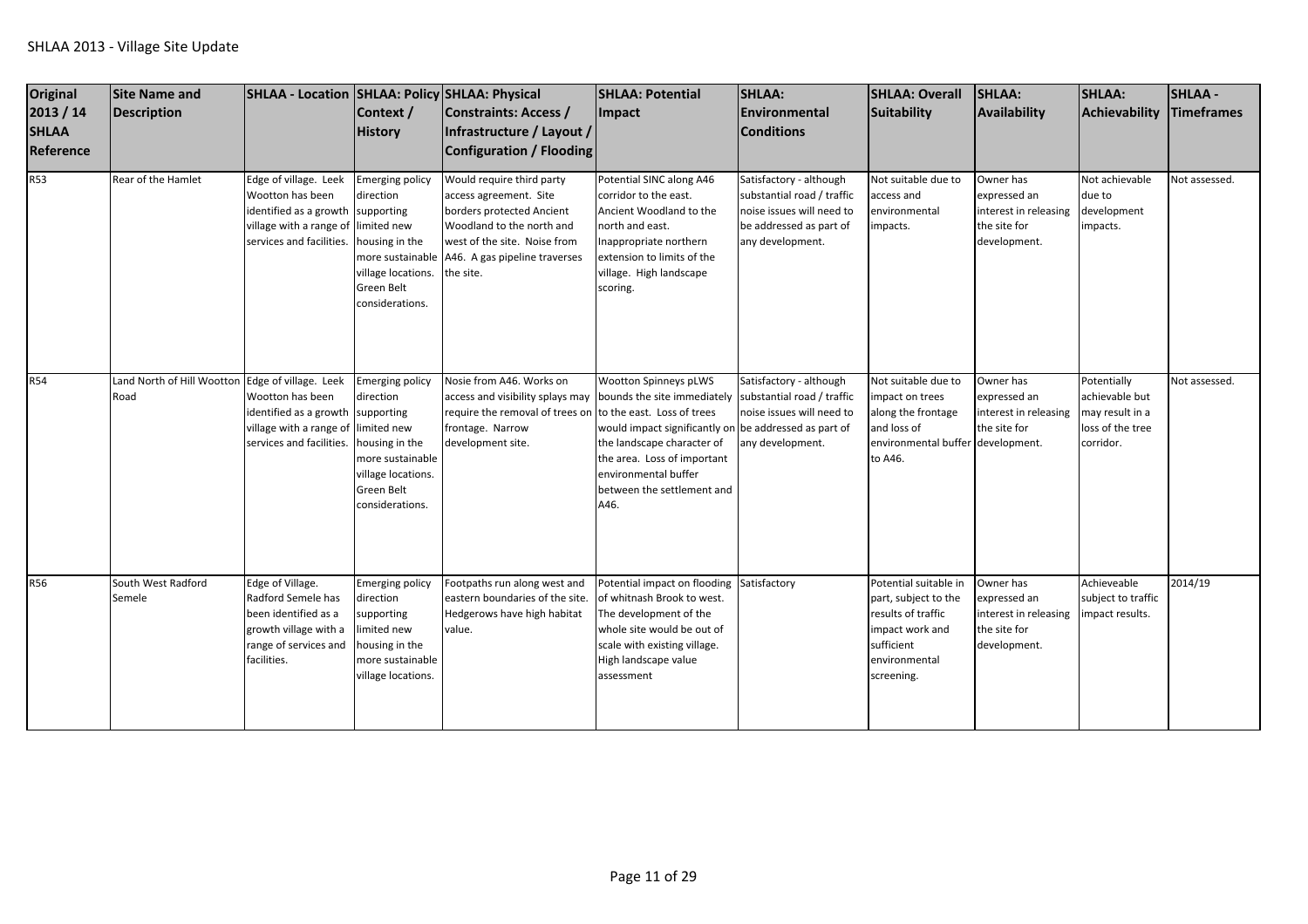| Original<br>2013 / 14<br><b>SHLAA</b><br>Reference | <b>Site Name and</b><br>Description | SHLAA - Location   SHLAA: Policy   SHLAA: Physical                                                                                                               | Context /<br><b>History</b>                                                                                                  | Constraints: Access /<br>Infrastructure / Layout /<br>Configuration / Flooding                                                                                                                                             | <b>SHLAA: Potential</b><br><b>Impact</b>                                                                                                                                                                         | SHLAA:<br><b>Environmental</b><br><b>Conditions</b>                                                                               | <b>SHLAA: Overall</b><br>Suitability                                                                                                | SHLAA:<br>Availability                                                             | <b>SHLAA:</b><br>Achievability                                                    | <b>SHLAA-</b><br>Timeframes |
|----------------------------------------------------|-------------------------------------|------------------------------------------------------------------------------------------------------------------------------------------------------------------|------------------------------------------------------------------------------------------------------------------------------|----------------------------------------------------------------------------------------------------------------------------------------------------------------------------------------------------------------------------|------------------------------------------------------------------------------------------------------------------------------------------------------------------------------------------------------------------|-----------------------------------------------------------------------------------------------------------------------------------|-------------------------------------------------------------------------------------------------------------------------------------|------------------------------------------------------------------------------------|-----------------------------------------------------------------------------------|-----------------------------|
| <b>R53</b>                                         | Rear of the Hamlet                  | Edge of village. Leek<br>Wootton has been<br>identified as a growth supporting<br>village with a range of limited new<br>services and facilities. housing in the | <b>Emerging policy</b><br>direction<br>village locations.<br>Green Belt<br>considerations.                                   | Would require third party<br>access agreement. Site<br>borders protected Ancient<br>Woodland to the north and<br>west of the site. Noise from<br>more sustainable A46. A gas pipeline traverses<br>the site.               | Potential SINC along A46<br>corridor to the east.<br>Ancient Woodland to the<br>north and east.<br>Inappropriate northern<br>extension to limits of the<br>village. High landscape<br>scoring.                   | Satisfactory - although<br>substantial road / traffic<br>noise issues will need to<br>be addressed as part of<br>any development. | Not suitable due to<br>access and<br>environmental<br>impacts.                                                                      | Owner has<br>expressed an<br>interest in releasing<br>the site for<br>development. | Not achievable<br>due to<br>development<br>impacts.                               | Not assessed.               |
| <b>R54</b>                                         | Land North of Hill Wootton<br>Road  | Edge of village. Leek<br>Wootton has been<br>identified as a growth supporting<br>village with a range of limited new<br>services and facilities. housing in the | <b>Emerging policy</b><br>direction<br>more sustainable<br>village locations.<br>Green Belt<br>considerations.               | Nosie from A46. Works on<br>access and visibility splays may bounds the site immediately substantial road / traffic<br>require the removal of trees on to the east. Loss of trees<br>frontage. Narrow<br>development site. | <b>Wootton Spinneys pLWS</b><br>would impact significantly on be addressed as part of<br>the landscape character of<br>the area. Loss of important<br>environmental buffer<br>between the settlement and<br>A46. | Satisfactory - although<br>noise issues will need to<br>any development.                                                          | Not suitable due to<br>impact on trees<br>along the frontage<br>and loss of<br>environmental buffer development.<br>to A46.         | Owner has<br>expressed an<br>interest in releasing<br>the site for                 | Potentially<br>achievable but<br>may result in a<br>loss of the tree<br>corridor. | Not assessed.               |
| <b>R56</b>                                         | South West Radford<br>Semele        | Edge of Village.<br>Radford Semele has<br>been identified as a<br>growth village with a<br>range of services and<br>facilities.                                  | <b>Emerging policy</b><br>direction<br>supporting<br>limited new<br>housing in the<br>more sustainable<br>village locations. | Footpaths run along west and<br>eastern boundaries of the site.<br>Hedgerows have high habitat<br>value.                                                                                                                   | Potential impact on flooding Satisfactory<br>of whitnash Brook to west.<br>The development of the<br>whole site would be out of<br>scale with existing village.<br>High landscape value<br>assessment            |                                                                                                                                   | Potential suitable in<br>part, subject to the<br>results of traffic<br>impact work and<br>sufficient<br>environmental<br>screening. | Owner has<br>expressed an<br>interest in releasing<br>the site for<br>development. | Achieveable<br>subject to traffic<br>impact results.                              | 2014/19                     |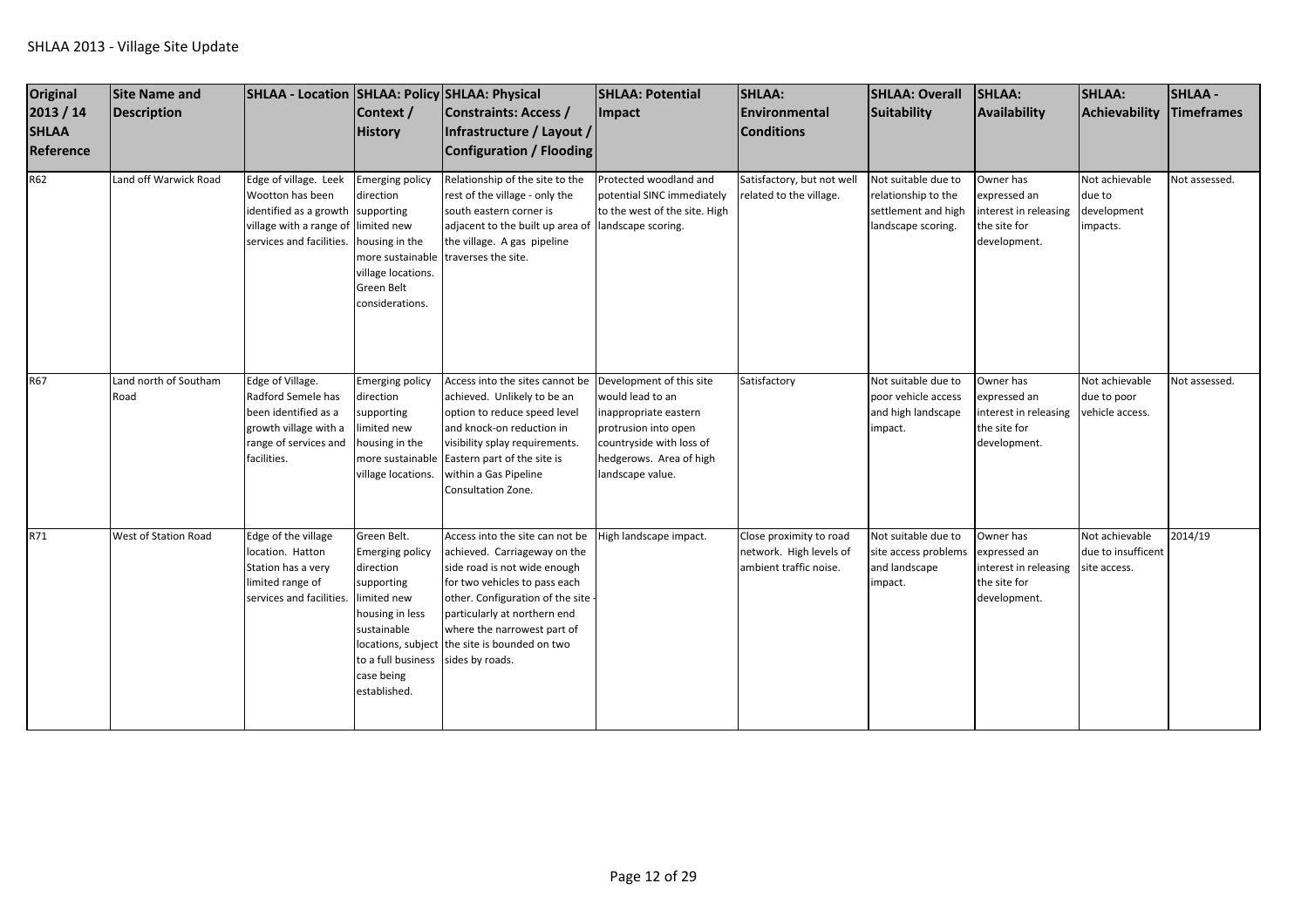| Original<br>2013 / 14<br><b>SHLAA</b><br>Reference | <b>Site Name and</b><br><b>Description</b> | SHLAA - Location SHLAA: Policy SHLAA: Physical                                                                                                    | Context /<br><b>History</b>                                                                                                                                           | Constraints: Access /<br>Infrastructure / Layout /<br>Configuration / Flooding                                                                                                                                                                                                                          | <b>SHLAA: Potential</b><br><b>Impact</b>                                                                                                     | <b>SHLAA:</b><br>Environmental<br><b>Conditions</b>                          | <b>SHLAA: Overall</b><br>Suitability                                                    | SHLAA:<br>Availability                                                             | <b>SHLAA:</b><br>Achievability                       | <b>SHLAA-</b><br><b>Timeframes</b> |
|----------------------------------------------------|--------------------------------------------|---------------------------------------------------------------------------------------------------------------------------------------------------|-----------------------------------------------------------------------------------------------------------------------------------------------------------------------|---------------------------------------------------------------------------------------------------------------------------------------------------------------------------------------------------------------------------------------------------------------------------------------------------------|----------------------------------------------------------------------------------------------------------------------------------------------|------------------------------------------------------------------------------|-----------------------------------------------------------------------------------------|------------------------------------------------------------------------------------|------------------------------------------------------|------------------------------------|
| R62                                                | Land off Warwick Road                      | Edge of village. Leek<br>Wootton has been<br>identified as a growth supporting<br>village with a range of limited new<br>services and facilities. | <b>Emerging policy</b><br>direction<br>housing in the<br>village locations.<br>Green Belt<br>considerations.                                                          | Relationship of the site to the<br>rest of the village - only the<br>south eastern corner is<br>adjacent to the built up area of landscape scoring.<br>the village. A gas pipeline<br>more sustainable traverses the site.                                                                              | Protected woodland and<br>potential SINC immediately<br>to the west of the site. High                                                        | Satisfactory, but not wel<br>related to the village.                         | Not suitable due to<br>relationship to the<br>settlement and high<br>landscape scoring. | Owner has<br>expressed an<br>interest in releasing<br>the site for<br>development. | Not achievable<br>due to<br>development<br>impacts.  | Not assessed.                      |
| <b>R67</b>                                         | Land north of Southam<br>Road              | Edge of Village.<br>Radford Semele has<br>been identified as a<br>growth village with a<br>range of services and<br>facilities.                   | Emerging policy<br>direction<br>supporting<br>limited new<br>housing in the<br>village locations.                                                                     | Access into the sites cannot be Development of this site<br>achieved. Unlikely to be an<br>option to reduce speed level<br>and knock-on reduction in<br>visibility splay requirements.<br>more sustainable Eastern part of the site is<br>within a Gas Pipeline<br>Consultation Zone.                   | would lead to an<br>inappropriate eastern<br>protrusion into open<br>countryside with loss of<br>hedgerows. Area of high<br>landscape value. | Satisfactory                                                                 | Not suitable due to<br>poor vehicle access<br>and high landscape<br>impact.             | Owner has<br>expressed an<br>interest in releasing<br>the site for<br>development. | Not achievable<br>due to poor<br>vehicle access.     | Not assessed.                      |
| R71                                                | West of Station Road                       | Edge of the village<br>location. Hatton<br>Station has a very<br>limited range of<br>services and facilities.                                     | Green Belt.<br><b>Emerging policy</b><br>direction<br>supporting<br>limited new<br>housing in less<br>sustainable<br>to a full business<br>case being<br>established. | Access into the site can not be<br>achieved. Carriageway on the<br>side road is not wide enough<br>for two vehicles to pass each<br>other. Configuration of the site<br>particularly at northern end<br>where the narrowest part of<br>locations, subject the site is bounded on two<br>sides by roads. | High landscape impact.                                                                                                                       | Close proximity to road<br>network. High levels of<br>ambient traffic noise. | Not suitable due to<br>site access problems<br>and landscape<br>impact.                 | Owner has<br>expressed an<br>interest in releasing<br>the site for<br>development. | Not achievable<br>due to insufficent<br>site access. | 2014/19                            |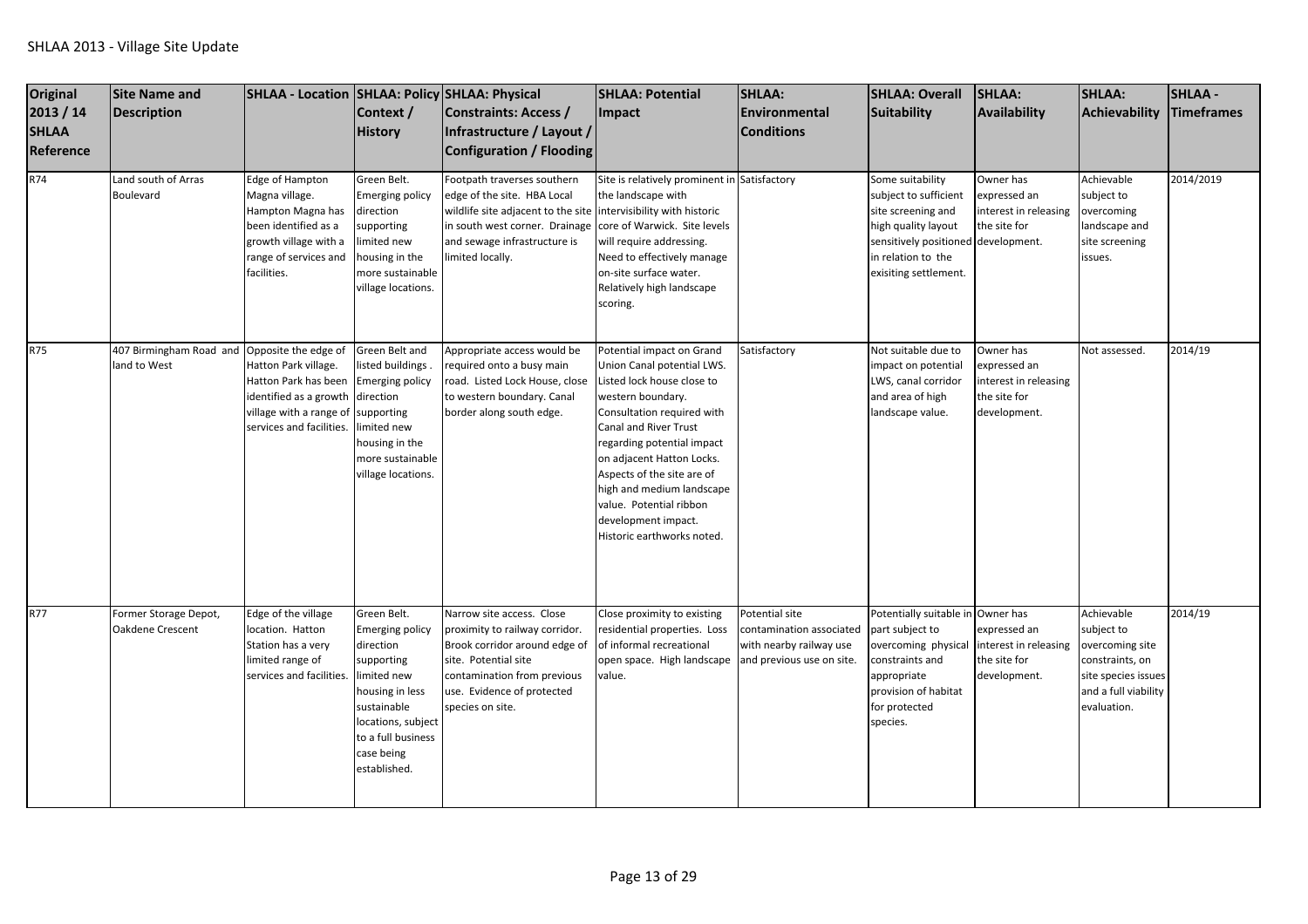| <b>Original</b><br>2013 / 14<br><b>SHLAA</b><br>Reference<br>R74 | <b>Site Name and</b><br><b>Description</b><br>Land south of Arras<br>Boulevard | SHLAA - Location   SHLAA: Policy   SHLAA: Physical<br>Edge of Hampton<br>Magna village.<br>Hampton Magna has<br>been identified as a<br>growth village with a<br>range of services and<br>facilities. | Context /<br><b>History</b><br>Green Belt.<br><b>Emerging policy</b><br>direction<br>supporting<br>limited new<br>housing in the<br>more sustainable<br>village locations.                  | Constraints: Access /<br>Infrastructure / Layout /<br>Configuration / Flooding<br>Footpath traverses southern<br>edge of the site. HBA Local<br>wildlife site adjacent to the site<br>in south west corner. Drainage<br>and sewage infrastructure is<br>limited locally. | <b>SHLAA: Potential</b><br>Impact<br>Site is relatively prominent in Satisfactory<br>the landscape with<br>intervisibility with historic<br>core of Warwick. Site levels<br>will require addressing.<br>Need to effectively manage<br>on-site surface water.<br>Relatively high landscape                                                                                                  | <b>SHLAA:</b><br>Environmental<br><b>Conditions</b>                                                | <b>SHLAA: Overall</b><br><b>Suitability</b><br>Some suitability<br>subject to sufficient<br>site screening and<br>high quality layout<br>sensitively positioned development.<br>in relation to the<br>exisiting settlement. | <b>SHLAA:</b><br>Availability<br>Owner has<br>expressed an<br>nterest in releasing<br>the site for | <b>SHLAA:</b><br>Achievability<br>Achievable<br>subject to<br>overcoming<br>landscape and<br>site screening<br>issues.       | <b>SHLAA -</b><br><b>Timeframes</b><br>2014/2019 |
|------------------------------------------------------------------|--------------------------------------------------------------------------------|-------------------------------------------------------------------------------------------------------------------------------------------------------------------------------------------------------|---------------------------------------------------------------------------------------------------------------------------------------------------------------------------------------------|--------------------------------------------------------------------------------------------------------------------------------------------------------------------------------------------------------------------------------------------------------------------------|--------------------------------------------------------------------------------------------------------------------------------------------------------------------------------------------------------------------------------------------------------------------------------------------------------------------------------------------------------------------------------------------|----------------------------------------------------------------------------------------------------|-----------------------------------------------------------------------------------------------------------------------------------------------------------------------------------------------------------------------------|----------------------------------------------------------------------------------------------------|------------------------------------------------------------------------------------------------------------------------------|--------------------------------------------------|
| R75                                                              | 407 Birmingham Road and<br>land to West                                        | Opposite the edge of<br>Hatton Park village.<br>Hatton Park has been<br>identified as a growth direction<br>village with a range of supporting<br>services and facilities.                            | Green Belt and<br>listed buildings.<br><b>Emerging policy</b><br>limited new<br>housing in the<br>more sustainable<br>village locations.                                                    | Appropriate access would be<br>equired onto a busy main<br>oad. Listed Lock House, close<br>to western boundary. Canal<br>border along south edge.                                                                                                                       | scoring.<br>Potential impact on Grand<br>Union Canal potential LWS.<br>Listed lock house close to<br>western boundary.<br>Consultation required with<br><b>Canal and River Trust</b><br>regarding potential impact<br>on adjacent Hatton Locks.<br>Aspects of the site are of<br>high and medium landscape<br>value. Potential ribbon<br>development impact.<br>Historic earthworks noted. | Satisfactory                                                                                       | Not suitable due to<br>impact on potential<br>LWS, canal corridor<br>and area of high<br>landscape value.                                                                                                                   | Owner has<br>expressed an<br>nterest in releasing<br>the site for<br>development.                  | Not assessed.                                                                                                                | 2014/19                                          |
| R77                                                              | Former Storage Depot,<br>Oakdene Crescent                                      | Edge of the village<br>location. Hatton<br>Station has a very<br>limited range of<br>services and facilities.                                                                                         | Green Belt.<br><b>Emerging policy</b><br>direction<br>supporting<br>limited new<br>housing in less<br>sustainable<br>locations, subject<br>to a full business<br>case being<br>established. | Narrow site access. Close<br>proximity to railway corridor.<br>Brook corridor around edge of<br>site. Potential site<br>contamination from previous<br>use. Evidence of protected<br>species on site.                                                                    | Close proximity to existing<br>residential properties. Loss<br>of informal recreational<br>open space. High landscape<br>value.                                                                                                                                                                                                                                                            | Potential site<br>contamination associated<br>with nearby railway use<br>and previous use on site. | Potentially suitable in Owner has<br>part subject to<br>overcoming physical<br>constraints and<br>appropriate<br>provision of habitat<br>for protected<br>species.                                                          | expressed an<br>interest in releasing<br>the site for<br>development.                              | Achievable<br>subject to<br>overcoming site<br>constraints, on<br>site species issues<br>and a full viability<br>evaluation. | 2014/19                                          |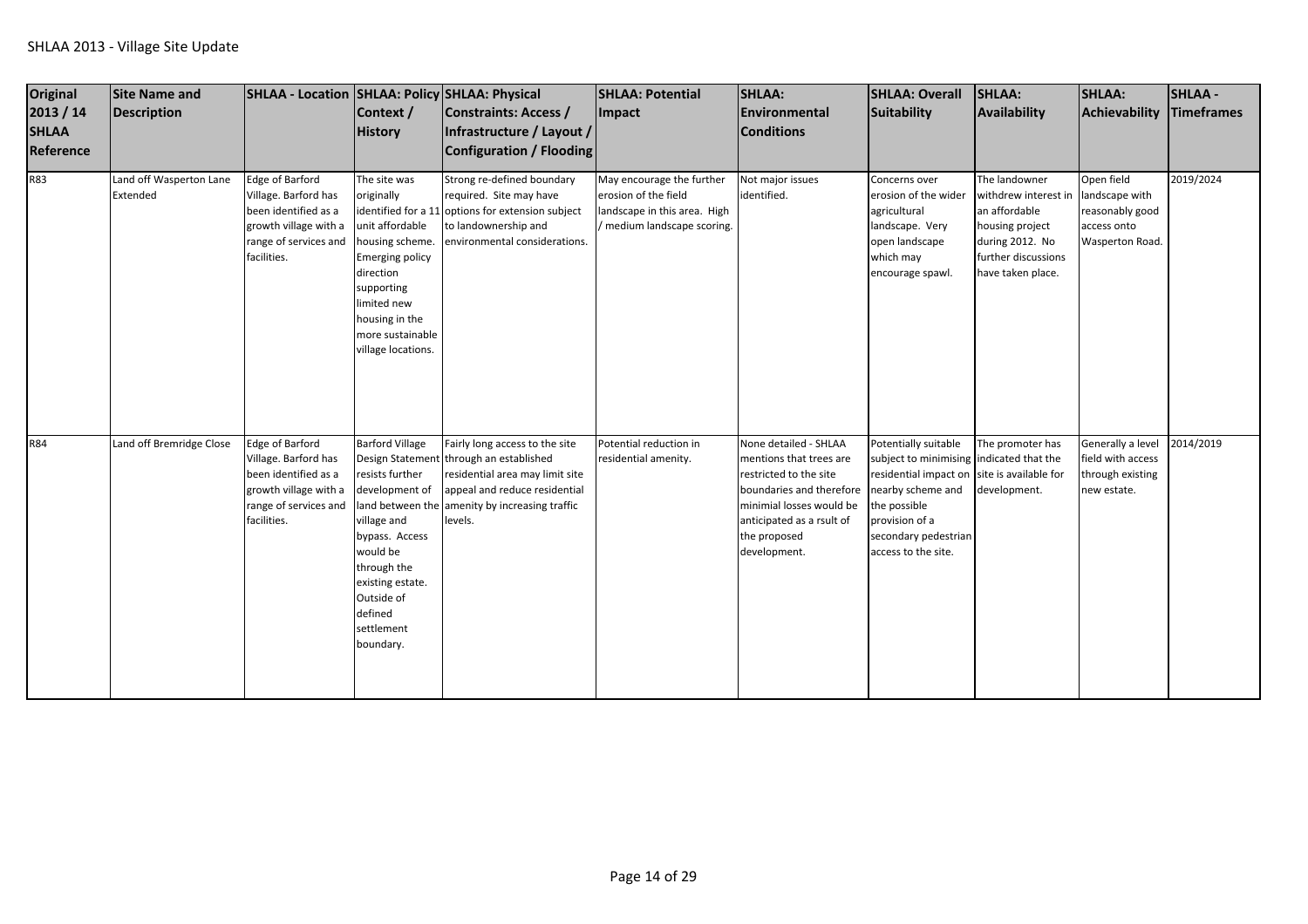| <b>Original</b><br>2013 / 14<br><b>SHLAA</b><br>Reference | <b>Site Name and</b><br><b>Description</b> | SHLAA - Location   SHLAA: Policy   SHLAA: Physical                                                                                      | Context /<br><b>History</b>                                                                                                                                                                                         | Constraints: Access /<br>Infrastructure / Layout /<br>Configuration / Flooding                                                                                                            | <b>SHLAA: Potential</b><br>Impact                                                                                | <b>SHLAA:</b><br>Environmental<br><b>Conditions</b>                                                                                                                                                               | <b>SHLAA: Overall</b><br>Suitability                                                                                                                                       | SHLAA:<br>Availability                                                                                                                   | <b>SHLAA:</b><br>Achievability                                                    | <b>SHLAA-</b><br>Timeframes |
|-----------------------------------------------------------|--------------------------------------------|-----------------------------------------------------------------------------------------------------------------------------------------|---------------------------------------------------------------------------------------------------------------------------------------------------------------------------------------------------------------------|-------------------------------------------------------------------------------------------------------------------------------------------------------------------------------------------|------------------------------------------------------------------------------------------------------------------|-------------------------------------------------------------------------------------------------------------------------------------------------------------------------------------------------------------------|----------------------------------------------------------------------------------------------------------------------------------------------------------------------------|------------------------------------------------------------------------------------------------------------------------------------------|-----------------------------------------------------------------------------------|-----------------------------|
| <b>R83</b>                                                | Land off Wasperton Lane<br>Extended        | Edge of Barford<br>Village. Barford has<br>been identified as a<br>growth village with a<br>range of services and<br>facilities.        | The site was<br>originally<br>unit affordable<br>housing scheme.<br><b>Emerging policy</b><br>direction<br>supporting<br>limited new<br>housing in the<br>more sustainable<br>village locations.                    | Strong re-defined boundary<br>required. Site may have<br>identified for a 11 options for extension subject<br>to landownership and<br>environmental considerations.                       | May encourage the further<br>erosion of the field<br>landscape in this area. High<br>/ medium landscape scoring. | Not major issues<br>identified.                                                                                                                                                                                   | Concerns over<br>erosion of the wider<br>agricultural<br>landscape. Very<br>open landscape<br>which may<br>encourage spawl.                                                | The landowner<br>withdrew interest in<br>an affordable<br>housing project<br>during 2012. No<br>further discussions<br>have taken place. | Open field<br>landscape with<br>reasonably good<br>access onto<br>Wasperton Road. | 2019/2024                   |
| R84                                                       | Land off Bremridge Close                   | <b>Edge of Barford</b><br>Village. Barford has<br>been identified as a<br>growth village with a<br>range of services and<br>facilities. | <b>Barford Village</b><br>resists further<br>development of<br>land between the<br>village and<br>bypass. Access<br>would be<br>through the<br>existing estate.<br>Outside of<br>defined<br>settlement<br>boundary. | Fairly long access to the site<br>Design Statement through an established<br>residential area may limit site<br>appeal and reduce residential<br>amenity by increasing traffic<br>levels. | Potential reduction in<br>residential amenity.                                                                   | None detailed - SHLAA<br>mentions that trees are<br>restricted to the site<br>boundaries and therefore nearby scheme and<br>minimial losses would be<br>anticipated as a rsult of<br>the proposed<br>development. | Potentially suitable<br>subject to minimising indicated that the<br>residential impact on<br>the possible<br>provision of a<br>secondary pedestrian<br>access to the site. | The promoter has<br>site is available for<br>development.                                                                                | Generally a level<br>field with access<br>through existing<br>new estate.         | 2014/2019                   |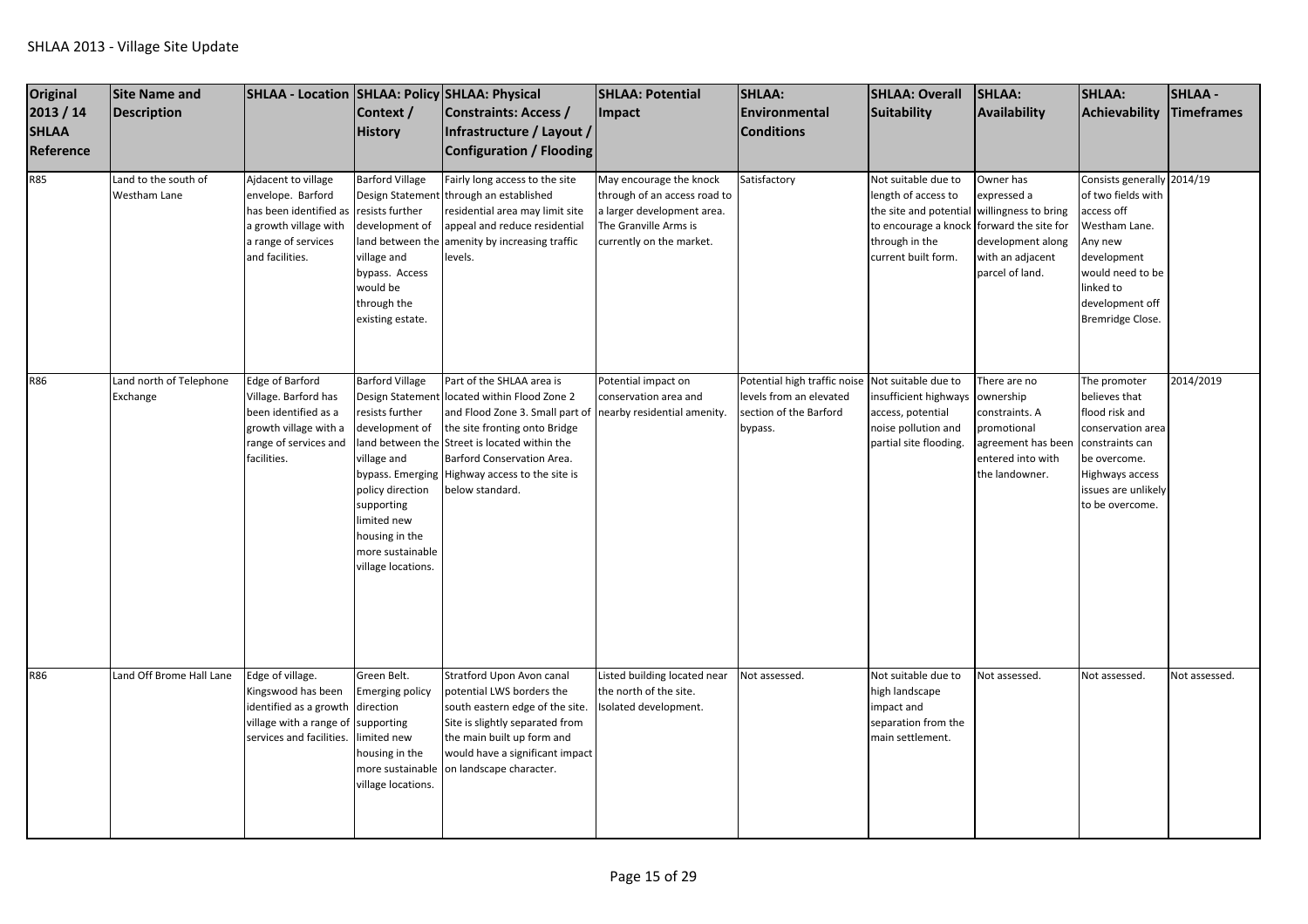| Original<br>2013 / 14<br><b>SHLAA</b><br>Reference | Site Name and<br>Description         | SHLAA - Location SHLAA: Policy SHLAA: Physical                                                                                               | Context /<br><b>History</b>                                                                                                                                                                | Constraints: Access /<br>Infrastructure / Layout /<br>Configuration / Flooding                                                                                                                                                                                                                                                | <b>SHLAA: Potential</b><br>Impact                                                                                                          | <b>SHLAA:</b><br>Environmental<br><b>Conditions</b>                                                              | <b>SHLAA: Overall</b><br>Suitability                                                                                                  | SHLAA:<br>Availability                                                                                                               | SHLAA:<br>Achievability                                                                                                                                                           | <b>SHLAA-</b><br>Timeframes |
|----------------------------------------------------|--------------------------------------|----------------------------------------------------------------------------------------------------------------------------------------------|--------------------------------------------------------------------------------------------------------------------------------------------------------------------------------------------|-------------------------------------------------------------------------------------------------------------------------------------------------------------------------------------------------------------------------------------------------------------------------------------------------------------------------------|--------------------------------------------------------------------------------------------------------------------------------------------|------------------------------------------------------------------------------------------------------------------|---------------------------------------------------------------------------------------------------------------------------------------|--------------------------------------------------------------------------------------------------------------------------------------|-----------------------------------------------------------------------------------------------------------------------------------------------------------------------------------|-----------------------------|
| <b>R85</b>                                         | Land to the south of<br>Westham Lane | Ajdacent to village<br>envelope. Barford<br>has been identified as<br>a growth village with<br>a range of services<br>and facilities.        | <b>Barford Village</b><br><b>Design Statement</b><br>resists further<br>development of<br>land between the<br>village and<br>bypass. Access<br>would be<br>through the<br>existing estate. | Fairly long access to the site<br>through an established<br>esidential area may limit site<br>appeal and reduce residential<br>amenity by increasing traffic<br>levels.                                                                                                                                                       | May encourage the knock<br>through of an access road to<br>a larger development area.<br>The Granville Arms is<br>currently on the market. | Satisfactory                                                                                                     | Not suitable due to<br>length of access to<br>the site and potential<br>to encourage a knock<br>through in the<br>current built form. | Owner has<br>expressed a<br>willingness to bring<br>forward the site for<br>development along<br>with an adjacent<br>parcel of land. | Consists generally 2014/19<br>of two fields with<br>access off<br>Westham Lane.<br>Any new<br>development<br>would need to be<br>linked to<br>development off<br>Bremridge Close. |                             |
| R86                                                | Land north of Telephone<br>Exchange  | <b>Edge of Barford</b><br>Village. Barford has<br>been identified as a<br>growth village with a<br>range of services and<br>facilities.      | <b>Barford Village</b><br>resists further<br>development of<br>village and<br>policy direction<br>supporting<br>limited new<br>housing in the<br>more sustainable<br>village locations.    | Part of the SHLAA area is<br>Design Statement located within Flood Zone 2<br>and Flood Zone 3. Small part of nearby residential amenity.<br>the site fronting onto Bridge<br>land between the Street is located within the<br>Barford Conservation Area.<br>bypass. Emerging Highway access to the site is<br>below standard. | Potential impact on<br>conservation area and                                                                                               | Potential high traffic noise Not suitable due to<br>levels from an elevated<br>section of the Barford<br>bypass. | insufficient highways<br>access, potential<br>noise pollution and<br>partial site flooding.                                           | There are no<br>ownership<br>constraints. A<br>promotional<br>agreement has beer<br>entered into with<br>the landowner.              | The promoter<br>believes that<br>flood risk and<br>conservation area<br>constraints can<br>be overcome.<br>Highways access<br>issues are unlikely<br>to be overcome.              | 2014/2019                   |
| R86                                                | Land Off Brome Hall Lane             | Edge of village.<br>Kingswood has been<br>identified as a growth direction<br>village with a range of supporting<br>services and facilities. | Green Belt.<br><b>Emerging policy</b><br>limited new<br>housing in the<br>more sustainable<br>village locations.                                                                           | Stratford Upon Avon canal<br>potential LWS borders the<br>south eastern edge of the site.<br>Site is slightly separated from<br>the main built up form and<br>would have a significant impact<br>on landscape character.                                                                                                      | Listed building located near<br>the north of the site.<br>solated development.                                                             | Not assessed.                                                                                                    | Not suitable due to<br>high landscape<br>impact and<br>separation from the<br>main settlement.                                        | Not assessed.                                                                                                                        | Not assessed.                                                                                                                                                                     | Not assessed.               |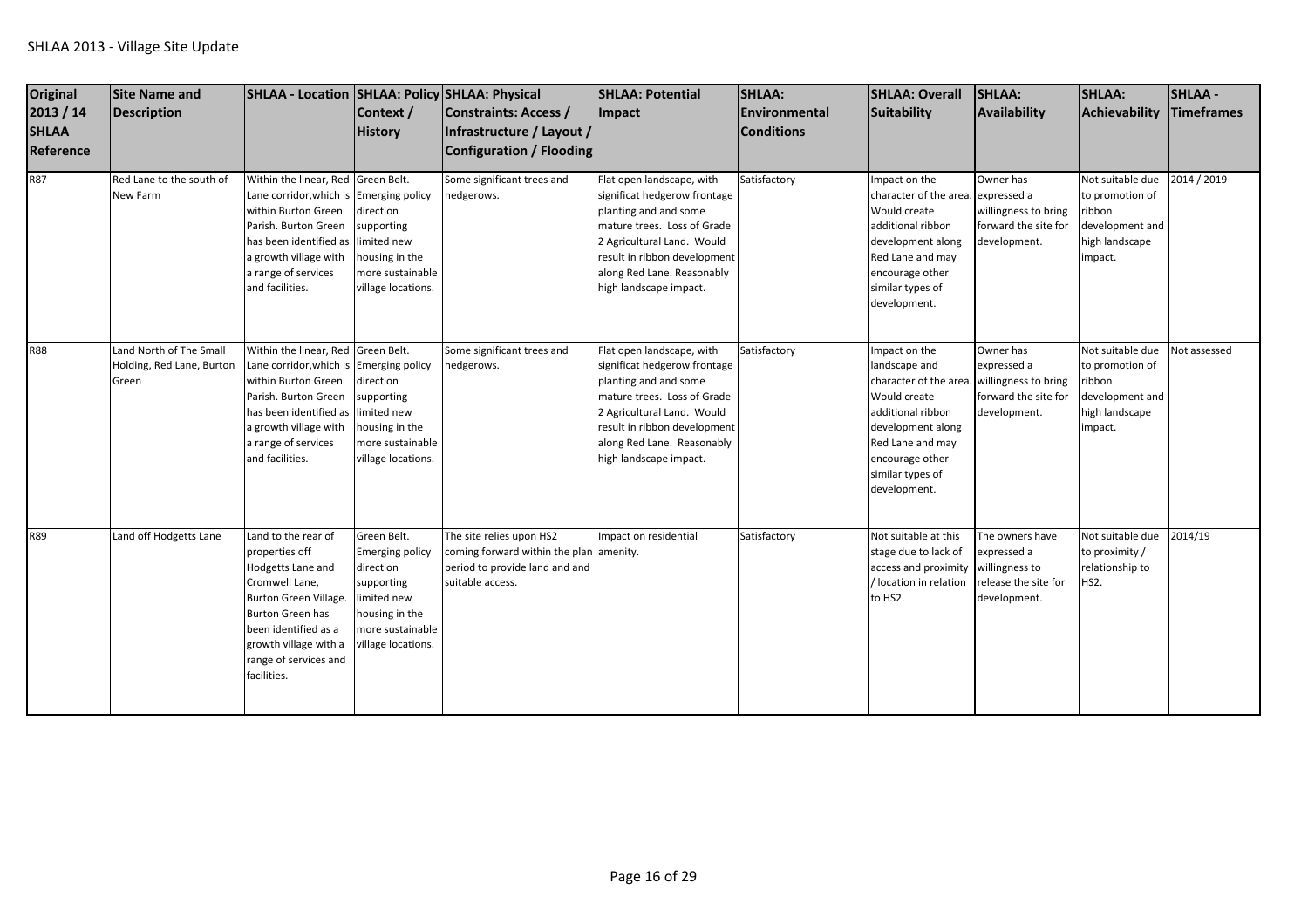| <b>Original</b><br>2013 / 14<br><b>SHLAA</b><br><b>Reference</b><br><b>R87</b> | Site Name and<br>Description<br>Red Lane to the south of<br>New Farm | SHLAA - Location SHLAA: Policy SHLAA: Physical<br>Within the linear, Red Green Belt.<br>Lane corridor, which is Emerging policy<br>within Burton Green<br>Parish. Burton Green<br>has been identified as                        | Context /<br><b>History</b><br>direction<br>supporting<br>limited new                                                                       | <b>Constraints: Access /</b><br>Infrastructure / Layout /<br><b>Configuration / Flooding</b><br>Some significant trees and<br>hedgerows. | <b>SHLAA: Potential</b><br>Impact<br>Flat open landscape, with<br>significat hedgerow frontage<br>planting and and some<br>mature trees. Loss of Grade<br>2 Agricultural Land. Would                                                    | <b>SHLAA:</b><br>Environmental<br><b>Conditions</b><br>Satisfactory | <b>SHLAA: Overall</b><br>Suitability<br>Impact on the<br>character of the area.<br>Would create<br>additional ribbon<br>development along                                                     | <b>SHLAA:</b><br><b>Availability</b><br>Owner has<br>expressed a<br>willingness to bring<br>forward the site for<br>development. | <b>SHLAA:</b><br>Achievability<br>Not suitable due<br>to promotion of<br>ribbon<br>development and<br>high landscape | <b>SHLAA-</b><br><b>Timeframes</b><br>2014 / 2019 |
|--------------------------------------------------------------------------------|----------------------------------------------------------------------|---------------------------------------------------------------------------------------------------------------------------------------------------------------------------------------------------------------------------------|---------------------------------------------------------------------------------------------------------------------------------------------|------------------------------------------------------------------------------------------------------------------------------------------|-----------------------------------------------------------------------------------------------------------------------------------------------------------------------------------------------------------------------------------------|---------------------------------------------------------------------|-----------------------------------------------------------------------------------------------------------------------------------------------------------------------------------------------|----------------------------------------------------------------------------------------------------------------------------------|----------------------------------------------------------------------------------------------------------------------|---------------------------------------------------|
|                                                                                |                                                                      | a growth village with<br>a range of services<br>and facilities.                                                                                                                                                                 | housing in the<br>more sustainable<br>village locations.                                                                                    |                                                                                                                                          | result in ribbon development<br>along Red Lane. Reasonably<br>high landscape impact.                                                                                                                                                    |                                                                     | Red Lane and may<br>encourage other<br>similar types of<br>development.                                                                                                                       |                                                                                                                                  | impact.                                                                                                              |                                                   |
| <b>R88</b>                                                                     | Land North of The Small<br>Holding, Red Lane, Burton<br>Green        | Within the linear, Red Green Belt.<br>Lane corridor, which is Emerging policy<br>within Burton Green<br>Parish. Burton Green<br>has been identified as<br>a growth village with<br>a range of services<br>and facilities.       | direction<br>supporting<br>limited new<br>housing in the<br>more sustainable<br>village locations.                                          | Some significant trees and<br>hedgerows.                                                                                                 | Flat open landscape, with<br>significat hedgerow frontage<br>planting and and some<br>mature trees. Loss of Grade<br>2 Agricultural Land. Would<br>result in ribbon development<br>along Red Lane. Reasonably<br>high landscape impact. | Satisfactory                                                        | Impact on the<br>landscape and<br>character of the area.<br>Would create<br>additional ribbon<br>development along<br>Red Lane and may<br>encourage other<br>similar types of<br>development. | Owner has<br>expressed a<br>willingness to bring<br>forward the site for<br>development.                                         | Not suitable due<br>to promotion of<br>ribbon<br>development and<br>high landscape<br>impact.                        | Not assessed                                      |
| R89                                                                            | Land off Hodgetts Lane                                               | Land to the rear of<br>properties off<br>Hodgetts Lane and<br>Cromwell Lane,<br><b>Burton Green Village</b><br><b>Burton Green has</b><br>been identified as a<br>growth village with a<br>range of services and<br>facilities. | Green Belt.<br><b>Emerging policy</b><br>direction<br>supporting<br>limited new<br>housing in the<br>more sustainable<br>village locations. | The site relies upon HS2<br>coming forward within the plan amenity.<br>period to provide land and and<br>suitable access.                | mpact on residential                                                                                                                                                                                                                    | Satisfactory                                                        | Not suitable at this<br>stage due to lack of<br>access and proximity<br>/ location in relation<br>to HS2.                                                                                     | The owners have<br>expressed a<br>willingness to<br>release the site for<br>development.                                         | Not suitable due<br>to proximity /<br>relationship to<br><b>HS2.</b>                                                 | 2014/19                                           |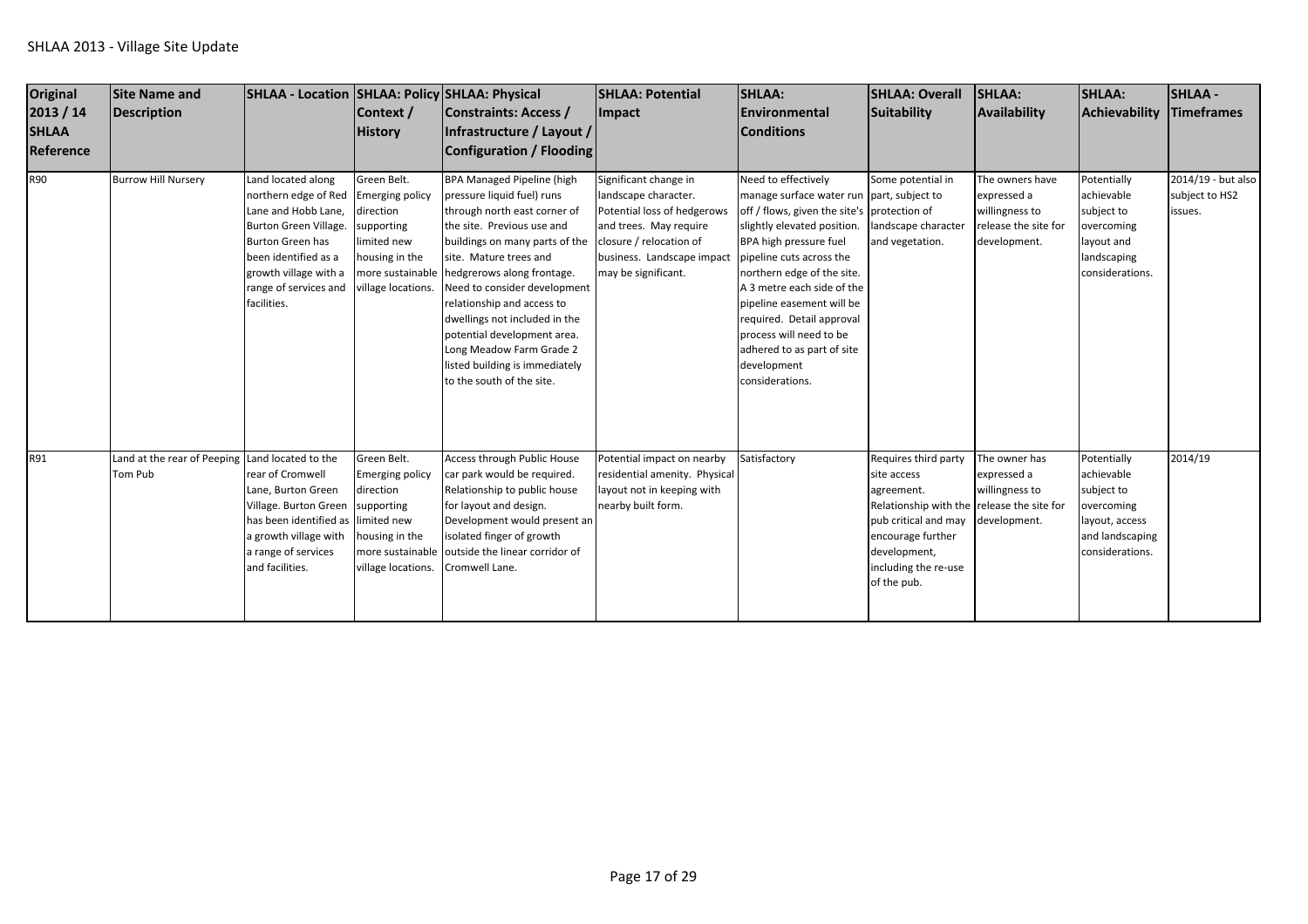| Original<br>2013 / 14<br><b>SHLAA</b><br>Reference | <b>Site Name and</b><br>Description                        | SHLAA - Location SHLAA: Policy SHLAA: Physical                                                                                                                                                                        | Context /<br><b>History</b>                                                                                            | Constraints: Access /<br>Infrastructure / Layout /<br>Configuration / Flooding                                                                                                                                                                                                                                                                                                                                                                                    | <b>SHLAA: Potential</b><br>Impact                                                                                                                                                      | SHLAA:<br><b>IEnvironmental</b><br><b>Conditions</b>                                                                                                                                                                                                                                                                                                                                                                  | <b>SHLAA: Overall</b><br>Suitability                                                                                                                                                                | <b>SHLAA:</b><br>Availability                                                            | <b>SHLAA:</b><br><b>Achievability</b>                                                                         | <b>SHLAA-</b><br><b>Timeframes</b>              |
|----------------------------------------------------|------------------------------------------------------------|-----------------------------------------------------------------------------------------------------------------------------------------------------------------------------------------------------------------------|------------------------------------------------------------------------------------------------------------------------|-------------------------------------------------------------------------------------------------------------------------------------------------------------------------------------------------------------------------------------------------------------------------------------------------------------------------------------------------------------------------------------------------------------------------------------------------------------------|----------------------------------------------------------------------------------------------------------------------------------------------------------------------------------------|-----------------------------------------------------------------------------------------------------------------------------------------------------------------------------------------------------------------------------------------------------------------------------------------------------------------------------------------------------------------------------------------------------------------------|-----------------------------------------------------------------------------------------------------------------------------------------------------------------------------------------------------|------------------------------------------------------------------------------------------|---------------------------------------------------------------------------------------------------------------|-------------------------------------------------|
| <b>R90</b>                                         | <b>Burrow Hill Nursery</b>                                 | Land located along<br>northern edge of Red<br>Lane and Hobb Lane,<br><b>Burton Green Village.</b><br><b>Burton Green has</b><br>been identified as a<br>growth village with a<br>range of services and<br>facilities. | Green Belt.<br><b>Emerging policy</b><br>direction<br>supporting<br>imited new<br>housing in the<br>village locations. | <b>BPA Managed Pipeline (high</b><br>pressure liquid fuel) runs<br>through north east corner of<br>the site. Previous use and<br>buildings on many parts of the<br>site. Mature trees and<br>more sustainable hedgrerows along frontage.<br>Need to consider development<br>relationship and access to<br>dwellings not included in the<br>potential development area.<br>Long Meadow Farm Grade 2<br>listed building is immediately<br>to the south of the site. | Significant change in<br>landscape character.<br>Potential loss of hedgerows<br>and trees. May require<br>closure / relocation of<br>business. Landscape impact<br>may be significant. | Need to effectively<br>manage surface water run part, subject to<br>off / flows, given the site's protection of<br>slightly elevated position.<br>BPA high pressure fuel<br>pipeline cuts across the<br>northern edge of the site.<br>A 3 metre each side of the<br>pipeline easement will be<br>required. Detail approval<br>process will need to be<br>adhered to as part of site<br>development<br>considerations. | Some potential in<br>landscape character<br>and vegetation.                                                                                                                                         | The owners have<br>expressed a<br>willingness to<br>release the site for<br>development. | Potentially<br>achievable<br>subject to<br>overcoming<br>ayout and<br>landscaping<br>considerations.          | 2014/19 - but also<br>subject to HS2<br>issues. |
| R91                                                | Land at the rear of Peeping Land located to the<br>Tom Pub | rear of Cromwell<br>Lane, Burton Green<br>Village. Burton Green<br>has been identified as<br>a growth village with<br>a range of services<br>and facilities.                                                          | Green Belt.<br>Emerging policy<br>direction<br>supporting<br>limited new<br>housing in the<br>village locations.       | Access through Public House<br>car park would be required.<br>Relationship to public house<br>for layout and design.<br>Development would present an<br>isolated finger of growth<br>more sustainable outside the linear corridor of<br>Cromwell Lane.                                                                                                                                                                                                            | Potential impact on nearby<br>residential amenity. Physical<br>layout not in keeping with<br>nearby built form.                                                                        | Satisfactory                                                                                                                                                                                                                                                                                                                                                                                                          | Requires third party<br>site access<br>agreement.<br>Relationship with the release the site for<br>pub critical and may<br>encourage further<br>development,<br>including the re-use<br>of the pub. | The owner has<br>expressed a<br>willingness to<br>development.                           | Potentially<br>achievable<br>subject to<br>overcoming<br>layout, access<br>and landscaping<br>considerations. | 2014/19                                         |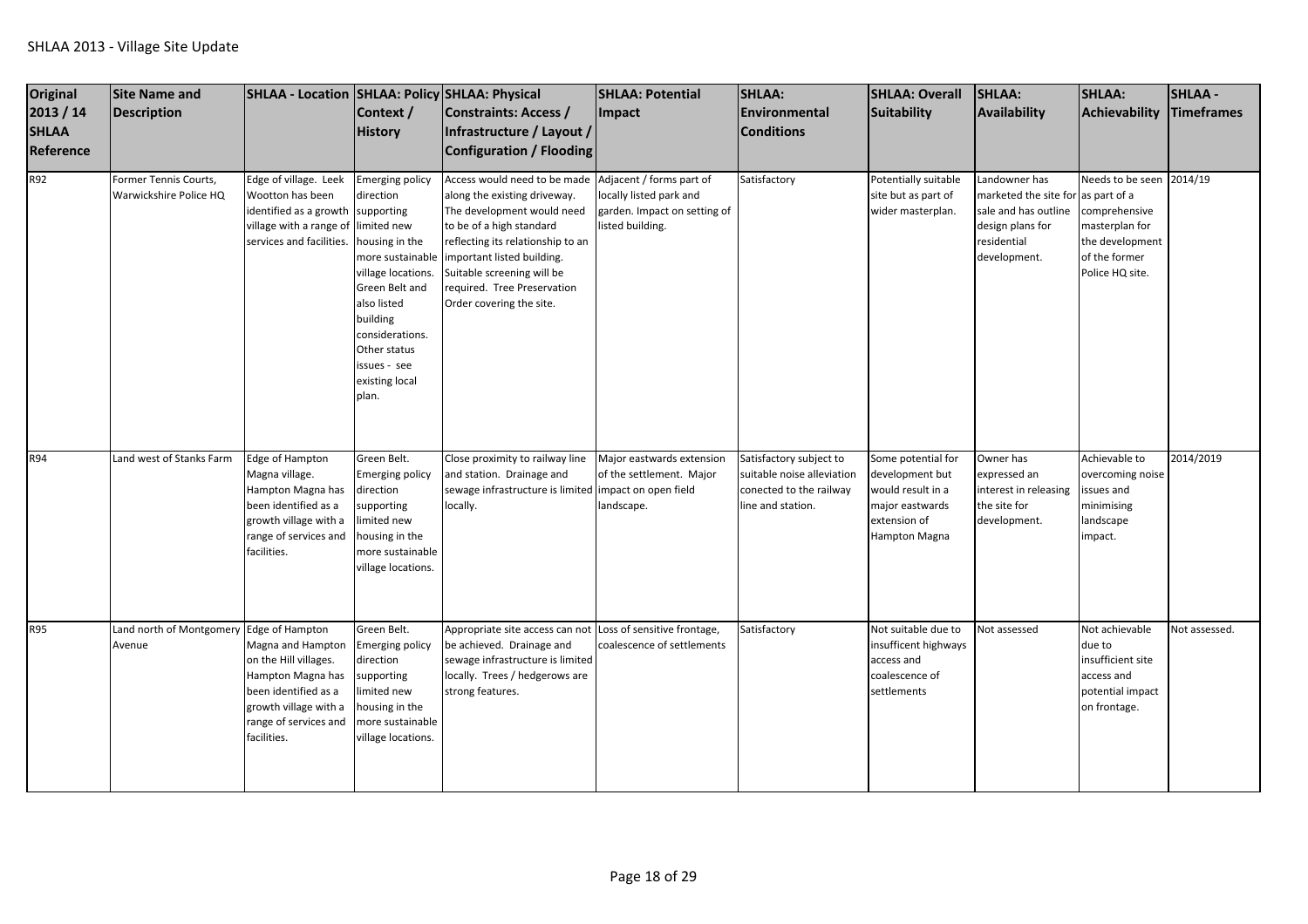| <b>Original</b><br>2013 / 14<br><b>SHLAA</b><br>Reference | <b>Site Name and</b><br><b>Description</b>         | SHLAA - Location SHLAA: Policy SHLAA: Physical                                                                                                           | Context /<br><b>History</b>                                                                                                                                                                                                | Constraints: Access /<br>Infrastructure / Layout /<br>Configuration / Flooding                                                                                                                                                                                                    | <b>SHLAA: Potential</b><br>Impact                                                                       | <b>SHLAA:</b><br>Environmental<br><b>Conditions</b>                                                   | <b>SHLAA: Overall</b><br>Suitability                                                                           | <b>SHLAA:</b><br>Availability                                                                                                 | <b>SHLAA:</b><br>Achievability                                                                                     | <b>SHLAA-</b><br>Timeframes |
|-----------------------------------------------------------|----------------------------------------------------|----------------------------------------------------------------------------------------------------------------------------------------------------------|----------------------------------------------------------------------------------------------------------------------------------------------------------------------------------------------------------------------------|-----------------------------------------------------------------------------------------------------------------------------------------------------------------------------------------------------------------------------------------------------------------------------------|---------------------------------------------------------------------------------------------------------|-------------------------------------------------------------------------------------------------------|----------------------------------------------------------------------------------------------------------------|-------------------------------------------------------------------------------------------------------------------------------|--------------------------------------------------------------------------------------------------------------------|-----------------------------|
| R92                                                       | Former Tennis Courts,<br>Warwickshire Police HQ    | Edge of village. Leek<br>Wootton has been<br>identified as a growth supporting<br>village with a range of limited new<br>services and facilities.        | <b>Emerging policy</b><br>direction<br>housing in the<br>more sustainable<br>village locations.<br>Green Belt and<br>also listed<br>building<br>considerations.<br>Other status<br>issues - see<br>existing local<br>plan. | Access would need to be made<br>along the existing driveway.<br>The development would need<br>to be of a high standard<br>reflecting its relationship to an<br>mportant listed building.<br>Suitable screening will be<br>required. Tree Preservation<br>Order covering the site. | Adjacent / forms part of<br>locally listed park and<br>garden. Impact on setting of<br>listed building. | Satisfactory                                                                                          | Potentially suitable<br>site but as part of<br>wider masterplan.                                               | andowner has<br>marketed the site for as part of a<br>sale and has outline<br>design plans for<br>residential<br>development. | Needs to be seen 2014/19<br>comprehensive<br>masterplan for<br>the development<br>of the former<br>Police HQ site. |                             |
| R94                                                       | Land west of Stanks Farm                           | Edge of Hampton<br>Magna village.<br>Hampton Magna has<br>been identified as a<br>growth village with a<br>range of services and<br>facilities.          | Green Belt.<br><b>Emerging policy</b><br>direction<br>supporting<br>limited new<br>housing in the<br>more sustainable<br>village locations.                                                                                | Close proximity to railway line<br>and station. Drainage and<br>sewage infrastructure is limited impact on open field<br>locally.                                                                                                                                                 | Major eastwards extension<br>of the settlement. Major<br>landscape.                                     | Satisfactory subject to<br>suitable noise alleviation<br>conected to the railway<br>line and station. | Some potential for<br>development but<br>would result in a<br>major eastwards<br>extension of<br>Hampton Magna | Owner has<br>expressed an<br>interest in releasing<br>the site for<br>development.                                            | Achievable to<br>overcoming noise<br>issues and<br>minimising<br>landscape<br>impact.                              | 2014/2019                   |
| <b>R95</b>                                                | Land north of Montgomery Edge of Hampton<br>Avenue | Magna and Hampton<br>on the Hill villages.<br>Hampton Magna has<br>been identified as a<br>growth village with a<br>range of services and<br>facilities. | Green Belt.<br><b>Emerging policy</b><br>direction<br>supporting<br>limited new<br>housing in the<br>more sustainable<br>village locations.                                                                                | Appropriate site access can not Loss of sensitive frontage,<br>be achieved. Drainage and<br>sewage infrastructure is limited<br>locally. Trees / hedgerows are<br>strong features.                                                                                                | coalescence of settlements                                                                              | Satisfactory                                                                                          | Not suitable due to<br>insufficent highways<br>access and<br>coalescence of<br>settlements                     | Not assessed                                                                                                                  | Not achievable<br>due to<br>insufficient site<br>access and<br>potential impact<br>on frontage.                    | Not assessed.               |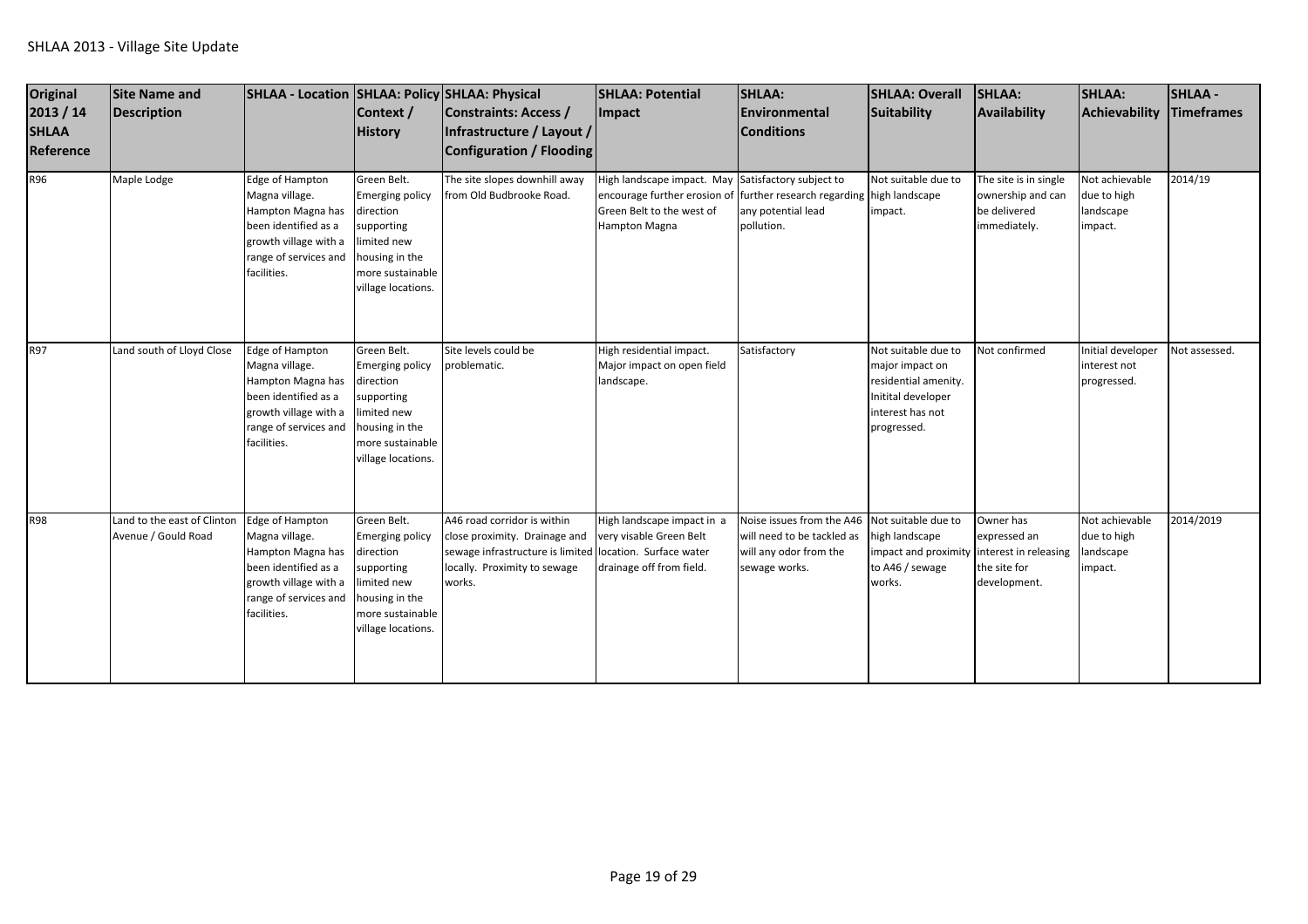| <b>Original</b><br>2013 / 14<br><b>SHLAA</b><br>Reference | <b>Site Name and</b><br><b>Description</b>         | SHLAA - Location   SHLAA: Policy   SHLAA: Physical                                                                                              | Context /<br><b>History</b>                                                                                                                 | Constraints: Access /<br>Infrastructure / Layout /<br>Configuration / Flooding                                                                                     | <b>SHLAA: Potential</b><br><b>Impact</b>                                                                                         | <b>SHLAA:</b><br>Environmental<br><b>Conditions</b>                                                                    | <b>SHLAA: Overall</b><br>Suitability                                                                                    | SHLAA:<br>Availability                                                     | <b>SHLAA:</b><br><b>Achievability</b>                 | <b>SHLAA -</b><br><b>Timeframes</b> |
|-----------------------------------------------------------|----------------------------------------------------|-------------------------------------------------------------------------------------------------------------------------------------------------|---------------------------------------------------------------------------------------------------------------------------------------------|--------------------------------------------------------------------------------------------------------------------------------------------------------------------|----------------------------------------------------------------------------------------------------------------------------------|------------------------------------------------------------------------------------------------------------------------|-------------------------------------------------------------------------------------------------------------------------|----------------------------------------------------------------------------|-------------------------------------------------------|-------------------------------------|
| R96                                                       | Maple Lodge                                        | Edge of Hampton<br>Magna village.<br>Hampton Magna has<br>been identified as a<br>growth village with a<br>range of services and<br>facilities. | Green Belt.<br><b>Emerging policy</b><br>direction<br>supporting<br>limited new<br>housing in the<br>more sustainable<br>village locations. | The site slopes downhill away<br>from Old Budbrooke Road.                                                                                                          | High landscape impact. May Satisfactory subject to<br>encourage further erosion of<br>Green Belt to the west of<br>Hampton Magna | further research regarding high landscape<br>any potential lead<br>pollution.                                          | Not suitable due to<br>impact.                                                                                          | The site is in single<br>ownership and can<br>be delivered<br>immediately. | Not achievable<br>due to high<br>landscape<br>impact. | 2014/19                             |
| R97                                                       | Land south of Lloyd Close                          | Edge of Hampton<br>Magna village.<br>Hampton Magna has<br>been identified as a<br>growth village with a<br>range of services and<br>facilities. | Green Belt.<br><b>Emerging policy</b><br>direction<br>supporting<br>limited new<br>housing in the<br>more sustainable<br>village locations. | Site levels could be<br>problematic.                                                                                                                               | High residential impact.<br>Major impact on open field<br>landscape.                                                             | Satisfactory                                                                                                           | Not suitable due to<br>major impact on<br>residential amenity.<br>Initital developer<br>interest has not<br>progressed. | Not confirmed                                                              | Initial developer<br>interest not<br>progressed.      | Not assessed.                       |
| R98                                                       | Land to the east of Clinton<br>Avenue / Gould Road | Edge of Hampton<br>Magna village.<br>Hampton Magna has<br>been identified as a<br>growth village with a<br>range of services and<br>facilities. | Green Belt.<br><b>Emerging policy</b><br>direction<br>supporting<br>limited new<br>housing in the<br>more sustainable<br>village locations. | A46 road corridor is within<br>close proximity. Drainage and<br>sewage infrastructure is limited location. Surface water<br>locally. Proximity to sewage<br>works. | High landscape impact in a<br>very visable Green Belt<br>drainage off from field.                                                | Noise issues from the A46 Not suitable due to<br>will need to be tackled as<br>will any odor from the<br>sewage works. | high landscape<br>impact and proximity interest in releasing<br>to A46 / sewage<br>works.                               | Owner has<br>expressed an<br>the site for<br>development.                  | Not achievable<br>due to high<br>landscape<br>impact. | 2014/2019                           |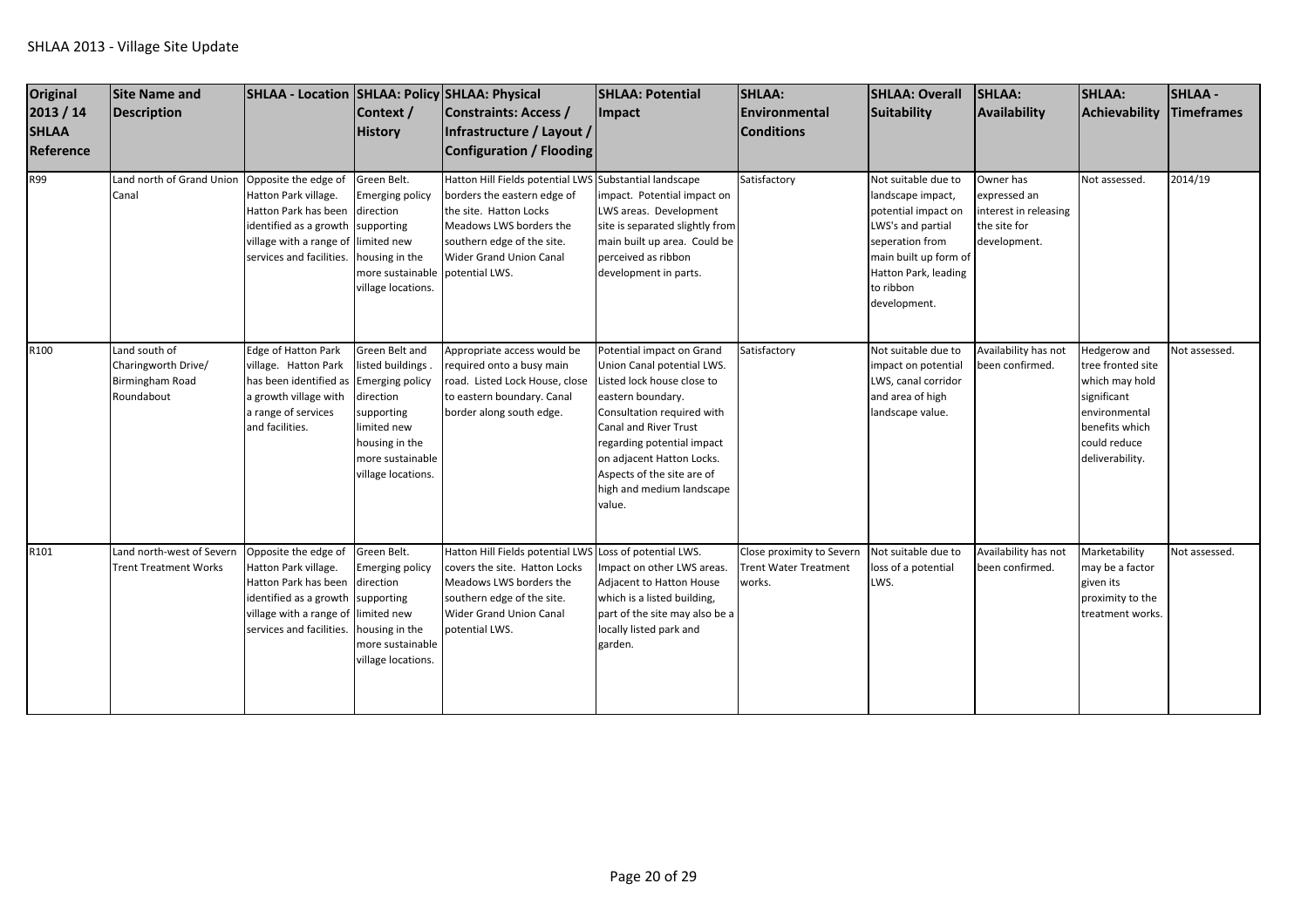| <b>Original</b><br>2013 / 14<br><b>SHLAA</b><br>Reference | Site Name and<br>Description                                                 | SHLAA - Location SHLAA: Policy SHLAA: Physical                                                                                                                               | Context /<br><b>History</b>                                                                                                                                         | Constraints: Access /<br>Infrastructure / Layout /<br>Configuration / Flooding                                                                                                                      | <b>SHLAA: Potential</b><br>Impact                                                                                                                                                                                                                                                                 | <b>SHLAA:</b><br>Environmental<br><b>Conditions</b>                 | <b>SHLAA: Overall</b><br>Suitability                                                                                                                                                  | <b>SHLAA:</b><br><b>Availability</b>                                               | <b>SHLAA:</b><br>Achievability                                                                                                           | <b>SHLAA-</b><br>Timeframes |
|-----------------------------------------------------------|------------------------------------------------------------------------------|------------------------------------------------------------------------------------------------------------------------------------------------------------------------------|---------------------------------------------------------------------------------------------------------------------------------------------------------------------|-----------------------------------------------------------------------------------------------------------------------------------------------------------------------------------------------------|---------------------------------------------------------------------------------------------------------------------------------------------------------------------------------------------------------------------------------------------------------------------------------------------------|---------------------------------------------------------------------|---------------------------------------------------------------------------------------------------------------------------------------------------------------------------------------|------------------------------------------------------------------------------------|------------------------------------------------------------------------------------------------------------------------------------------|-----------------------------|
| R99                                                       | Land north of Grand Union<br>Canal                                           | Opposite the edge of<br>Hatton Park village.<br>Hatton Park has been<br>identified as a growth supporting<br>village with a range of limited new<br>services and facilities. | Green Belt.<br><b>Emerging policy</b><br>direction<br>housing in the<br>more sustainable potential LWS.<br>village locations.                                       | Hatton Hill Fields potential LWS Substantial landscape<br>borders the eastern edge of<br>the site. Hatton Locks<br>Meadows LWS borders the<br>southern edge of the site.<br>Wider Grand Union Canal | impact. Potential impact on<br>LWS areas. Development<br>site is separated slightly from<br>main built up area. Could be<br>perceived as ribbon<br>development in parts.                                                                                                                          | Satisfactory                                                        | Not suitable due to<br>landscape impact,<br>potential impact on<br>LWS's and partial<br>seperation from<br>main built up form of<br>Hatton Park, leading<br>to ribbon<br>development. | Owner has<br>expressed an<br>interest in releasing<br>the site for<br>development. | Not assessed.                                                                                                                            | 2014/19                     |
| R100                                                      | Land south of<br>Charingworth Drive/<br><b>Birmingham Road</b><br>Roundabout | Edge of Hatton Park<br>village. Hatton Park<br>has been identified as<br>a growth village with<br>a range of services<br>and facilities.                                     | Green Belt and<br>listed buildings.<br><b>Emerging policy</b><br>direction<br>supporting<br>limited new<br>housing in the<br>more sustainable<br>village locations. | Appropriate access would be<br>required onto a busy main<br>road. Listed Lock House, close<br>to eastern boundary. Canal<br>border along south edge.                                                | Potential impact on Grand<br>Union Canal potential LWS.<br>Listed lock house close to<br>eastern boundary.<br>Consultation required with<br>Canal and River Trust<br>regarding potential impact<br>on adjacent Hatton Locks.<br>Aspects of the site are of<br>high and medium landscape<br>value. | Satisfactory                                                        | Not suitable due to<br>impact on potential<br>LWS, canal corridor<br>and area of high<br>landscape value.                                                                             | Availability has not<br>been confirmed.                                            | Hedgerow and<br>tree fronted site<br>which may hold<br>significant<br>environmental<br>benefits which<br>could reduce<br>deliverability. | Not assessed.               |
| R101                                                      | Land north-west of Severn<br><b>Trent Treatment Works</b>                    | Opposite the edge of<br>Hatton Park village.<br>Hatton Park has been<br>identified as a growth<br>village with a range of<br>services and facilities.                        | Green Belt.<br><b>Emerging policy</b><br>direction<br>supporting<br>limited new<br>housing in the<br>more sustainable<br>village locations.                         | Hatton Hill Fields potential LWS<br>covers the site. Hatton Locks<br>Meadows LWS borders the<br>southern edge of the site.<br><b>Wider Grand Union Canal</b><br>potential LWS.                      | Loss of potential LWS.<br>Impact on other LWS areas.<br><b>Adjacent to Hatton House</b><br>which is a listed building,<br>part of the site may also be a<br>locally listed park and<br>garden.                                                                                                    | Close proximity to Severn<br><b>Trent Water Treatment</b><br>works. | Not suitable due to<br>loss of a potential<br>LWS.                                                                                                                                    | Availability has not<br>been confirmed.                                            | Marketability<br>may be a factor<br>given its<br>proximity to the<br>treatment works.                                                    | Not assessed.               |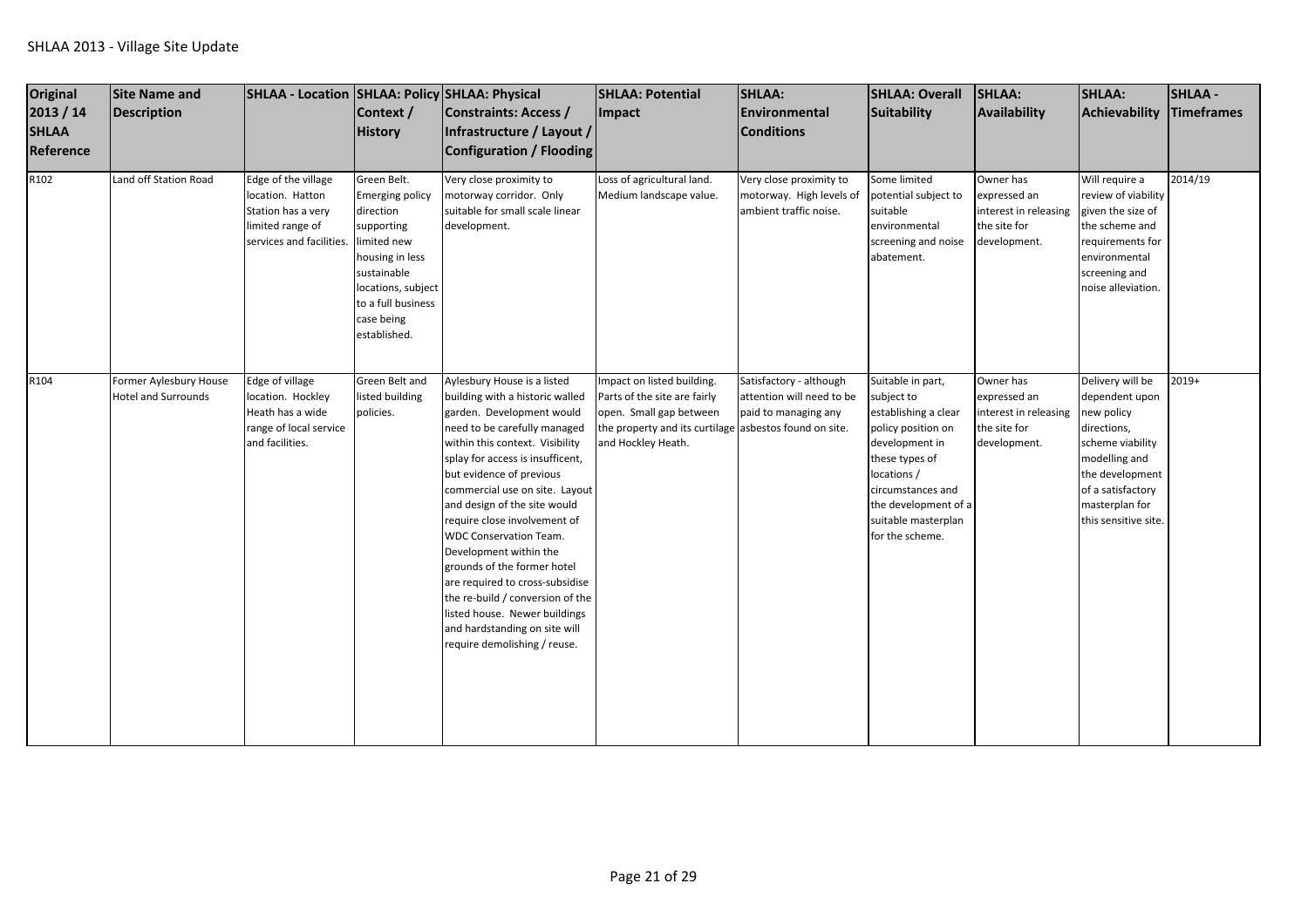| Original<br>2013 / 14<br><b>SHLAA</b><br>Reference | Site Name and<br>Description                         | SHLAA - Location SHLAA: Policy SHLAA: Physical                                                                | Context /<br><b>History</b>                                                                                                                                                                 | Constraints: Access /<br>Infrastructure / Layout /<br>Configuration / Flooding                                                                                                                                                                                                                                                                                                                                                                                                                                                                                                                      | <b>SHLAA: Potential</b><br><b>Impact</b>                                                                                                                              | <b>SHLAA:</b><br>Environmental<br><b>Conditions</b>                           | SHLAA: Overall<br>Suitability                                                                                                                                                                                           | SHLAA:<br>Availability                                                             | <b>SHLAA:</b><br>Achievability                                                                                                                                                         | <b>SHLAA-</b><br>Timeframes |
|----------------------------------------------------|------------------------------------------------------|---------------------------------------------------------------------------------------------------------------|---------------------------------------------------------------------------------------------------------------------------------------------------------------------------------------------|-----------------------------------------------------------------------------------------------------------------------------------------------------------------------------------------------------------------------------------------------------------------------------------------------------------------------------------------------------------------------------------------------------------------------------------------------------------------------------------------------------------------------------------------------------------------------------------------------------|-----------------------------------------------------------------------------------------------------------------------------------------------------------------------|-------------------------------------------------------------------------------|-------------------------------------------------------------------------------------------------------------------------------------------------------------------------------------------------------------------------|------------------------------------------------------------------------------------|----------------------------------------------------------------------------------------------------------------------------------------------------------------------------------------|-----------------------------|
| R102                                               | Land off Station Road                                | Edge of the village<br>location. Hatton<br>Station has a very<br>limited range of<br>services and facilities. | Green Belt.<br><b>Emerging policy</b><br>direction<br>supporting<br>limited new<br>housing in less<br>sustainable<br>locations, subject<br>to a full business<br>case being<br>established. | Very close proximity to<br>motorway corridor. Only<br>suitable for small scale linear<br>development.                                                                                                                                                                                                                                                                                                                                                                                                                                                                                               | Loss of agricultural land.<br>Medium landscape value.                                                                                                                 | Very close proximity to<br>motorway. High levels of<br>ambient traffic noise. | Some limited<br>potential subject to<br>suitable<br>environmental<br>screening and noise<br>abatement.                                                                                                                  | Owner has<br>expressed an<br>interest in releasing<br>the site for<br>development. | Will require a<br>review of viability<br>given the size of<br>the scheme and<br>requirements for<br>environmental<br>screening and<br>noise alleviation.                               | 2014/19                     |
| R104                                               | Former Aylesbury House<br><b>Hotel and Surrounds</b> | Edge of village<br>location. Hockley<br>Heath has a wide<br>range of local service<br>and facilities.         | Green Belt and<br>listed building<br>policies.                                                                                                                                              | Aylesbury House is a listed<br>building with a historic walled<br>garden. Development would<br>need to be carefully managed<br>within this context. Visibility<br>splay for access is insufficent,<br>but evidence of previous<br>commercial use on site. Layout<br>and design of the site would<br>require close involvement of<br><b>WDC Conservation Team.</b><br>Development within the<br>grounds of the former hotel<br>are required to cross-subsidise<br>the re-build / conversion of the<br>listed house. Newer buildings<br>and hardstanding on site will<br>require demolishing / reuse. | Impact on listed building.<br>Parts of the site are fairly<br>open. Small gap between<br>the property and its curtilage asbestos found on site.<br>and Hockley Heath. | Satisfactory - although<br>attention will need to be<br>paid to managing any  | Suitable in part,<br>subject to<br>establishing a clear<br>policy position on<br>development in<br>these types of<br>locations /<br>circumstances and<br>the development of a<br>suitable masterplan<br>for the scheme. | Owner has<br>expressed an<br>interest in releasing<br>the site for<br>development. | Delivery will be<br>dependent upon<br>new policy<br>directions,<br>scheme viability<br>modelling and<br>the development<br>of a satisfactory<br>masterplan for<br>this sensitive site. | $2019+$                     |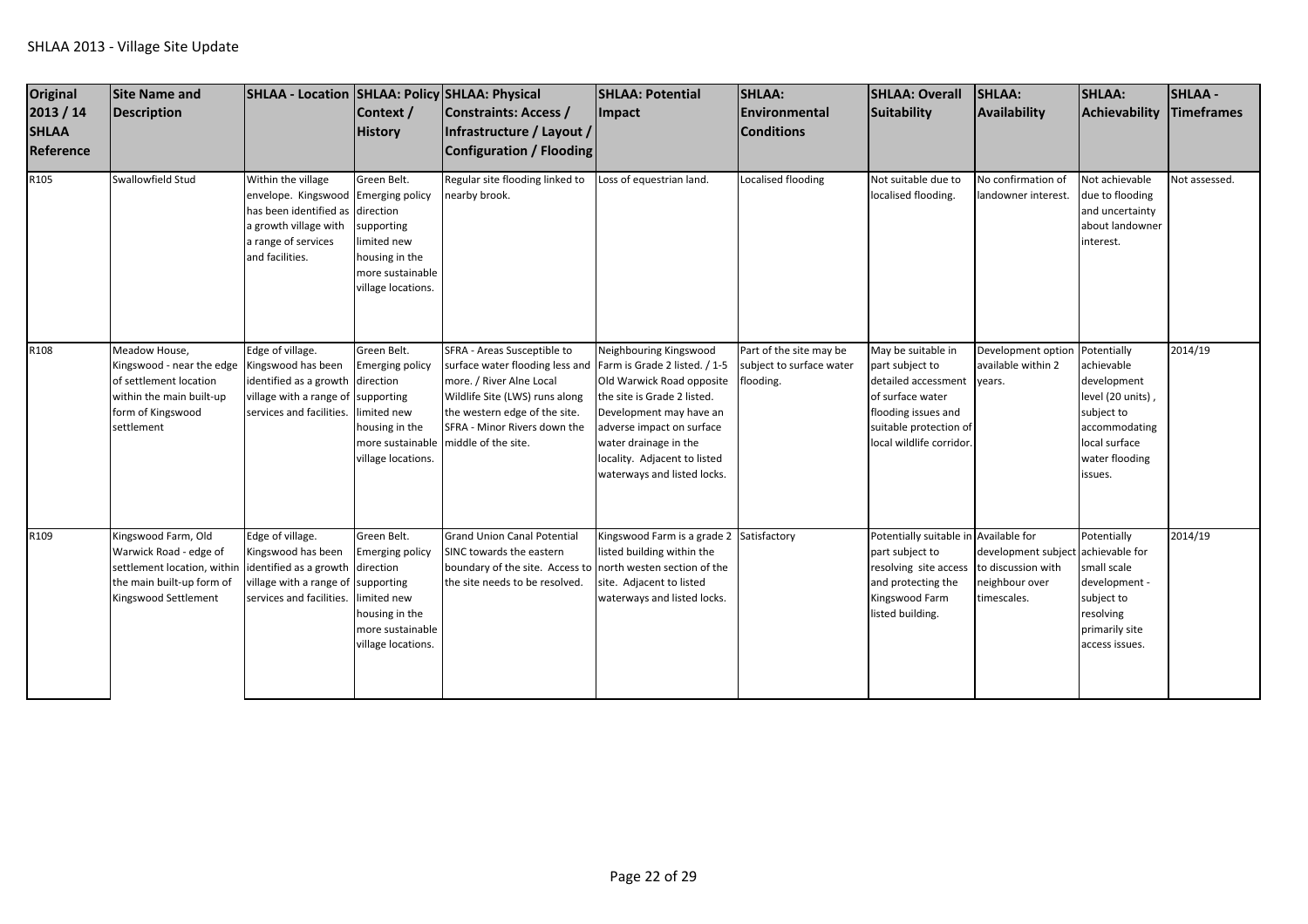| Original<br>2013 / 14<br><b>SHLAA</b><br>Reference | <b>Site Name and</b><br><b>Description</b>                                                                                          | SHLAA - Location SHLAA: Policy SHLAA: Physical                                                                                                         | Context /<br><b>History</b>                                                                                                                | Constraints: Access /<br>Infrastructure / Layout /<br>Configuration / Flooding                                                                                                                                       | <b>SHLAA: Potential</b><br><b>Impact</b>                                                                                                                                                                                                                            | <b>SHLAA:</b><br>Environmental<br><b>Conditions</b>              | <b>SHLAA: Overall</b><br>Suitability                                                                                                                          | SHLAA:<br>Availability                                                                    | <b>SHLAA:</b><br>Achievability                                                                                                             | <b>SHLAA -</b><br>Timeframes |
|----------------------------------------------------|-------------------------------------------------------------------------------------------------------------------------------------|--------------------------------------------------------------------------------------------------------------------------------------------------------|--------------------------------------------------------------------------------------------------------------------------------------------|----------------------------------------------------------------------------------------------------------------------------------------------------------------------------------------------------------------------|---------------------------------------------------------------------------------------------------------------------------------------------------------------------------------------------------------------------------------------------------------------------|------------------------------------------------------------------|---------------------------------------------------------------------------------------------------------------------------------------------------------------|-------------------------------------------------------------------------------------------|--------------------------------------------------------------------------------------------------------------------------------------------|------------------------------|
| R105                                               | Swallowfield Stud                                                                                                                   | Within the village<br>envelope. Kingswood Emerging policy<br>has been identified as<br>a growth village with<br>a range of services<br>and facilities. | Green Belt.<br>direction<br>supporting<br>limited new<br>housing in the<br>more sustainable<br>village locations.                          | Regular site flooding linked to<br>nearby brook.                                                                                                                                                                     | Loss of equestrian land.                                                                                                                                                                                                                                            | Localised flooding                                               | Not suitable due to<br>localised flooding.                                                                                                                    | No confirmation of<br>landowner interest.                                                 | Not achievable<br>due to flooding<br>and uncertainty<br>about landowner<br>interest.                                                       | Not assessed.                |
| R108                                               | Meadow House,<br>Kingswood - near the edge<br>of settlement location<br>within the main built-up<br>form of Kingswood<br>settlement | Edge of village.<br>Kingswood has been<br>identified as a growth<br>village with a range of<br>services and facilities.                                | Green Belt.<br><b>Emerging policy</b><br>direction<br>supporting<br>imited new<br>housing in the<br>more sustainable<br>village locations. | SFRA - Areas Susceptible to<br>surface water flooding less and<br>more. / River Alne Local<br>Wildlife Site (LWS) runs along<br>the western edge of the site.<br>SFRA - Minor Rivers down the<br>middle of the site. | Neighbouring Kingswood<br>Farm is Grade 2 listed. / 1-5<br>Old Warwick Road opposite<br>the site is Grade 2 listed.<br>Development may have an<br>adverse impact on surface<br>water drainage in the<br>locality. Adjacent to listed<br>waterways and listed locks. | Part of the site may be<br>subject to surface water<br>flooding. | May be suitable in<br>part subject to<br>detailed accessment<br>of surface water<br>flooding issues and<br>suitable protection of<br>local wildlife corridor. | Development option<br>available within 2<br>years.                                        | Potentially<br>achievable<br>development<br>level (20 units),<br>subject to<br>accommodating<br>local surface<br>water flooding<br>issues. | 2014/19                      |
| R109                                               | Kingswood Farm, Old<br>Warwick Road - edge of<br>settlement location, within<br>the main built-up form of<br>Kingswood Settlement   | Edge of village.<br>Kingswood has been<br>identified as a growth direction<br>village with a range of<br>services and facilities.                      | Green Belt.<br><b>Emerging policy</b><br>supporting<br>imited new<br>housing in the<br>more sustainable<br>village locations.              | <b>Grand Union Canal Potential</b><br>SINC towards the eastern<br>boundary of the site. Access to north westen section of the<br>the site needs to be resolved.                                                      | Kingswood Farm is a grade 2 Satisfactory<br>listed building within the<br>site. Adjacent to listed<br>waterways and listed locks.                                                                                                                                   |                                                                  | Potentially suitable in Available for<br>part subject to<br>resolving site access<br>and protecting the<br>Kingswood Farm<br>listed building.                 | development subject achievable for<br>to discussion with<br>neighbour over<br>timescales. | Potentially<br>small scale<br>development -<br>subject to<br>resolving<br>primarily site<br>access issues.                                 | 2014/19                      |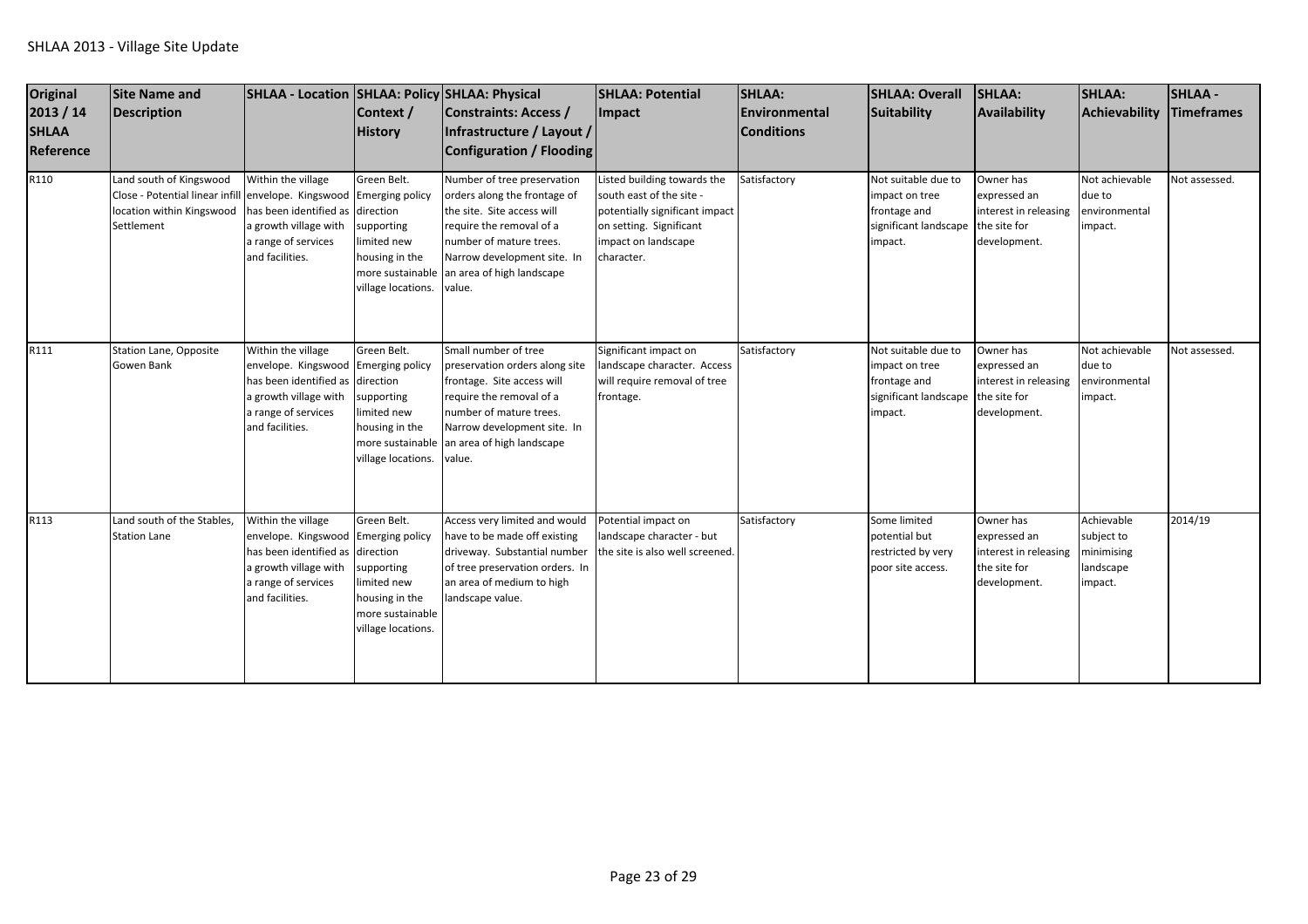| <b>Original</b><br>2013 / 14<br><b>SHLAA</b><br>Reference | <b>Site Name and</b><br>Description                                                                                                       | SHLAA - Location SHLAA: Policy SHLAA: Physical                                                                                                                   | Context /<br><b>History</b>                                                                          | Constraints: Access /<br>Infrastructure / Layout /<br><b>Configuration / Flooding</b>                                                                                                                                  | <b>SHLAA: Potential</b><br>Impact                                                                                                                         | SHLAA:<br>Environmental<br><b>Conditions</b> | <b>SHLAA: Overall</b><br>Suitability                                                      | SHLAA:<br>Availability                                                             | <b>SHLAA:</b><br><b>Achievability</b>                          | <b>SHLAA-</b><br><b>Timeframes</b> |
|-----------------------------------------------------------|-------------------------------------------------------------------------------------------------------------------------------------------|------------------------------------------------------------------------------------------------------------------------------------------------------------------|------------------------------------------------------------------------------------------------------|------------------------------------------------------------------------------------------------------------------------------------------------------------------------------------------------------------------------|-----------------------------------------------------------------------------------------------------------------------------------------------------------|----------------------------------------------|-------------------------------------------------------------------------------------------|------------------------------------------------------------------------------------|----------------------------------------------------------------|------------------------------------|
| R110                                                      | Land south of Kingswood<br>Close - Potential linear infill envelope. Kingswood Emerging policy<br>location within Kingswood<br>Settlement | Within the village<br>has been identified as direction<br>a growth village with<br>a range of services<br>and facilities.                                        | Green Belt.<br>supporting<br>limited new<br>housing in the<br>more sustainable<br>village locations. | Number of tree preservation<br>orders along the frontage of<br>the site. Site access will<br>require the removal of a<br>number of mature trees.<br>Narrow development site. In<br>an area of high landscape<br>value. | Listed building towards the<br>south east of the site -<br>potentially significant impact<br>on setting. Significant<br>impact on landscape<br>character. | Satisfactory                                 | Not suitable due to<br>impact on tree<br>frontage and<br>significant landscape<br>impact. | Owner has<br>expressed an<br>interest in releasing<br>the site for<br>development. | Not achievable<br>due to<br>environmental<br>impact.           | Not assessed.                      |
| R111                                                      | <b>Station Lane, Opposite</b><br>Gowen Bank                                                                                               | Within the village<br>envelope. Kingswood Emerging policy<br>has been identified as direction<br>a growth village with<br>a range of services<br>and facilities. | Green Belt.<br>supporting<br>limited new<br>housing in the<br>more sustainable<br>village locations. | Small number of tree<br>preservation orders along site<br>frontage. Site access will<br>require the removal of a<br>number of mature trees.<br>Narrow development site. In<br>an area of high landscape<br>value.      | Significant impact on<br>landscape character. Access<br>will require removal of tree<br>frontage.                                                         | Satisfactory                                 | Not suitable due to<br>impact on tree<br>frontage and<br>significant landscape<br>impact. | Owner has<br>expressed an<br>interest in releasing<br>the site for<br>development. | Not achievable<br>due to<br>environmental<br>impact.           | Not assessed.                      |
| R113                                                      | Land south of the Stables,<br><b>Station Lane</b>                                                                                         | Within the village<br>envelope. Kingswood Emerging policy<br>has been identified as direction<br>a growth village with<br>a range of services<br>and facilities. | Green Belt.<br>supporting<br>limited new<br>housing in the<br>more sustainable<br>village locations. | Access very limited and would<br>have to be made off existing<br>driveway. Substantial number<br>of tree preservation orders. In<br>an area of medium to high<br>landscape value.                                      | Potential impact on<br>landscape character - but<br>the site is also well screened.                                                                       | Satisfactory                                 | Some limited<br>potential but<br>restricted by very<br>poor site access.                  | Owner has<br>expressed an<br>interest in releasing<br>the site for<br>development. | Achievable<br>subject to<br>minimising<br>landscape<br>impact. | 2014/19                            |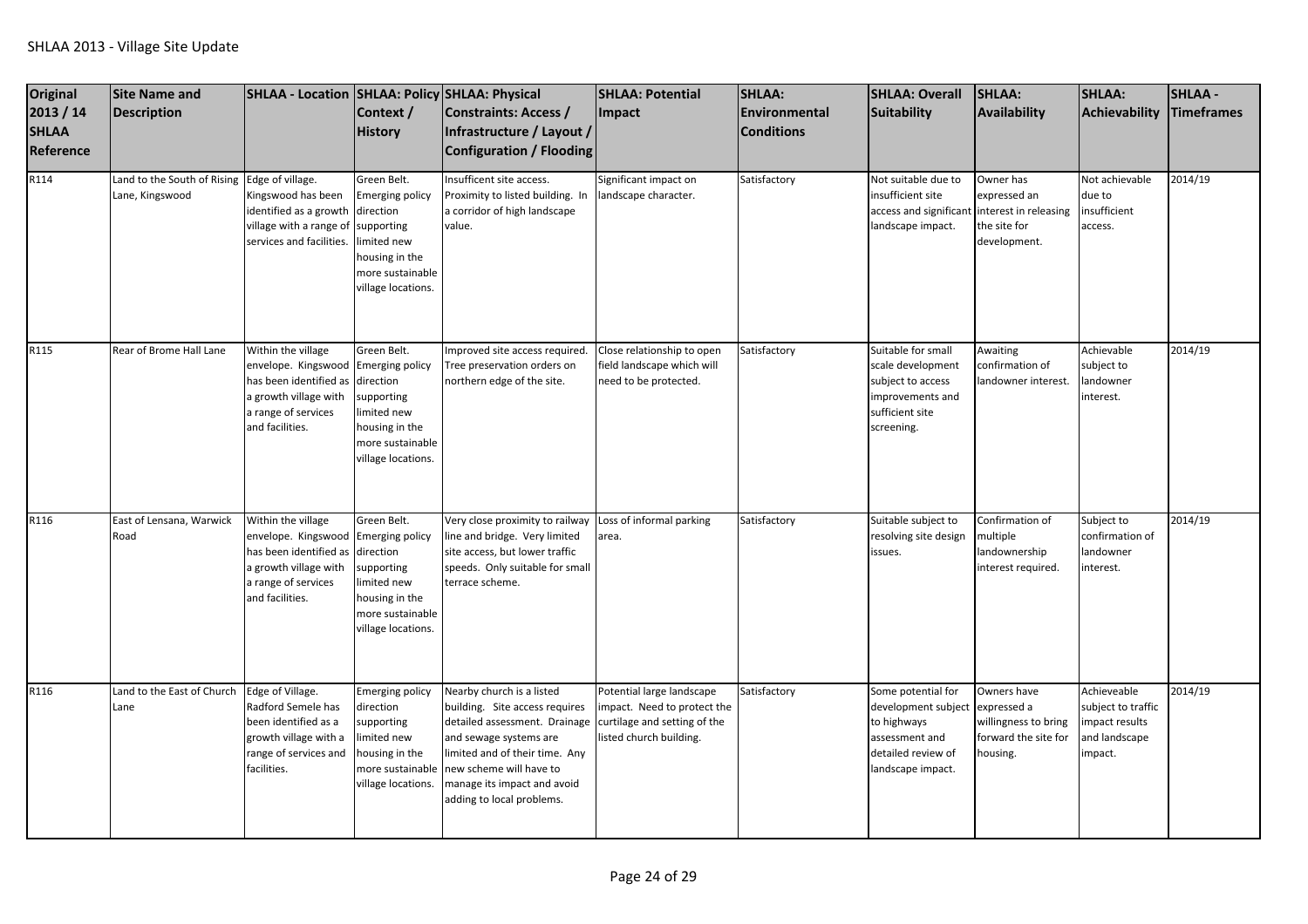| Original<br>2013 / 14<br><b>SHLAA</b><br>Reference | <b>Site Name and</b><br><b>Description</b>                      | SHLAA - Location   SHLAA: Policy   SHLAA: Physical                                                                                     | Context /<br><b>History</b>                                                                                                                | <b>Constraints: Access /</b><br>Infrastructure / Layout /<br><b>Configuration / Flooding</b>                                                                                                                                                    | <b>SHLAA: Potential</b><br>Impact                                                                                   | SHLAA:<br>Environmental<br><b>Conditions</b> | <b>SHLAA: Overall</b><br>Suitability                                                                                  | <b>SHLAA:</b><br><b>Availability</b>                                                   | <b>SHLAA:</b><br>Achievability                                                  | <b>SHLAA-</b><br>Timeframes |
|----------------------------------------------------|-----------------------------------------------------------------|----------------------------------------------------------------------------------------------------------------------------------------|--------------------------------------------------------------------------------------------------------------------------------------------|-------------------------------------------------------------------------------------------------------------------------------------------------------------------------------------------------------------------------------------------------|---------------------------------------------------------------------------------------------------------------------|----------------------------------------------|-----------------------------------------------------------------------------------------------------------------------|----------------------------------------------------------------------------------------|---------------------------------------------------------------------------------|-----------------------------|
| R114                                               | Land to the South of Rising Edge of village.<br>Lane, Kingswood | Kingswood has been<br>identified as a growth<br>village with a range of<br>services and facilities.                                    | Green Belt.<br><b>Emerging policy</b><br>direction<br>supporting<br>imited new<br>housing in the<br>more sustainable<br>village locations. | Insufficent site access.<br>Proximity to listed building. In<br>a corridor of high landscape<br>value.                                                                                                                                          | Significant impact on<br>landscape character.                                                                       | Satisfactory                                 | Not suitable due to<br>insufficient site<br>access and significant<br>landscape impact.                               | Owner has<br>expressed an<br>interest in releasing<br>the site for<br>development.     | Not achievable<br>due to<br>insufficient<br>access.                             | 2014/19                     |
| R115                                               | Rear of Brome Hall Lane                                         | Within the village<br>envelope. Kingswood<br>has been identified as<br>a growth village with<br>a range of services<br>and facilities. | Green Belt.<br><b>Emerging policy</b><br>direction<br>supporting<br>imited new<br>housing in the<br>more sustainable<br>village locations. | Improved site access required.<br>Tree preservation orders on<br>northern edge of the site.                                                                                                                                                     | Close relationship to open<br>field landscape which will<br>need to be protected.                                   | Satisfactory                                 | Suitable for small<br>scale development<br>subject to access<br>improvements and<br>sufficient site<br>screening.     | Awaiting<br>confirmation of<br>landowner interest.                                     | Achievable<br>subject to<br>landowner<br>interest.                              | 2014/19                     |
| R116                                               | East of Lensana, Warwick<br>Road                                | Within the village<br>envelope. Kingswood<br>has been identified as<br>a growth village with<br>a range of services<br>and facilities. | Green Belt.<br><b>Emerging policy</b><br>direction<br>supporting<br>imited new<br>housing in the<br>more sustainable<br>village locations. | Very close proximity to railway<br>line and bridge. Very limited<br>site access, but lower traffic<br>speeds. Only suitable for small<br>terrace scheme.                                                                                        | Loss of informal parking<br>area.                                                                                   | Satisfactory                                 | Suitable subject to<br>resolving site design<br>issues.                                                               | Confirmation of<br>multiple<br>landownership<br>interest required.                     | Subject to<br>confirmation of<br>andowner<br>interest.                          | 2014/19                     |
| R116                                               | Land to the East of Church<br>Lane                              | Edge of Village.<br>Radford Semele has<br>been identified as a<br>growth village with a<br>range of services and<br>facilities.        | <b>Emerging policy</b><br>direction<br>supporting<br>imited new<br>housing in the<br>more sustainable<br>village locations.                | Nearby church is a listed<br>building. Site access requires<br>detailed assessment. Drainage<br>and sewage systems are<br>limited and of their time. Any<br>new scheme will have to<br>manage its impact and avoid<br>adding to local problems. | Potential large landscape<br>impact. Need to protect the<br>curtilage and setting of the<br>listed church building. | Satisfactory                                 | Some potential for<br>development subject<br>to highways<br>assessment and<br>detailed review of<br>landscape impact. | Owners have<br>expressed a<br>willingness to bring<br>forward the site for<br>housing. | Achieveable<br>subject to traffic<br>impact results<br>and landscape<br>impact. | 2014/19                     |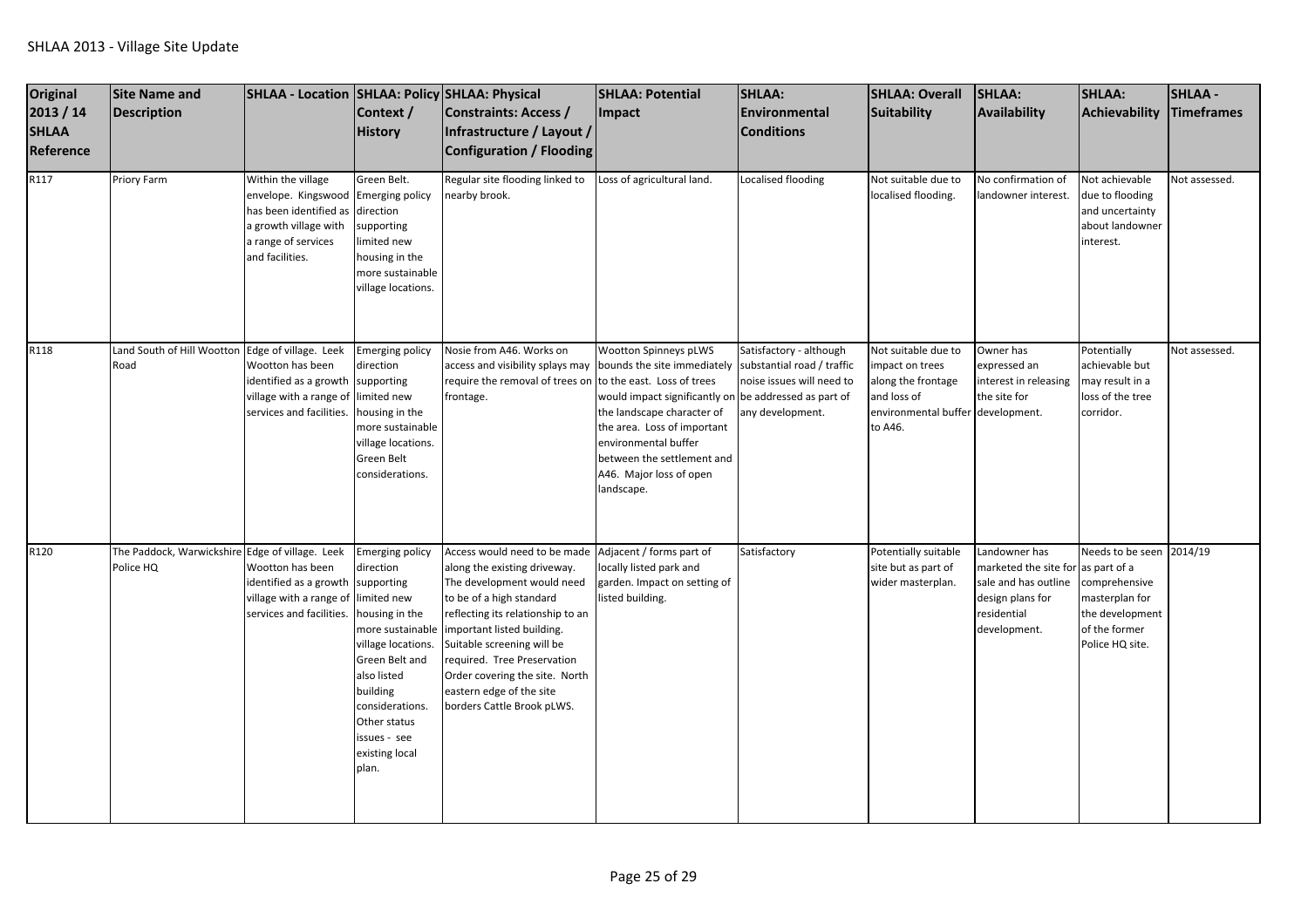| <b>Original</b><br>2013 / 14<br><b>SHLAA</b><br>Reference<br>R117 | Site Name and<br>Description<br>Priory Farm                  | SHLAA - Location SHLAA: Policy SHLAA: Physical<br>Within the village                                             | Context /<br><b>History</b><br>Green Belt.                                                                                                                                                                                                       | <b>Constraints: Access /</b><br>Infrastructure / Layout /<br><b>Configuration / Flooding</b><br>Regular site flooding linked to                                                                                                                                                                                                                    | <b>SHLAA: Potential</b><br>Impact<br>Loss of agricultural land.                                                                                                                                                                                                                                      | SHLAA:<br>Environmental<br><b>Conditions</b><br>Localised flooding       | <b>SHLAA: Overall</b><br>Suitability<br>Not suitable due to                                                                | SHLAA:<br>Availability<br>No confirmation of                                                                                   | <b>SHLAA:</b><br>Achievability<br>Not achievable                                                                   | <b>SHLAA-</b><br>Timeframes<br>Not assessed. |
|-------------------------------------------------------------------|--------------------------------------------------------------|------------------------------------------------------------------------------------------------------------------|--------------------------------------------------------------------------------------------------------------------------------------------------------------------------------------------------------------------------------------------------|----------------------------------------------------------------------------------------------------------------------------------------------------------------------------------------------------------------------------------------------------------------------------------------------------------------------------------------------------|------------------------------------------------------------------------------------------------------------------------------------------------------------------------------------------------------------------------------------------------------------------------------------------------------|--------------------------------------------------------------------------|----------------------------------------------------------------------------------------------------------------------------|--------------------------------------------------------------------------------------------------------------------------------|--------------------------------------------------------------------------------------------------------------------|----------------------------------------------|
|                                                                   |                                                              | envelope. Kingswood<br>has been identified as<br>a growth village with<br>a range of services<br>and facilities. | <b>Emerging policy</b><br>direction<br>supporting<br>limited new<br>housing in the<br>more sustainable<br>village locations.                                                                                                                     | nearby brook.                                                                                                                                                                                                                                                                                                                                      |                                                                                                                                                                                                                                                                                                      |                                                                          | localised flooding.                                                                                                        | landowner interest.                                                                                                            | due to flooding<br>and uncertainty<br>about landowner<br>interest.                                                 |                                              |
| R118                                                              | Land South of Hill Wootton Edge of village. Leek<br>Road     | Wootton has been<br>identified as a growth<br>village with a range of<br>services and facilities.                | <b>Emerging policy</b><br>direction<br>supporting<br>limited new<br>housing in the<br>more sustainable<br>village locations.<br>Green Belt<br>considerations.                                                                                    | Nosie from A46. Works on<br>access and visibility splays may<br>require the removal of trees on to the east. Loss of trees<br>frontage.                                                                                                                                                                                                            | Wootton Spinneys pLWS<br>bounds the site immediately substantial road / traffic<br>would impact significantly on be addressed as part of<br>the landscape character of<br>the area. Loss of important<br>environmental buffer<br>between the settlement and<br>A46. Major loss of open<br>landscape. | Satisfactory - although<br>noise issues will need to<br>any development. | Not suitable due to<br>mpact on trees<br>along the frontage<br>and loss of<br>environmental buffer development.<br>to A46. | Owner has<br>expressed an<br>interest in releasing<br>the site for                                                             | Potentially<br>achievable but<br>may result in a<br>loss of the tree<br>corridor.                                  | Not assessed.                                |
| R120                                                              | The Paddock, Warwickshire Edge of village. Leek<br>Police HQ | Wootton has been<br>identified as a growth<br>village with a range of<br>services and facilities.                | Emerging policy<br>direction<br>supporting<br>limited new<br>housing in the<br>more sustainable<br>village locations.<br>Green Belt and<br>also listed<br>building<br>considerations.<br>Other status<br>issues - see<br>existing local<br>plan. | Access would need to be made<br>along the existing driveway.<br>The development would need<br>to be of a high standard<br>reflecting its relationship to an<br>important listed building.<br>Suitable screening will be<br>required. Tree Preservation<br>Order covering the site. North<br>eastern edge of the site<br>borders Cattle Brook pLWS. | Adjacent / forms part of<br>locally listed park and<br>garden. Impact on setting of<br>listed building.                                                                                                                                                                                              | Satisfactory                                                             | Potentially suitable<br>site but as part of<br>wider masterplan.                                                           | Landowner has<br>marketed the site for as part of a<br>sale and has outline<br>design plans for<br>residential<br>development. | Needs to be seen 2014/19<br>comprehensive<br>masterplan for<br>the development<br>of the former<br>Police HQ site. |                                              |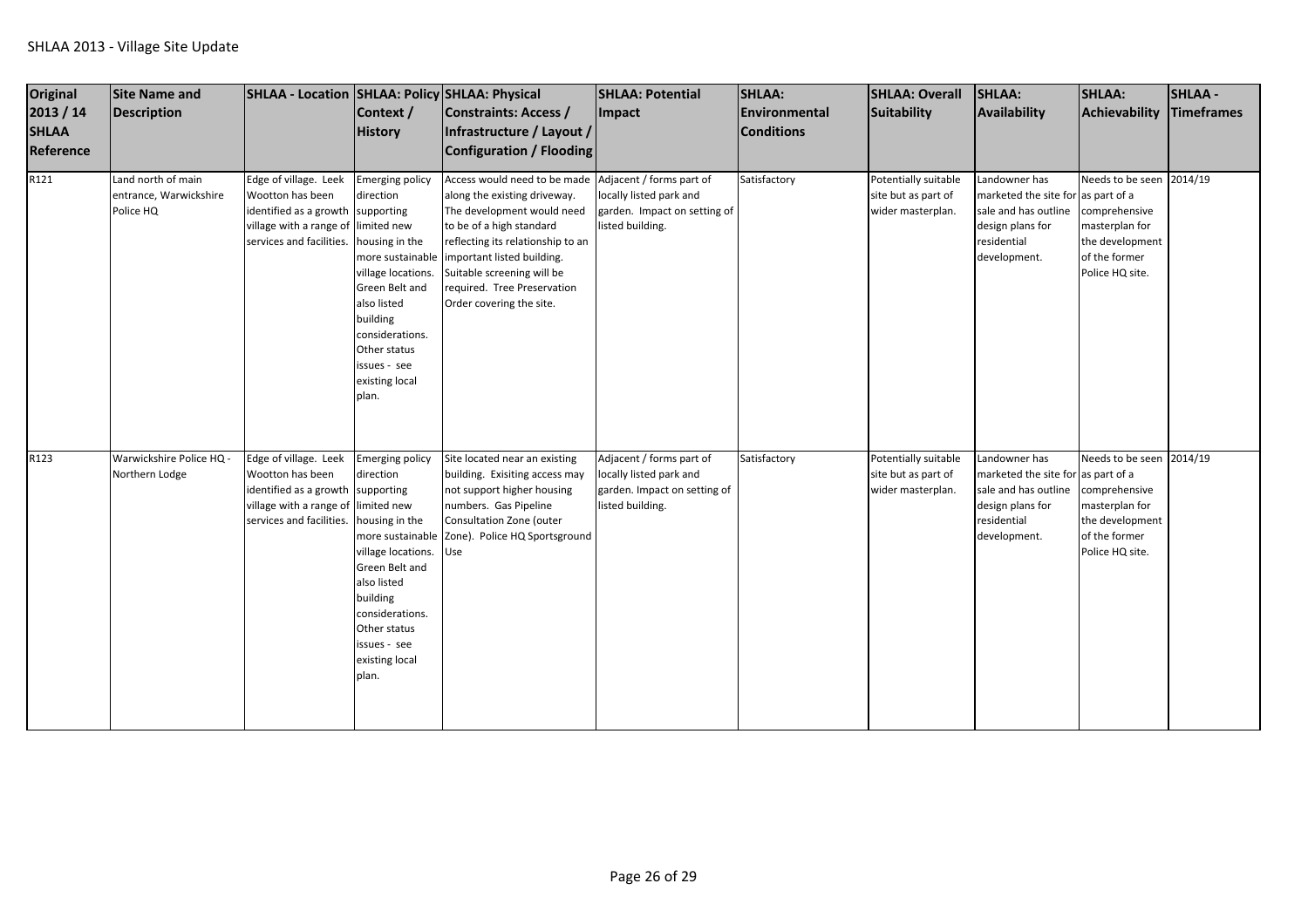| Original<br>2013 / 14<br><b>SHLAA</b><br>Reference<br>R121 | Site Name and<br>Description<br>Land north of main | SHLAA - Location SHLAA: Policy SHLAA: Physical<br>Edge of village. Leek                                                    | Context /<br><b>History</b><br><b>Emerging policy</b>                                                                                                                                                                               | Constraints: Access /<br>Infrastructure / Layout /<br>Configuration / Flooding<br>Access would need to be made Adjacent / forms part of                                                                                                                             | <b>SHLAA: Potential</b><br>Impact                                                                       | SHLAA:<br>Environmental<br><b>Conditions</b><br>Satisfactory | <b>SHLAA: Overall</b><br>Suitability<br>Potentially suitable     | SHLAA:<br>Availability<br>Landowner has                                                                                        | <b>SHLAA:</b><br>Achievability<br>Needs to be seen 2014/19                                                         | <b>SHLAA-</b><br>Timeframes |
|------------------------------------------------------------|----------------------------------------------------|----------------------------------------------------------------------------------------------------------------------------|-------------------------------------------------------------------------------------------------------------------------------------------------------------------------------------------------------------------------------------|---------------------------------------------------------------------------------------------------------------------------------------------------------------------------------------------------------------------------------------------------------------------|---------------------------------------------------------------------------------------------------------|--------------------------------------------------------------|------------------------------------------------------------------|--------------------------------------------------------------------------------------------------------------------------------|--------------------------------------------------------------------------------------------------------------------|-----------------------------|
|                                                            | entrance, Warwickshire<br>Police HQ                | Wootton has been<br>identified as a growth<br>village with a range of limited new<br>services and facilities.              | direction<br>supporting<br>housing in the<br>village locations.<br>Green Belt and<br>also listed<br>building<br>considerations.<br>Other status<br>ssues - see<br>existing local<br>plan.                                           | along the existing driveway.<br>The development would need<br>to be of a high standard<br>reflecting its relationship to an<br>more sustainable important listed building.<br>Suitable screening will be<br>required. Tree Preservation<br>Order covering the site. | locally listed park and<br>garden. Impact on setting of<br>listed building.                             |                                                              | site but as part of<br>wider masterplan.                         | marketed the site for as part of a<br>sale and has outline<br>design plans for<br>residential<br>development.                  | comprehensive<br>masterplan for<br>the development<br>of the former<br>Police HQ site.                             |                             |
| R123                                                       | Warwickshire Police HQ -<br>Northern Lodge         | Edge of village. Leek<br>Wootton has been<br>identified as a growth<br>village with a range of<br>services and facilities. | <b>Emerging policy</b><br>direction<br>supporting<br>limited new<br>housing in the<br>village locations.<br>Green Belt and<br>also listed<br>building<br>considerations.<br>Other status<br>issues - see<br>existing local<br>plan. | Site located near an existing<br>building. Exisiting access may<br>not support higher housing<br>numbers. Gas Pipeline<br>Consultation Zone (outer<br>more sustainable Zone). Police HQ Sportsground<br>Use                                                         | Adjacent / forms part of<br>locally listed park and<br>garden. Impact on setting of<br>listed building. | Satisfactory                                                 | Potentially suitable<br>site but as part of<br>wider masterplan. | Landowner has<br>marketed the site for as part of a<br>sale and has outline<br>design plans for<br>residential<br>development. | Needs to be seen 2014/19<br>comprehensive<br>masterplan for<br>the development<br>of the former<br>Police HQ site. |                             |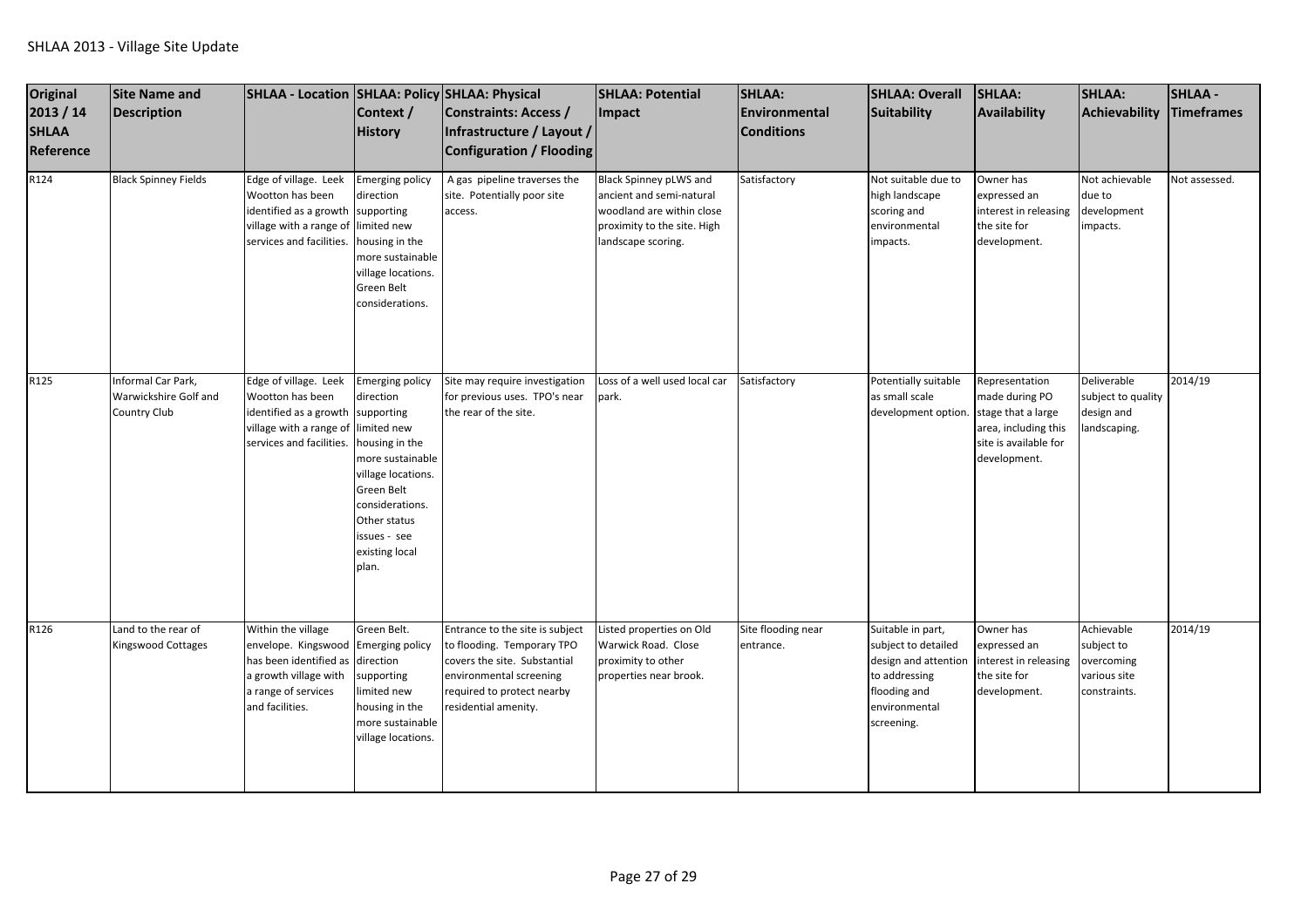| <b>Original</b><br>2013 / 14<br><b>SHLAA</b><br>Reference | <b>Site Name and</b><br><b>Description</b>                  | SHLAA - Location   SHLAA: Policy   SHLAA: Physical                                                                                                               | Context /<br><b>History</b>                                                                                                                                                                 | Constraints: Access /<br>Infrastructure / Layout /<br>Configuration / Flooding                                                                                                 | <b>SHLAA: Potential</b><br>Impact                                                                                                    | SHLAA:<br>Environmental<br><b>Conditions</b> | <b>SHLAA: Overall</b><br><b>Suitability</b>                                                                                      | <b>SHLAA:</b><br>Availability                                                                                           | <b>SHLAA:</b><br>Achievability                                         | <b>SHLAA -</b><br>Timeframes |
|-----------------------------------------------------------|-------------------------------------------------------------|------------------------------------------------------------------------------------------------------------------------------------------------------------------|---------------------------------------------------------------------------------------------------------------------------------------------------------------------------------------------|--------------------------------------------------------------------------------------------------------------------------------------------------------------------------------|--------------------------------------------------------------------------------------------------------------------------------------|----------------------------------------------|----------------------------------------------------------------------------------------------------------------------------------|-------------------------------------------------------------------------------------------------------------------------|------------------------------------------------------------------------|------------------------------|
| R124                                                      | <b>Black Spinney Fields</b>                                 | Edge of village. Leek<br>Wootton has been<br>identified as a growth supporting<br>village with a range of limited new<br>services and facilities.                | <b>Emerging policy</b><br>direction<br>housing in the<br>more sustainable<br>village locations.<br>Green Belt<br>considerations.                                                            | A gas pipeline traverses the<br>site. Potentially poor site<br>access.                                                                                                         | Black Spinney pLWS and<br>ancient and semi-natural<br>woodland are within close<br>proximity to the site. High<br>landscape scoring. | Satisfactory                                 | Not suitable due to<br>high landscape<br>scoring and<br>environmental<br>impacts.                                                | Owner has<br>expressed an<br>interest in releasing<br>the site for<br>development.                                      | Not achievable<br>due to<br>development<br>impacts.                    | Not assessed.                |
| R125                                                      | Informal Car Park,<br>Warwickshire Golf and<br>Country Club | Edge of village. Leek<br>Wootton has been<br>identified as a growth supporting<br>village with a range of limited new<br>services and facilities.                | <b>Emerging policy</b><br>direction<br>housing in the<br>more sustainable<br>village locations.<br>Green Belt<br>considerations.<br>Other status<br>issues - see<br>existing local<br>plan. | Site may require investigation<br>for previous uses. TPO's near<br>the rear of the site.                                                                                       | Loss of a well used local car<br>park.                                                                                               | Satisfactory                                 | Potentially suitable<br>as small scale<br>development option.                                                                    | Representation<br>made during PO<br>stage that a large<br>area, including this<br>site is available for<br>development. | Deliverable<br>subject to quality<br>design and<br>landscaping.        | 2014/19                      |
| R126                                                      | Land to the rear of<br>Kingswood Cottages                   | Within the village<br>envelope. Kingswood Emerging policy<br>has been identified as direction<br>a growth village with<br>a range of services<br>and facilities. | Green Belt.<br>supporting<br>limited new<br>housing in the<br>more sustainable<br>village locations.                                                                                        | Entrance to the site is subject<br>to flooding. Temporary TPO<br>covers the site. Substantial<br>environmental screening<br>required to protect nearby<br>residential amenity. | Listed properties on Old<br>Warwick Road. Close<br>proximity to other<br>properties near brook.                                      | Site flooding near<br>entrance.              | Suitable in part,<br>subject to detailed<br>design and attention<br>to addressing<br>flooding and<br>environmental<br>screening. | Owner has<br>expressed an<br>nterest in releasing<br>the site for<br>development.                                       | Achievable<br>subject to<br>overcoming<br>various site<br>constraints. | 2014/19                      |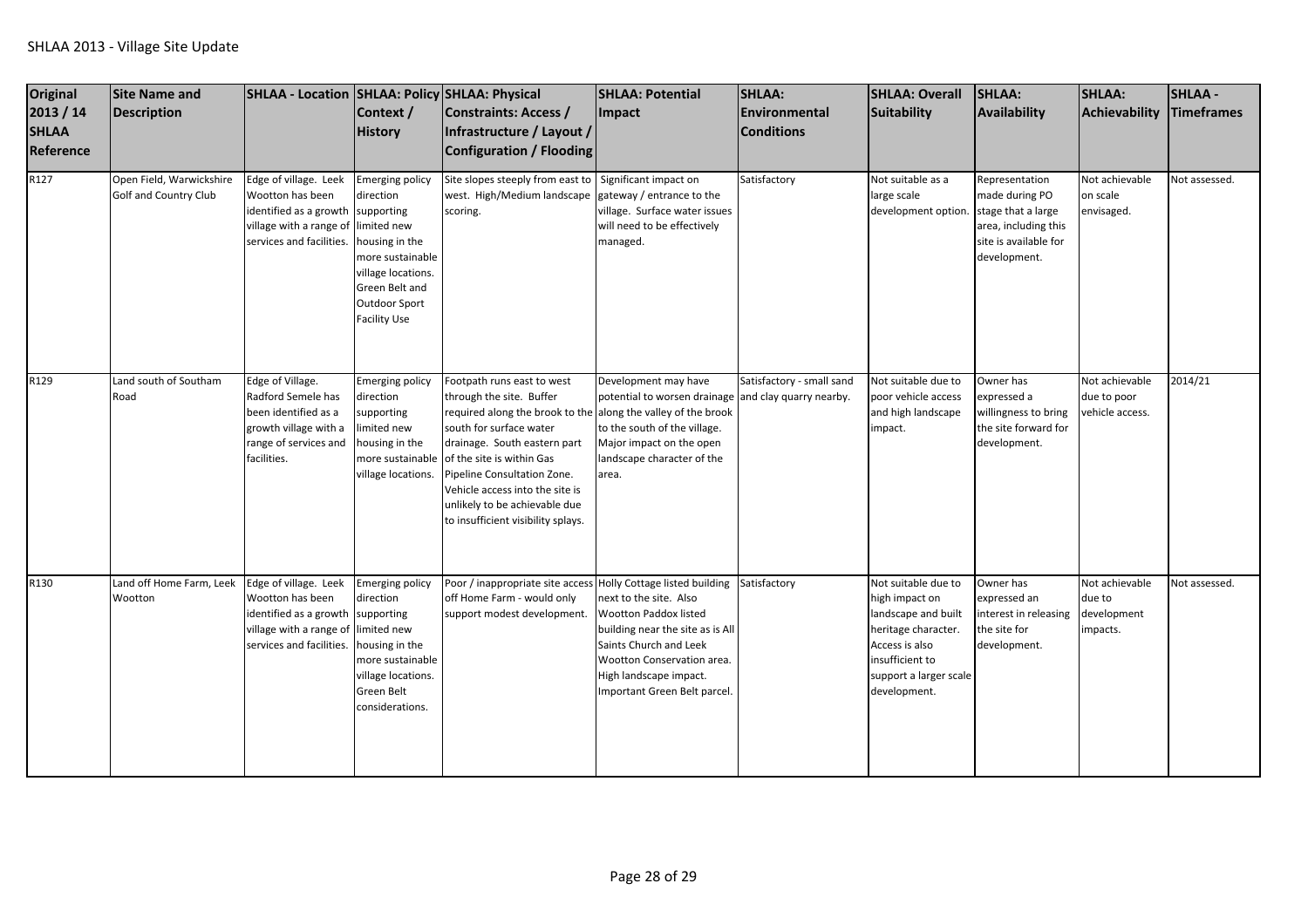| Original<br>2013 / 14<br><b>SHLAA</b><br>Reference | <b>Site Name and</b><br><b>Description</b>        | SHLAA - Location SHLAA: Policy SHLAA: Physical                                                                                                    | Context /<br><b>History</b>                                                                                                                                          | Constraints: Access /<br>Infrastructure / Layout /<br>Configuration / Flooding                                                                                                                                                                                                                                                                           | <b>SHLAA: Potential</b><br>Impact                                                                                                                                                                            | SHLAA:<br>Environmental<br><b>Conditions</b> | <b>SHLAA: Overall</b><br>Suitability                                                                                                                               | SHLAA:<br>Availability                                                                                                  | <b>SHLAA:</b><br>Achievability                      | <b>SHLAA -</b><br><b>Timeframes</b> |
|----------------------------------------------------|---------------------------------------------------|---------------------------------------------------------------------------------------------------------------------------------------------------|----------------------------------------------------------------------------------------------------------------------------------------------------------------------|----------------------------------------------------------------------------------------------------------------------------------------------------------------------------------------------------------------------------------------------------------------------------------------------------------------------------------------------------------|--------------------------------------------------------------------------------------------------------------------------------------------------------------------------------------------------------------|----------------------------------------------|--------------------------------------------------------------------------------------------------------------------------------------------------------------------|-------------------------------------------------------------------------------------------------------------------------|-----------------------------------------------------|-------------------------------------|
| R127                                               | Open Field, Warwickshire<br>Golf and Country Club | Edge of village. Leek<br>Wootton has been<br>identified as a growth supporting<br>village with a range of limited new<br>services and facilities. | <b>Emerging policy</b><br>direction<br>housing in the<br>more sustainable<br>village locations.<br>Green Belt and<br><b>Outdoor Sport</b><br><b>Facility Use</b>     | Site slopes steeply from east to<br>west. High/Medium landscape<br>scoring.                                                                                                                                                                                                                                                                              | Significant impact on<br>gateway / entrance to the<br>village. Surface water issues<br>will need to be effectively<br>managed.                                                                               | Satisfactory                                 | Not suitable as a<br>large scale<br>development option.                                                                                                            | Representation<br>made during PO<br>stage that a large<br>area, including this<br>site is available for<br>development. | Not achievable<br>on scale<br>envisaged.            | Not assessed.                       |
| R129                                               | Land south of Southam<br>Road                     | Edge of Village.<br>Radford Semele has<br>been identified as a<br>growth village with a<br>range of services and<br>facilities.                   | <b>Emerging policy</b><br>direction<br>supporting<br>limited new<br>housing in the<br>more sustainable<br>village locations.                                         | Footpath runs east to west<br>through the site. Buffer<br>required along the brook to the along the valley of the brook<br>south for surface water<br>drainage. South eastern part<br>of the site is within Gas<br>Pipeline Consultation Zone.<br>Vehicle access into the site is<br>unlikely to be achievable due<br>to insufficient visibility splays. | Development may have<br>potential to worsen drainage and clay quarry nearby.<br>to the south of the village.<br>Major impact on the open<br>landscape character of the<br>area.                              | Satisfactory - small sand                    | Not suitable due to<br>poor vehicle access<br>and high landscape<br>impact.                                                                                        | Owner has<br>expressed a<br>willingness to bring<br>the site forward for<br>development.                                | Not achievable<br>due to poor<br>vehicle access.    | 2014/21                             |
| R130                                               | Land off Home Farm, Leek<br>Wootton               | Edge of village. Leek<br>Wootton has been<br>identified as a growth<br>village with a range of<br>services and facilities.                        | <b>Emerging policy</b><br>direction<br>supporting<br>limited new<br>housing in the<br>more sustainable<br>village locations.<br><b>Green Belt</b><br>considerations. | Poor / inappropriate site access Holly Cottage listed building<br>off Home Farm - would only<br>support modest development.                                                                                                                                                                                                                              | next to the site. Also<br><b>Wootton Paddox listed</b><br>building near the site as is All<br>Saints Church and Leek<br>Wootton Conservation area.<br>High landscape impact.<br>Important Green Belt parcel. | Satisfactory                                 | Not suitable due to<br>high impact on<br>landscape and built<br>heritage character.<br>Access is also<br>insufficient to<br>support a larger scale<br>development. | Owner has<br>expressed an<br>interest in releasing<br>the site for<br>development.                                      | Not achievable<br>due to<br>development<br>impacts. | Not assessed.                       |